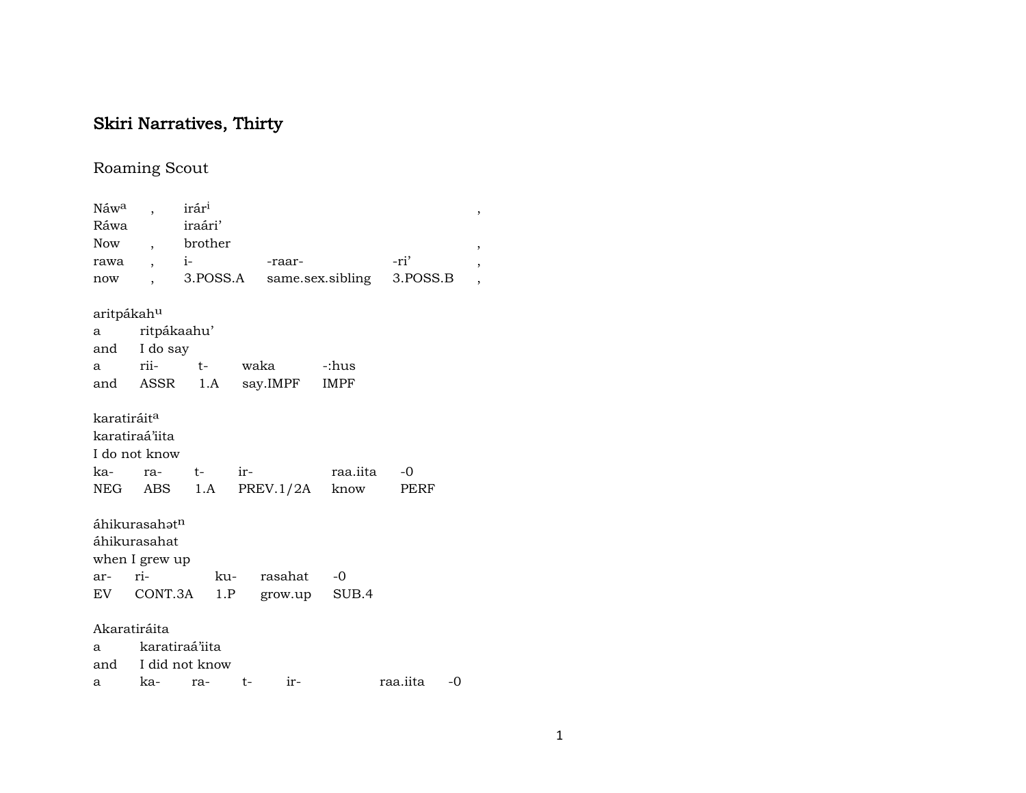# Skiri Narratives, Thirty

# Roaming Scout

| Náw <sup>a</sup>        | $\overline{\phantom{a}}$  | irár <sup>i</sup>  |     |                |                            |          |    | , |
|-------------------------|---------------------------|--------------------|-----|----------------|----------------------------|----------|----|---|
| Ráwa                    |                           | iraári'            |     |                |                            |          |    |   |
| Now                     |                           | , brother          |     |                |                            |          |    | , |
| rawa                    | $\overline{\phantom{a}}$  | $i-1$              |     | -raar-         |                            | -ri'     |    | , |
| now                     |                           | 3.POSS.A           |     |                | same.sex.sibling 3.POSS.B  |          |    | , |
| aritpákah <sup>u</sup>  |                           |                    |     |                |                            |          |    |   |
|                         | a ritpákaahu'             |                    |     |                |                            |          |    |   |
|                         | and I do say              |                    |     |                |                            |          |    |   |
|                         |                           |                    |     | a rii- t- waka | -:hus                      |          |    |   |
|                         | and ASSR                  |                    |     | 1.A say.IMPF   | <b>IMPF</b>                |          |    |   |
| karatiráit <sup>a</sup> |                           |                    |     |                |                            |          |    |   |
|                         | karatiraá'iita            |                    |     |                |                            |          |    |   |
|                         | I do not know             |                    |     |                |                            |          |    |   |
| ka-                     |                           | ra- t- ir-         |     |                | raa.iita                   | -0       |    |   |
|                         |                           |                    |     |                | NEG ABS 1.A PREV.1/2A know | PERF     |    |   |
|                         | áhikurasahət <sup>n</sup> |                    |     |                |                            |          |    |   |
|                         | áhikurasahat              |                    |     |                |                            |          |    |   |
|                         | when I grew up            |                    |     |                |                            |          |    |   |
| ar-                     | $ri$ - $ri$               |                    | ku- | rasahat        | $-0$                       |          |    |   |
|                         |                           | EV CONT.3A 1.P     |     |                | grow.up SUB.4              |          |    |   |
|                         | Akaratiráita              |                    |     |                |                            |          |    |   |
| a                       | karatiraá'iita            |                    |     |                |                            |          |    |   |
|                         |                           | and I did not know |     |                |                            |          |    |   |
|                         |                           | a ka- ra- t-       |     | $ir-$          |                            | raa.iita | -0 |   |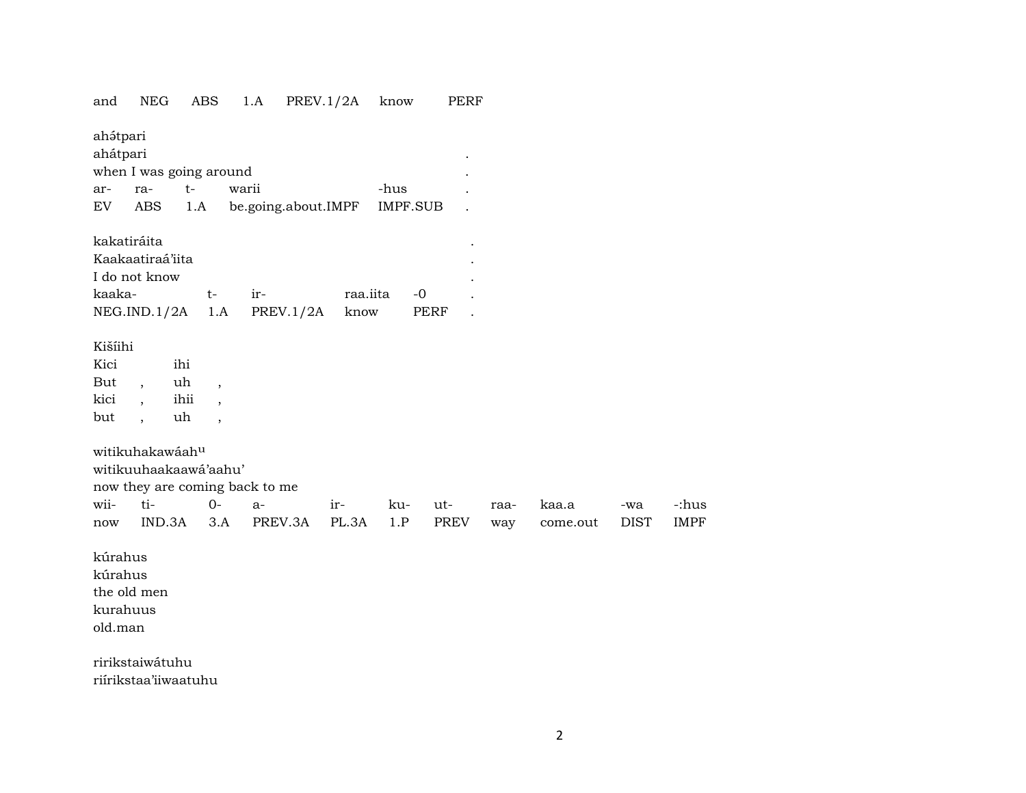| and      | NEG                      | ABS                            | 1.A                            | PREV.1/2A           |          | know     | PERF |      |          |             |             |
|----------|--------------------------|--------------------------------|--------------------------------|---------------------|----------|----------|------|------|----------|-------------|-------------|
| ahátpari |                          |                                |                                |                     |          |          |      |      |          |             |             |
| ahátpari |                          |                                |                                |                     |          |          |      |      |          |             |             |
|          | when I was going around  |                                |                                |                     |          |          |      |      |          |             |             |
| ar-      | ra-                      | $t-$                           | warii                          |                     |          | -hus     |      |      |          |             |             |
| EV       | <b>ABS</b>               | 1.A                            |                                | be.going.about.IMPF |          | IMPF.SUB |      |      |          |             |             |
|          | kakatiráita              |                                |                                |                     |          |          |      |      |          |             |             |
|          | Kaakaatiraá'iita         |                                |                                |                     |          |          |      |      |          |             |             |
|          | I do not know            |                                |                                |                     |          |          |      |      |          |             |             |
| kaaka-   |                          | $t-$                           | ir-                            |                     | raa.iita | $-0$     |      |      |          |             |             |
|          | NEG.IND.1/2A             | 1.A                            |                                | PREV.1/2A           | know     |          | PERF |      |          |             |             |
|          |                          |                                |                                |                     |          |          |      |      |          |             |             |
| Kišíihi  |                          |                                |                                |                     |          |          |      |      |          |             |             |
| Kici     |                          | ihi                            |                                |                     |          |          |      |      |          |             |             |
| But      | $\overline{\phantom{a}}$ | uh<br>$\overline{\phantom{a}}$ |                                |                     |          |          |      |      |          |             |             |
| kici     | $\overline{\phantom{a}}$ | ihii                           |                                |                     |          |          |      |      |          |             |             |
| but      | $\overline{\phantom{a}}$ | uh                             |                                |                     |          |          |      |      |          |             |             |
|          | witikuhakawáahu          |                                |                                |                     |          |          |      |      |          |             |             |
|          | witikuuhaakaawá'aahu'    |                                |                                |                     |          |          |      |      |          |             |             |
|          |                          |                                | now they are coming back to me |                     |          |          |      |      |          |             |             |
| wii-     | ti-                      | $0-$                           | $a-$                           |                     | ir-      | ku-      | ut-  | raa- | kaa.a    | -wa         | -:hus       |
| now      | IND.3A                   | 3.A                            |                                | PREV.3A             | PL.3A    | 1.P      | PREV | way  | come.out | <b>DIST</b> | <b>IMPF</b> |
|          |                          |                                |                                |                     |          |          |      |      |          |             |             |
| kúrahus  |                          |                                |                                |                     |          |          |      |      |          |             |             |
| kúrahus  |                          |                                |                                |                     |          |          |      |      |          |             |             |
|          | the old men              |                                |                                |                     |          |          |      |      |          |             |             |
| kurahuus |                          |                                |                                |                     |          |          |      |      |          |             |             |
| old.man  |                          |                                |                                |                     |          |          |      |      |          |             |             |
|          |                          |                                |                                |                     |          |          |      |      |          |             |             |
|          | ririkstaiwátuhu          |                                |                                |                     |          |          |      |      |          |             |             |

riírikstaa'iiwaatuhu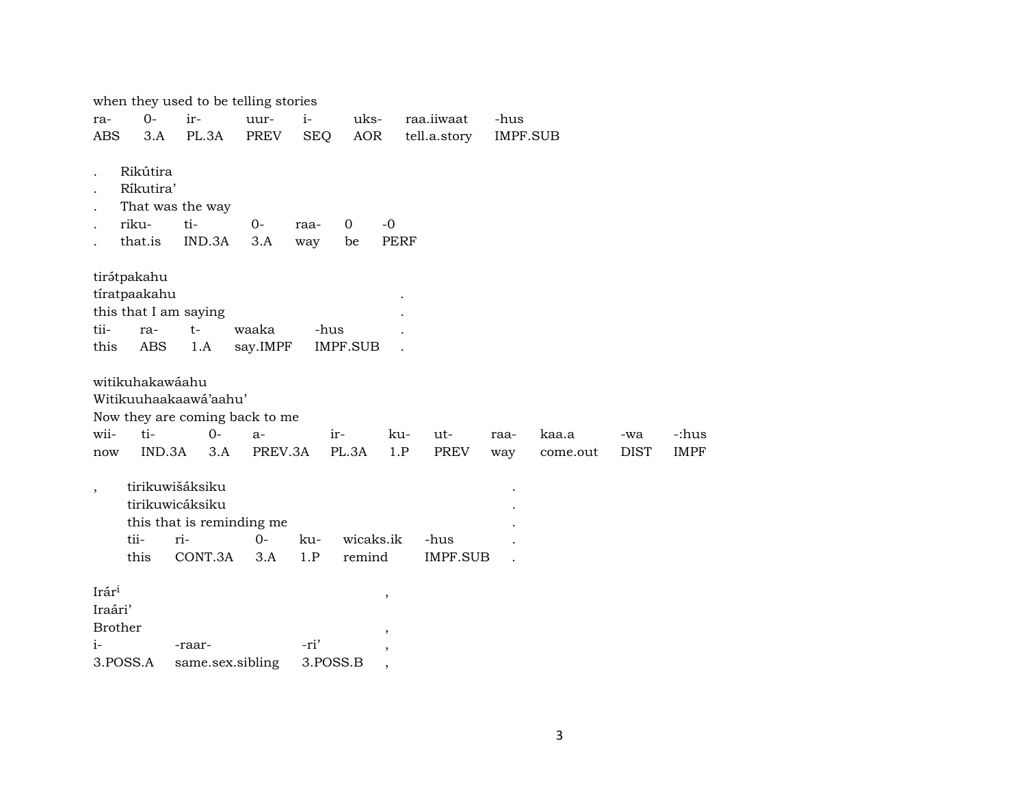|                          |                                           | when they used to be telling stories                                              |               |             |            |                          |                         |          |          |             |             |
|--------------------------|-------------------------------------------|-----------------------------------------------------------------------------------|---------------|-------------|------------|--------------------------|-------------------------|----------|----------|-------------|-------------|
| ra-                      | $0 -$                                     | ir-                                                                               | uur-          | $i-$        | uks-       |                          | raa.iiwaat              | -hus     |          |             |             |
| <b>ABS</b>               | 3.A                                       | PL.3A                                                                             | PREV          | <b>SEQ</b>  | <b>AOR</b> |                          | tell.a.story            | IMPF.SUB |          |             |             |
|                          | Rikútira<br>Ríkutira'<br>riku-<br>that.is | That was the way<br>ti-<br>IND.3A                                                 | $0-$<br>3.A   | raa-<br>way | 0<br>be    | $-0$<br><b>PERF</b>      |                         |          |          |             |             |
|                          | tirátpakahu<br>tíratpaakahu               | this that I am saying                                                             |               |             |            |                          |                         |          |          |             |             |
| tii-                     | ra-                                       | $t-$                                                                              | waaka         |             | -hus       |                          |                         |          |          |             |             |
| this                     | ABS                                       | 1.A                                                                               | say.IMPF      |             | IMPF.SUB   |                          |                         |          |          |             |             |
| wii-                     | witikuhakawáahu<br>ti-<br>IND.3A          | Witikuuhaakaawá'aahu'<br>Now they are coming back to me<br>$O -$                  | a-<br>PREV.3A |             | ir-        | ku-<br>1.P               | ut-                     | raa-     | kaa.a    | -wa         | -:hus       |
| now                      |                                           | 3.A                                                                               |               |             | PL.3A      |                          | <b>PREV</b>             | way      | come.out | <b>DIST</b> | <b>IMPF</b> |
| $\overline{\phantom{a}}$ | tii-<br>this                              | tirikuwišáksiku<br>tirikuwicáksiku<br>this that is reminding me<br>ri-<br>CONT.3A | $O -$<br>3.A  | ku-<br>1.P  | remind     | wicaks.ik                | -hus<br><b>IMPF.SUB</b> |          |          |             |             |
| Irári                    |                                           |                                                                                   |               |             |            |                          |                         |          |          |             |             |
| Iraári'                  |                                           |                                                                                   |               |             |            | $\overline{\phantom{a}}$ |                         |          |          |             |             |
| <b>Brother</b>           |                                           |                                                                                   |               |             |            |                          |                         |          |          |             |             |
| $i-$                     |                                           | -raar-                                                                            |               | -ri'        |            |                          |                         |          |          |             |             |
|                          | 3.POSS.A                                  | same.sex.sibling                                                                  |               |             | 3.POSS.B   |                          |                         |          |          |             |             |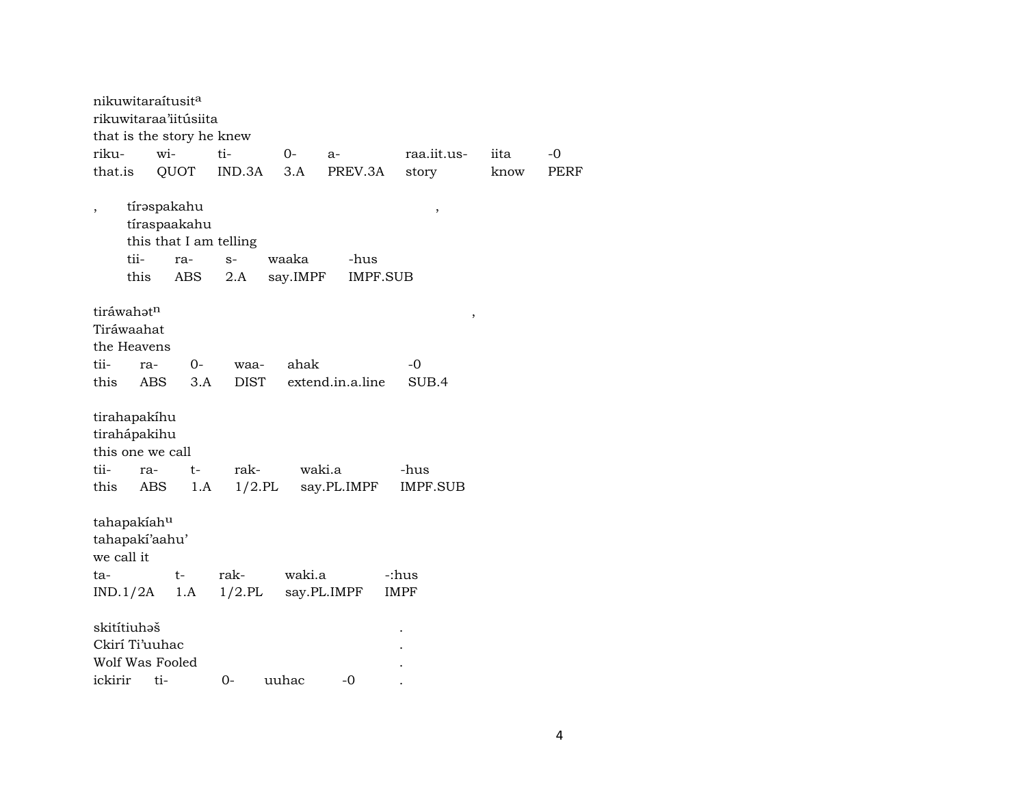| nikuwitaraítusit <sup>a</sup>                                    |              | rikuwitaraa'iitúsiita                            |                                       |                   |                         |                  |      |             |
|------------------------------------------------------------------|--------------|--------------------------------------------------|---------------------------------------|-------------------|-------------------------|------------------|------|-------------|
|                                                                  |              | that is the story he knew                        |                                       |                   |                         |                  |      |             |
| riku-                                                            | wi-          |                                                  | ti-                                   | $O-$              | $a-$                    | raa.iit.us-      | iita | $-0$        |
| that.is                                                          |              | QUOT                                             | IND.3A                                | 3.A               | PREV.3A                 | story            | know | <b>PERF</b> |
|                                                                  | tii-<br>this | tírəspakahu<br>tíraspaakahu<br>ra-<br><b>ABS</b> | this that I am telling<br>$S-$<br>2.A | waaka<br>say.IMPF | -hus<br><b>IMPF.SUB</b> | ,                |      |             |
| tiráwahatn<br>Tiráwaahat<br>the Heavens                          |              |                                                  |                                       |                   |                         | ,                |      |             |
| tii-                                                             | ra-          | 0-                                               | waa-                                  | ahak              |                         | -0               |      |             |
| this                                                             | <b>ABS</b>   | 3.A                                              | <b>DIST</b>                           |                   | extend.in.a.line        | SUB.4            |      |             |
| tirahapakíhu<br>tirahápakihu<br>this one we call<br>tii-<br>this | ra-<br>ABS   | $t-$<br>1.A                                      | rak-<br>$1/2$ .PL                     |                   | waki.a<br>say.PL.IMPF   | -hus<br>IMPF.SUB |      |             |
| tahapakiahu<br>tahapaki'aahu'<br>we call it                      |              |                                                  |                                       |                   |                         |                  |      |             |
| ta-                                                              |              | t-                                               | rak-                                  | waki.a            |                         | -:hus            |      |             |
| IND.1/2A                                                         |              | 1.A                                              | $1/2$ .PL                             |                   | say.PL.IMPF             | <b>IMPF</b>      |      |             |
| skitítiuhəš<br>Ckirí Ti'uuhac<br>Wolf Was Fooled<br>ickirir      | ti-          |                                                  | 0-                                    | uuhac             | -0                      |                  |      |             |
|                                                                  |              |                                                  |                                       |                   |                         |                  |      |             |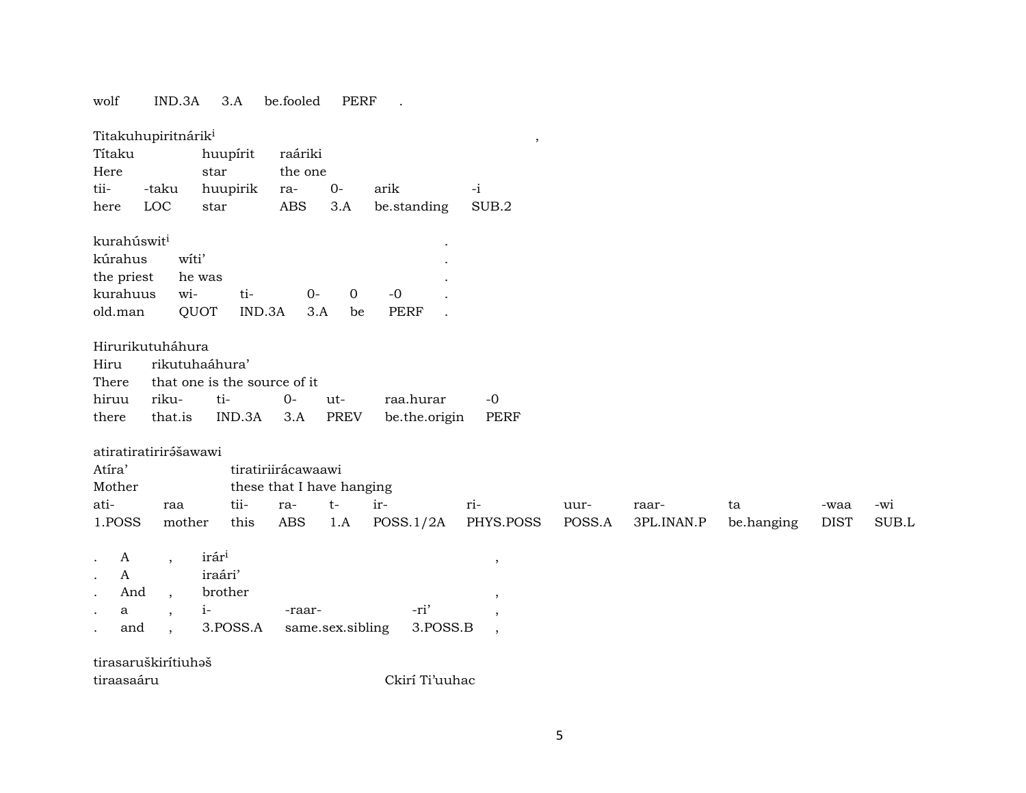wolf IND.3A 3.A be.fooled PERF .

| Títaku<br>Here<br>tii-<br>here                                          | Titakuhupiritnárik <sup>i</sup><br>-taku<br>LOC                           | huupírit<br>star<br>huupirik<br>star                            | raáriki<br>the one<br>ra-<br><b>ABS</b>                       | $0-$<br>3.A        | arik<br>be.standing        | $^\mathrm{,}$<br>$-i$<br>SUB.2 |                |                     |                  |                     |              |
|-------------------------------------------------------------------------|---------------------------------------------------------------------------|-----------------------------------------------------------------|---------------------------------------------------------------|--------------------|----------------------------|--------------------------------|----------------|---------------------|------------------|---------------------|--------------|
| kurahúswit <sup>i</sup><br>kúrahus<br>the priest<br>kurahuus<br>old.man | witi'<br>wi-                                                              | he was<br>ti-<br>QUOT<br>IND.3A                                 | $O -$<br>3.A                                                  | $\mathbf 0$<br>be  | $-0$<br><b>PERF</b>        |                                |                |                     |                  |                     |              |
| Hiru<br>There<br>hiruu<br>there                                         | Hirurikutuháhura<br>riku-<br>that.is                                      | rikutuhaáhura'<br>that one is the source of it<br>ti-<br>IND.3A | $O -$<br>3.A                                                  | ut-<br><b>PREV</b> | raa.hurar<br>be.the.origin | $-0$<br><b>PERF</b>            |                |                     |                  |                     |              |
| Atíra'<br>Mother<br>ati-<br>1.POSS                                      | atiratiratirirášawawi<br>raa<br>mother                                    | tii-<br>this                                                    | tiratiriirácawaawi<br>these that I have hanging<br>ra-<br>ABS | $t-$<br>1.A        | ir-<br>POSS.1/2A           | ri-<br>PHYS.POSS               | uur-<br>POSS.A | raar-<br>3PL.INAN.P | ta<br>be.hanging | -waa<br><b>DIST</b> | -wi<br>SUB.L |
| A<br>$\mathbf{A}$<br>And<br>a<br>and                                    | $\overline{ }$<br>$\overline{ }$ ,<br>$\cdot$<br>$\overline{\phantom{a}}$ | irár <sup>i</sup><br>iraári'<br>brother<br>$i-$<br>3.POSS.A     | -raar-                                                        | same.sex.sibling   | -ri'<br>3.POSS.B           | $\cdot$<br>$\cdot$             |                |                     |                  |                     |              |
| tiraasaáru                                                              | tirasaruškirítiuhaš                                                       |                                                                 |                                                               |                    | Ckirí Ti'uuhac             |                                |                |                     |                  |                     |              |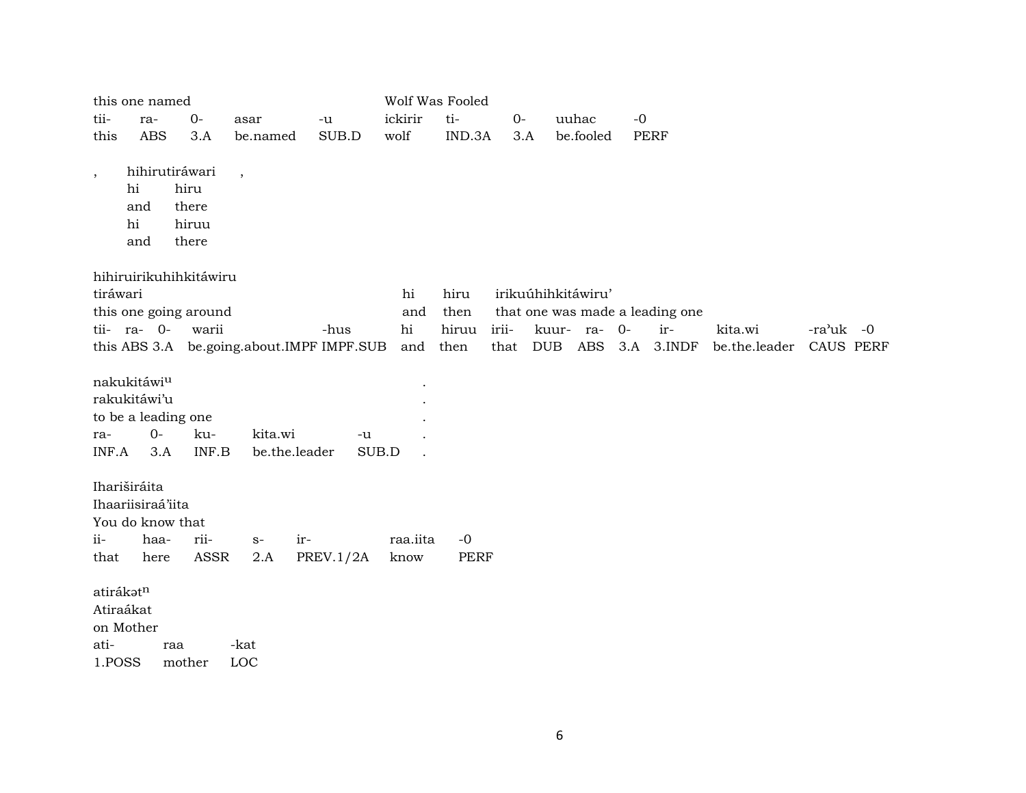|                                          | this one named                                                        |                                                   |                          |                                           |                  | Wolf Was Fooled |       |  |                    |      |                                 |               |                       |
|------------------------------------------|-----------------------------------------------------------------------|---------------------------------------------------|--------------------------|-------------------------------------------|------------------|-----------------|-------|--|--------------------|------|---------------------------------|---------------|-----------------------|
| tii-                                     | ra-                                                                   | $O -$                                             | asar                     | -u                                        | ickirir          | ti-             | $O -$ |  | uuhac              | $-0$ |                                 |               |                       |
| this                                     | <b>ABS</b>                                                            | 3.A                                               | be.named                 | SUB.D                                     | wolf             | IND.3A          | 3.A   |  | be.fooled          |      | <b>PERF</b>                     |               |                       |
| $\cdot$                                  | hi<br>and<br>hi<br>and                                                | hihirutiráwari<br>hiru<br>there<br>hiruu<br>there | $\overline{\phantom{a}}$ |                                           |                  |                 |       |  |                    |      |                                 |               |                       |
|                                          |                                                                       | hihiruirikuhihkitáwiru                            |                          |                                           |                  |                 |       |  |                    |      |                                 |               |                       |
| tiráwari                                 |                                                                       |                                                   |                          |                                           | hi               | hiru            |       |  | irikuúhihkitáwiru' |      |                                 |               |                       |
|                                          |                                                                       | this one going around                             |                          |                                           | and              | then            |       |  |                    |      | that one was made a leading one |               |                       |
|                                          | tii- ra- 0-                                                           | warii                                             |                          | -hus                                      | hi               | hiruu           | irii- |  | kuur- ra- 0-       |      | ir-                             | kita.wi       | $-ra^{\lambda}$ uk -0 |
|                                          |                                                                       |                                                   |                          | this ABS 3.A be.going.about.IMPF IMPF.SUB | and              | then            |       |  |                    |      | that DUB ABS 3.A 3.INDF         | be.the.leader | CAUS PERF             |
|                                          | nakukitáwiu<br>rakukitáwi'u                                           |                                                   |                          |                                           |                  |                 |       |  |                    |      |                                 |               |                       |
|                                          | to be a leading one                                                   |                                                   |                          |                                           |                  |                 |       |  |                    |      |                                 |               |                       |
| ra-                                      | $0-$                                                                  | ku-                                               | kita.wi                  | -u                                        |                  |                 |       |  |                    |      |                                 |               |                       |
| INF.A                                    | 3.A                                                                   | INF.B                                             | be.the.leader            |                                           | SUB.D            |                 |       |  |                    |      |                                 |               |                       |
| ii-<br>that                              | Ihariširáita<br>Ihaariisiraá'iita<br>You do know that<br>haa-<br>here | rii-<br>ASSR                                      | $S-$<br>2.A              | ir-<br>PREV.1/2A                          | raa.iita<br>know | $-0$<br>PERF    |       |  |                    |      |                                 |               |                       |
|                                          |                                                                       |                                                   |                          |                                           |                  |                 |       |  |                    |      |                                 |               |                       |
| atirákatn<br>Atiraákat<br>ati-<br>1.POSS | on Mother                                                             | raa<br>mother                                     | -kat<br>LOC              |                                           |                  |                 |       |  |                    |      |                                 |               |                       |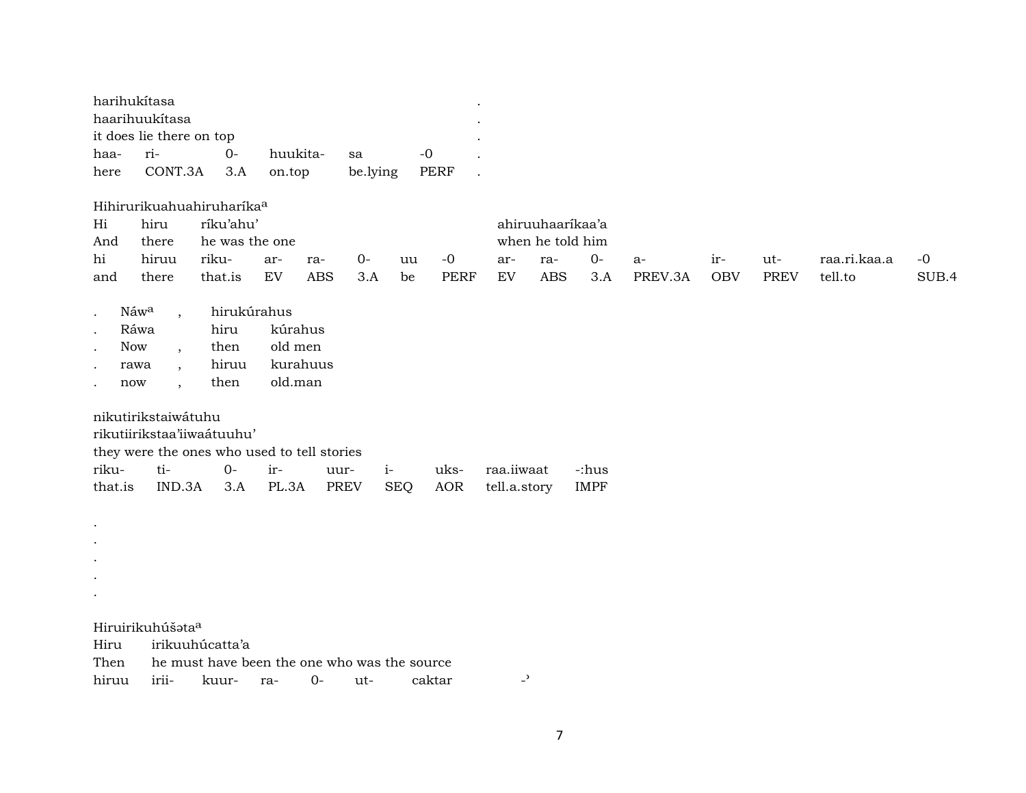| harihukítasa   |                          |            |          |               |           |  |  |  |  |  |
|----------------|--------------------------|------------|----------|---------------|-----------|--|--|--|--|--|
| haarihuukítasa |                          |            |          |               |           |  |  |  |  |  |
|                | it does lie there on top |            |          |               |           |  |  |  |  |  |
| haa- ri-       |                          | $\Omega$ - | huukita- | sa            | $-\Omega$ |  |  |  |  |  |
|                | here CONT.3A 3.A on.top  |            |          | be.lying PERF |           |  |  |  |  |  |

Hihirurikuahuahiruharíka°

| Hi  | hiru  | ríku'ahu' |                |     |      |    |      | ahiruuhaarikaa'a |      |      |         |            |             |              |       |
|-----|-------|-----------|----------------|-----|------|----|------|------------------|------|------|---------|------------|-------------|--------------|-------|
| And | there |           | he was the one |     |      |    |      | when he told him |      |      |         |            |             |              |       |
| hi  | hiruu | riku-     | ar-            | ra- | $O-$ | uu | $-0$ | ar-              | ra-  | $O-$ | $a-$    | $ir-$      | ut-         | raa.ri.kaa.a | $-0$  |
| and | there | that.is   | EV             | ABS | 3.A  | be | PERF | EV               | ABS. | 3.A  | PREV.3A | <b>OBV</b> | <b>PREV</b> | tell.to      | SUB.4 |

| Náw <sup>a</sup> | hirukúrahus |          |
|------------------|-------------|----------|
| Ráwa             | hiru        | kúrahus  |
| Now              | then        | old men  |
| rawa             | hiruu       | kurahuus |
| now              | then        | old.man  |

nikutirikstaiwátuhu

rikutiirikstaa'iiwaátuuhu'

they were the ones who used to tell stories

|  |  |  | that.is IND.3A 3.A PL.3A PREV SEQ AOR tell.a.story IMPF |  |
|--|--|--|---------------------------------------------------------|--|

Hiruirikuhúšata<sup>a</sup>

. . . . .

| Hiru irikuuhúcatta'a |                                                   |  |  |  |
|----------------------|---------------------------------------------------|--|--|--|
|                      | Then he must have been the one who was the source |  |  |  |
|                      | hiruu irii- kuur- ra- 0- ut- caktar               |  |  |  |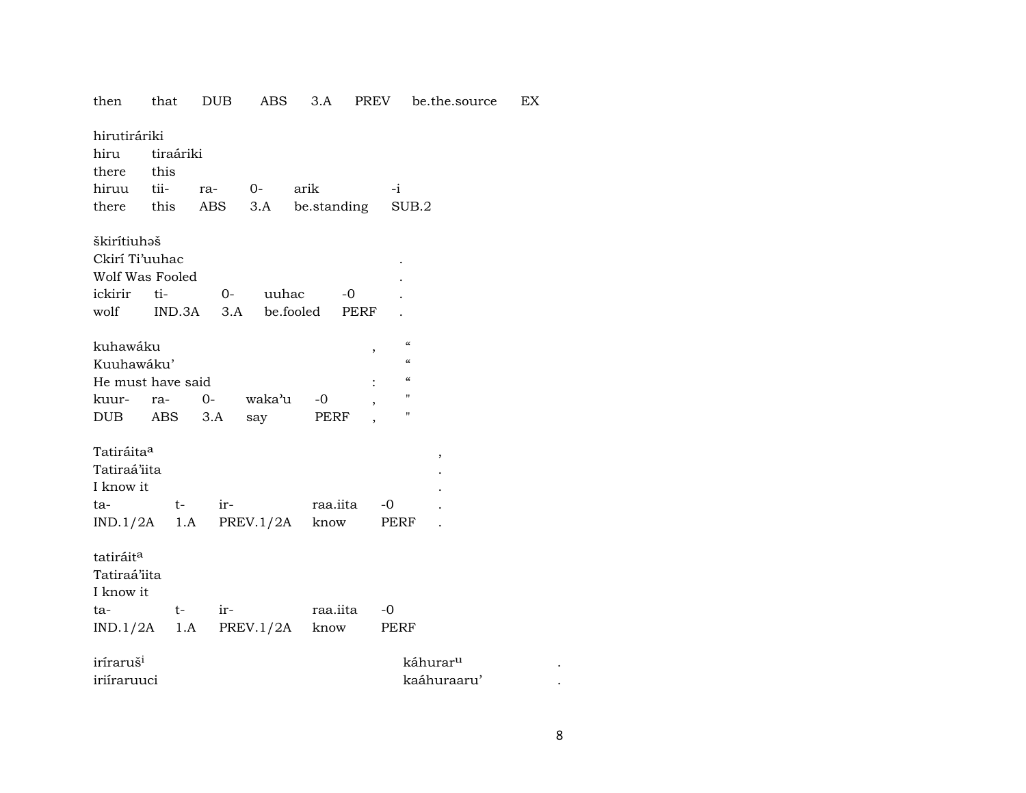| then                          | that              | <b>DUB</b>        | ABS                           | 3.A         | PREV                     |                                        | be.the.source | EX |
|-------------------------------|-------------------|-------------------|-------------------------------|-------------|--------------------------|----------------------------------------|---------------|----|
| hirutiráriki<br>hiru<br>there | tiraáriki<br>this |                   |                               |             |                          |                                        |               |    |
|                               |                   |                   |                               |             |                          |                                        |               |    |
| hiruu tii- ra- 0-             |                   |                   |                               | arik        | $-i$                     |                                        |               |    |
| there this                    |                   | ABS               | 3.A                           | be.standing |                          | SUB.2                                  |               |    |
| škirítiuhaš                   |                   |                   |                               |             |                          |                                        |               |    |
| Ckirí Ti'uuhac                |                   |                   |                               |             |                          |                                        |               |    |
| Wolf Was Fooled               |                   |                   |                               |             |                          |                                        |               |    |
| ickirir ti-                   |                   | $O-$              | uuhac                         |             | -0                       |                                        |               |    |
|                               |                   |                   | wolf IND.3A 3.A be.fooled     |             | PERF                     |                                        |               |    |
|                               |                   |                   |                               |             |                          |                                        |               |    |
| kuhawáku                      |                   |                   |                               |             | $\, ,$                   | $\boldsymbol{\zeta}\boldsymbol{\zeta}$ |               |    |
| Kuuhawáku'                    |                   |                   |                               |             |                          | $\pmb{\zeta}\pmb{\zeta}$               |               |    |
| He must have said             |                   |                   |                               |             |                          | $\boldsymbol{\zeta}\boldsymbol{\zeta}$ |               |    |
| kuur-                         | ra-               |                   | 0- waka'u                     | -0          | $\overline{\phantom{a}}$ | $\pmb{\mathsf{H}}$                     |               |    |
| DUB ABS                       |                   | 3.A               | say                           | PERF        |                          | $\pmb{\mathsf{H}}$                     |               |    |
|                               |                   |                   |                               |             |                          |                                        |               |    |
| Tatiráita <sup>a</sup>        |                   |                   |                               |             |                          | ,                                      |               |    |
| Tatiraá'iita                  |                   |                   |                               |             |                          |                                        |               |    |
| I know it                     |                   |                   |                               |             |                          |                                        |               |    |
| ta-                           |                   | ir-<br>$t \qquad$ |                               | raa.iita    | $-0$                     |                                        |               |    |
|                               |                   |                   | $IND.1/2A$ 1.A PREV.1/2A know |             |                          | PERF                                   |               |    |
|                               |                   |                   |                               |             |                          |                                        |               |    |
| tatiráit <sup>a</sup>         |                   |                   |                               |             |                          |                                        |               |    |
| Tatiraá'iita                  |                   |                   |                               |             |                          |                                        |               |    |
| I know it                     |                   |                   |                               |             |                          |                                        |               |    |
| ta-                           | $t-$              | $ir-$             |                               | raa.iita    | -0                       |                                        |               |    |
|                               |                   |                   | $IND.1/2A$ 1.A PREV.1/2A      | know        | PERF                     |                                        |               |    |
|                               |                   |                   |                               |             |                          |                                        |               |    |
| iríraruš <sup>i</sup>         |                   |                   |                               |             |                          | káhurar <sup>u</sup>                   |               |    |
| iriíraruuci                   |                   |                   |                               |             |                          |                                        | kaáhuraaru'   |    |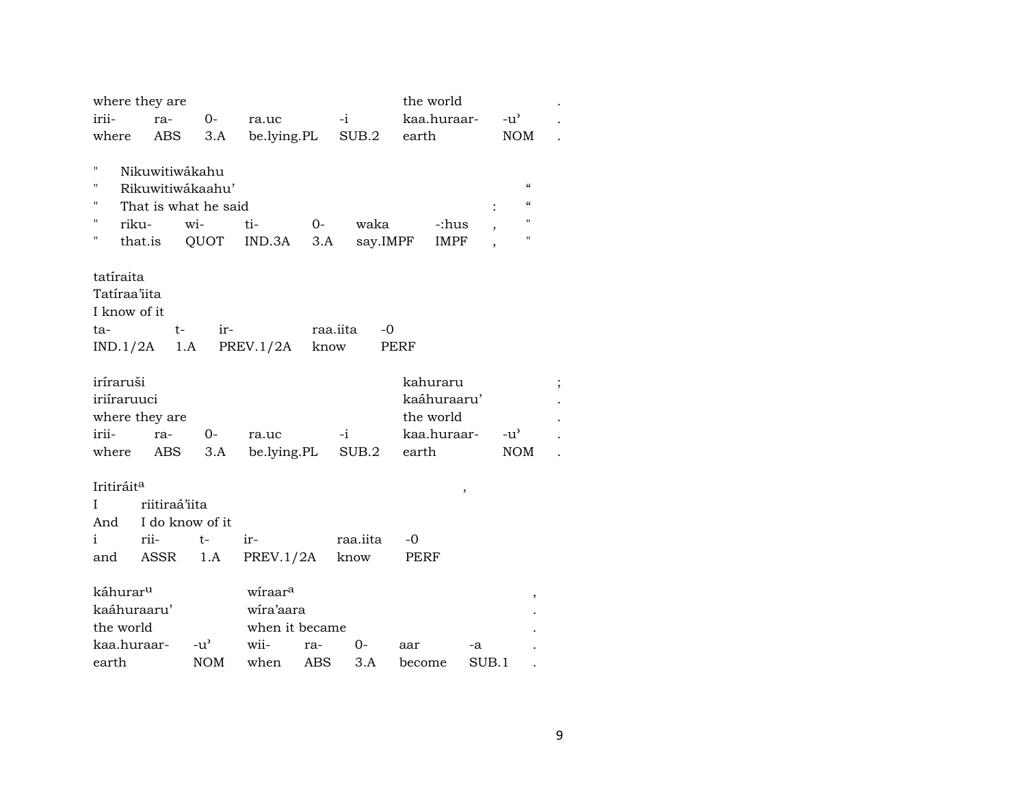|                                | where they are            |                                                         |                       |      |                   | the world            |        |                                                                           |  |
|--------------------------------|---------------------------|---------------------------------------------------------|-----------------------|------|-------------------|----------------------|--------|---------------------------------------------------------------------------|--|
| irii-                          | ra-                       | $O-$                                                    | ra.uc                 |      | $-i$              | kaa.huraar-          |        | $-u^{\flat}$                                                              |  |
| where                          | ABS                       | 3.A                                                     |                       |      | be.lying.PL SUB.2 | earth                |        | <b>NOM</b>                                                                |  |
| Π<br>Н<br>н<br>П<br>riku-<br>н | Nikuwitiwákahu<br>that.is | Rikuwitiwákaahu'<br>That is what he said<br>wi-<br>QUOT | ti-<br>$IND.3A$ $3.A$ | $O-$ | waka<br>say.IMPF  | -:hus<br><b>IMPF</b> |        | $\pmb{\zeta}\pmb{\zeta}$<br>"<br>$\pmb{\mathsf{H}}$<br>$\pmb{\mathsf{H}}$ |  |
| tatíraita                      |                           |                                                         |                       |      |                   |                      |        |                                                                           |  |
| Tatíraa'iita                   |                           |                                                         |                       |      |                   |                      |        |                                                                           |  |
| I know of it                   |                           |                                                         |                       |      |                   |                      |        |                                                                           |  |
| ta-                            | $t -$                     | ir-                                                     |                       |      | raa.iita<br>-0    |                      |        |                                                                           |  |
| IND.1/2A                       | 1.A                       |                                                         | PREV.1/2A know        |      |                   | PERF                 |        |                                                                           |  |
| iríraruši                      |                           |                                                         |                       |      |                   | kahuraru             |        |                                                                           |  |
| iriíraruuci                    |                           |                                                         |                       |      |                   | kaáhuraaru'          |        |                                                                           |  |
|                                | where they are            |                                                         |                       |      |                   | the world            |        |                                                                           |  |
| irii-                          | ra-                       | $O -$                                                   | ra.uc                 |      | $-i$              | kaa.huraar-          |        | $-u^{\prime}$                                                             |  |
|                                | where ABS                 | 3.A                                                     | be.lying.PL           |      | SUB.2             | earth                |        | <b>NOM</b>                                                                |  |
|                                |                           |                                                         |                       |      |                   |                      |        |                                                                           |  |
| Iritiráit <sup>a</sup>         |                           |                                                         |                       |      |                   |                      | $\, ,$ |                                                                           |  |
| I                              | riitiraá'iita             |                                                         |                       |      |                   |                      |        |                                                                           |  |
| And                            | I do know of it           |                                                         |                       |      |                   |                      |        |                                                                           |  |
| $\mathbf{i}$                   | rii-                      | $t-$                                                    | ir-                   |      | raa.iita          | -0                   |        |                                                                           |  |
| and                            | ASSR                      | 1.A                                                     | PREV.1/2A             |      | know              | PERF                 |        |                                                                           |  |
| káhurar <sup>u</sup>           |                           |                                                         | wiraara               |      |                   |                      |        |                                                                           |  |
| kaáhuraaru'                    |                           |                                                         | wira'aara             |      |                   |                      |        | ,                                                                         |  |
| the world                      |                           |                                                         | when it became        |      |                   |                      |        |                                                                           |  |
| kaa.huraar-                    |                           | $-u^{\prime}$                                           | wii-                  | ra-  | 0-                | aar                  | -a     |                                                                           |  |
| earth                          |                           | <b>NOM</b>                                              | when                  | ABS  | 3.A               | become               | SUB.1  |                                                                           |  |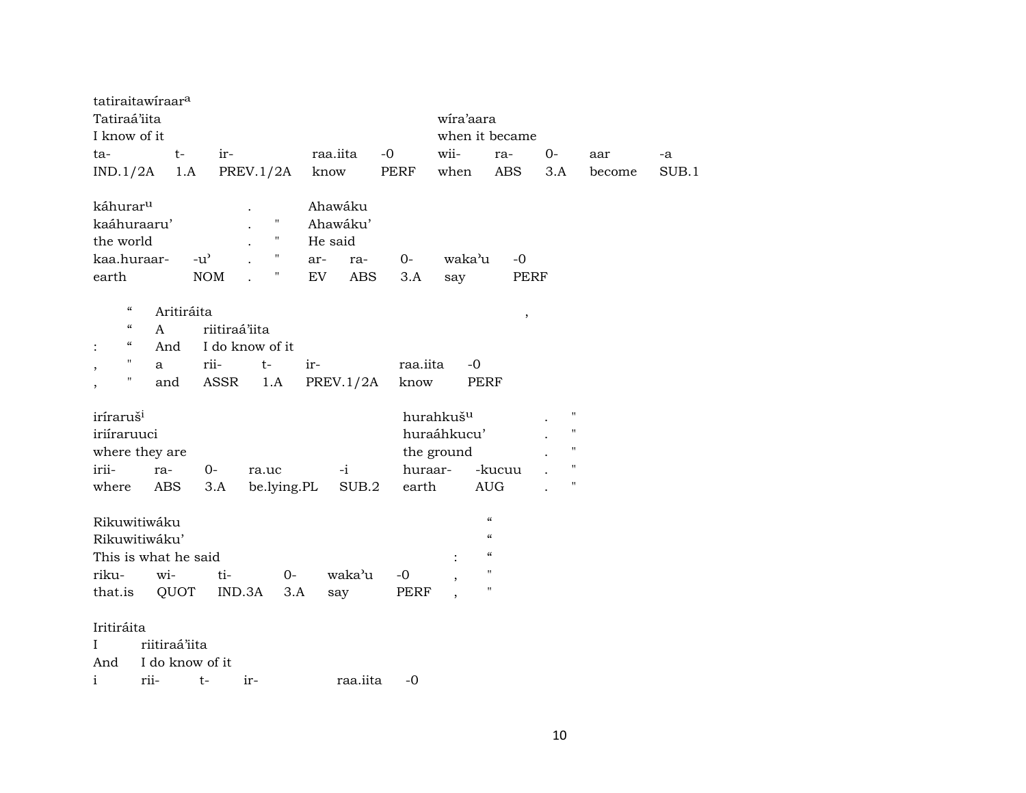| tatiraitawiraara                       |                 |               |                    |             |            |          |                       |                            |                    |        |       |
|----------------------------------------|-----------------|---------------|--------------------|-------------|------------|----------|-----------------------|----------------------------|--------------------|--------|-------|
| Tatiraá'iita                           |                 |               |                    |             |            |          | wira'aara             |                            |                    |        |       |
| I know of it                           |                 |               |                    |             |            |          |                       | when it became             |                    |        |       |
| ta-                                    | $t-$            | ir-           |                    |             | raa.iita   | $-0$     | wii-                  | ra-                        | 0-                 | aar    | -a    |
| IND.1/2A                               | 1.A             |               | PREV.1/2A          |             | know       | PERF     | when                  | <b>ABS</b>                 | 3.A                | become | SUB.1 |
| káhurar <sup>u</sup>                   |                 |               |                    |             | Ahawáku    |          |                       |                            |                    |        |       |
| kaáhuraaru'                            |                 |               | $\mathbf{H}$       |             | Ahawáku'   |          |                       |                            |                    |        |       |
| the world                              |                 |               | $\pmb{\mathsf{H}}$ |             | He said    |          |                       |                            |                    |        |       |
| kaa.huraar-                            |                 | $-u^{\prime}$ | $\pmb{\mathsf{H}}$ | ar-         | ra-        | $0-$     | waka'u                | $-0$                       |                    |        |       |
| earth                                  |                 | <b>NOM</b>    | "                  | EV          | <b>ABS</b> | 3.A      | say                   | PERF                       |                    |        |       |
| $\mathcal{C}$                          | Aritiráita      |               |                    |             |            |          |                       | $\, ,$                     |                    |        |       |
| $\boldsymbol{\mathcal{C}}$             | A               | riitiraá'iita |                    |             |            |          |                       |                            |                    |        |       |
| $\boldsymbol{\zeta}\boldsymbol{\zeta}$ | And             |               | I do know of it    |             |            |          |                       |                            |                    |        |       |
| $\pmb{\mathsf{H}}$                     | a               | rii-          | $t-$               | ir-         |            | raa.iita | $-0$                  |                            |                    |        |       |
| 11                                     | and             | ASSR          | 1.A                |             | PREV.1/2A  | know     |                       | PERF                       |                    |        |       |
| iríraruš <sup>i</sup>                  |                 |               |                    |             |            |          | hurahkuš <sup>u</sup> |                            | $\mathbf{H}$       |        |       |
| iriíraruuci                            |                 |               |                    |             |            |          | huraáhkucu'           |                            | $\mathbf{H}$       |        |       |
| where they are                         |                 |               |                    |             |            |          | the ground            |                            | $\pmb{\mathsf{H}}$ |        |       |
| irii-                                  | ra-             | $0-$          | ra.uc              |             | $-i$       | huraar-  |                       | -kucuu                     | $\pmb{\mathsf{H}}$ |        |       |
| where                                  | ABS             | 3.A           |                    | be.lying.PL | SUB.2      | earth    |                       | <b>AUG</b>                 | $\pmb{\mathsf{H}}$ |        |       |
| Rikuwitiwáku                           |                 |               |                    |             |            |          |                       | $\boldsymbol{\mathcal{C}}$ |                    |        |       |
| Rikuwitiwáku'                          |                 |               |                    |             |            |          |                       | $\boldsymbol{\mathcal{C}}$ |                    |        |       |
| This is what he said                   |                 |               |                    |             |            |          |                       | $\zeta\zeta$               |                    |        |       |
| riku-                                  | wi-             | ti-           |                    | $0-$        | waka'u     | -0       |                       | $\pmb{\mathsf{H}}$         |                    |        |       |
| that.is                                | QUOT            |               | IND.3A             | 3.A         | say        | PERF     |                       | $\pmb{\mathsf{H}}$         |                    |        |       |
| Iritiráita                             |                 |               |                    |             |            |          |                       |                            |                    |        |       |
| L                                      | riitiraá'iita   |               |                    |             |            |          |                       |                            |                    |        |       |
|                                        |                 |               |                    |             |            |          |                       |                            |                    |        |       |
| And                                    | I do know of it |               |                    |             |            |          |                       |                            |                    |        |       |
| i<br>rii-                              |                 | $t-$          | ir-                |             | raa.iita   | $-0$     |                       |                            |                    |        |       |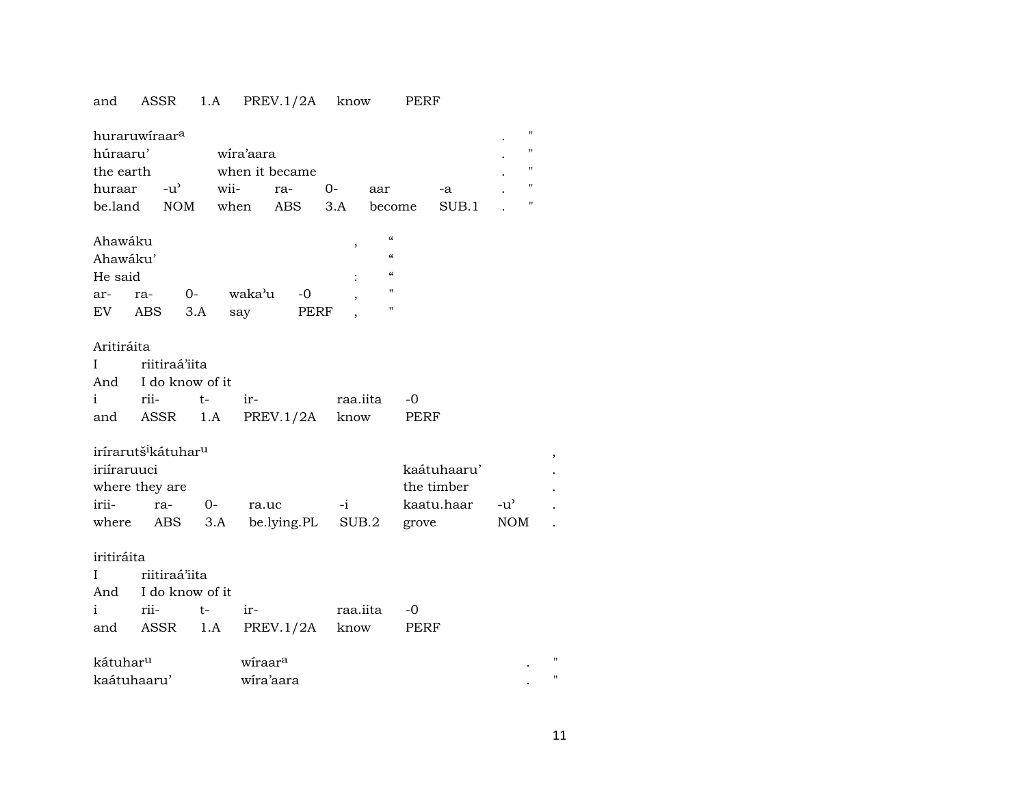# and ASSR 1.A PREV.1/2A know PERF

| huraruwiraara<br>húraaru'<br>the earth<br>huraar -u'<br>be.land NOM when                           |      |                                  |             | wira'aara<br>wii-                | when it became<br>ra-<br>ABS | $0-$<br>3.A   | aar<br>become                          |             | -a<br>SUB.1                                 |     | $\pmb{\mathsf{H}}$<br>$\pmb{\mathsf{H}}$<br>$\pmb{\mathsf{H}}$<br>$\pmb{\mathsf{H}}$<br>$\pmb{\mathsf{H}}$ |
|----------------------------------------------------------------------------------------------------|------|----------------------------------|-------------|----------------------------------|------------------------------|---------------|----------------------------------------|-------------|---------------------------------------------|-----|------------------------------------------------------------------------------------------------------------|
| Ahawáku                                                                                            |      |                                  |             |                                  |                              | $\, ,$        | $\boldsymbol{\zeta}\boldsymbol{\zeta}$ |             |                                             |     |                                                                                                            |
| Ahawáku'                                                                                           |      |                                  |             |                                  |                              |               | $\boldsymbol{\zeta}\boldsymbol{\zeta}$ |             |                                             |     |                                                                                                            |
| He said                                                                                            |      |                                  |             |                                  |                              |               | $\boldsymbol{\zeta}\boldsymbol{\zeta}$ |             |                                             |     |                                                                                                            |
| ar- ra-                                                                                            |      | $O-$                             |             | waka'u                           | $-0$                         |               | п<br>$\pmb{\mathsf{H}}$                |             |                                             |     |                                                                                                            |
| EV ABS                                                                                             |      | 3.A                              |             | say                              | PERF                         |               |                                        |             |                                             |     |                                                                                                            |
| Aritiráita<br>$\mathbf{I}$<br>And                                                                  |      | riitiraá'iita<br>I do know of it |             |                                  |                              |               |                                        |             |                                             |     |                                                                                                            |
| $\mathbf{i}$                                                                                       | rii- |                                  | $t-$        | ir-                              |                              |               | raa.iita                               | -0          |                                             |     |                                                                                                            |
| and                                                                                                |      | ASSR 1.A                         |             |                                  | PREV.1/2A know               |               |                                        | PERF        |                                             |     |                                                                                                            |
| irírarutš <sup>i</sup> kátuhar <sup>u</sup><br>iriíraruuci<br>where they are<br>irii-<br>where ABS |      | ra-                              | $O-$<br>3.A | ra.uc                            | be.lying.PL SUB.2            | $-i$ $\qquad$ |                                        | grove       | kaátuhaaru'<br>the timber<br>kaatu.haar -u' | NOM |                                                                                                            |
| iritiráita                                                                                         |      |                                  |             |                                  |                              |               |                                        |             |                                             |     |                                                                                                            |
| I                                                                                                  |      | riitiraá'iita                    |             |                                  |                              |               |                                        |             |                                             |     |                                                                                                            |
| And                                                                                                |      | I do know of it                  |             |                                  |                              |               |                                        |             |                                             |     |                                                                                                            |
| $\mathbf{i}$                                                                                       |      | rii-                             | $t-$        | ir-                              |                              |               | raa.iita                               | -0          |                                             |     |                                                                                                            |
| and                                                                                                |      | ASSR                             | 1.A         |                                  | PREV.1/2A                    | know          |                                        | <b>PERF</b> |                                             |     |                                                                                                            |
| kátuhar <sup>u</sup><br>kaátuhaaru'                                                                |      |                                  |             | wiraar <sup>a</sup><br>wira'aara |                              |               |                                        |             |                                             |     | $^{\prime}$                                                                                                |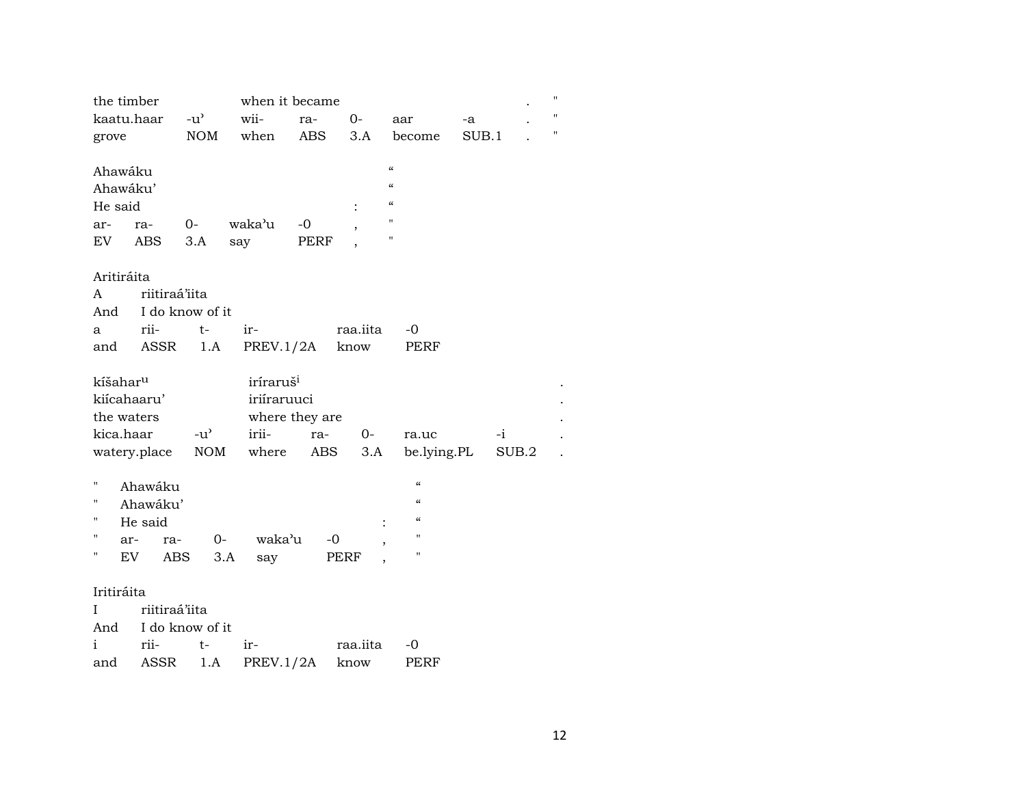|                      | the timber          |                                                                                                                                                                                                                                   |                       | when it became |                |                          |       |       | $^{\dagger}$ |
|----------------------|---------------------|-----------------------------------------------------------------------------------------------------------------------------------------------------------------------------------------------------------------------------------|-----------------------|----------------|----------------|--------------------------|-------|-------|--------------|
|                      | kaatu.haar          | $-u^2$                                                                                                                                                                                                                            | wii-                  | ra-            | $O-$           | aar                      | -a    |       | 11           |
| grove                |                     | NOM                                                                                                                                                                                                                               | when                  | ABS            | 3.A            | become                   | SUB.1 |       | 11           |
|                      |                     |                                                                                                                                                                                                                                   |                       |                |                |                          |       |       |              |
| Ahawáku              |                     |                                                                                                                                                                                                                                   |                       |                |                | $\mathcal{C}\mathcal{C}$ |       |       |              |
| Ahawáku'             |                     |                                                                                                                                                                                                                                   |                       |                |                | $\pmb{\zeta}\pmb{\zeta}$ |       |       |              |
| He said              |                     |                                                                                                                                                                                                                                   |                       |                |                | $\mathcal{C}\mathcal{C}$ |       |       |              |
| ar-                  | ra-                 | $0-$                                                                                                                                                                                                                              | waka'u                | $-0$           |                | $\pmb{\mathsf{H}}$       |       |       |              |
| EV                   | ABS                 | 3.A                                                                                                                                                                                                                               | say                   | PERF           |                | $\pmb{\mathsf{H}}$       |       |       |              |
|                      |                     |                                                                                                                                                                                                                                   |                       |                |                |                          |       |       |              |
| Aritiráita           |                     |                                                                                                                                                                                                                                   |                       |                |                |                          |       |       |              |
| A                    | riitiraá'iita       |                                                                                                                                                                                                                                   |                       |                |                |                          |       |       |              |
|                      | And I do know of it |                                                                                                                                                                                                                                   |                       |                |                |                          |       |       |              |
| a                    | rii-                | $t-$                                                                                                                                                                                                                              | ir-                   |                | raa.iita       | -0                       |       |       |              |
| and                  | ASSR                | 1.A                                                                                                                                                                                                                               |                       | PREV.1/2A      | know           | PERF                     |       |       |              |
|                      |                     |                                                                                                                                                                                                                                   |                       |                |                |                          |       |       |              |
| kíšahar <sup>u</sup> |                     |                                                                                                                                                                                                                                   | iríraruš <sup>i</sup> |                |                |                          |       |       |              |
|                      | kiícahaaru'         |                                                                                                                                                                                                                                   | iriíraruuci           |                |                |                          |       |       |              |
|                      | the waters          |                                                                                                                                                                                                                                   |                       | where they are |                |                          |       |       |              |
| kica.haar            |                     | $-u^{\prime}$                                                                                                                                                                                                                     | irii-                 | ra-            | $O -$          | ra.uc                    | $-i$  |       |              |
|                      | watery.place        | NOM                                                                                                                                                                                                                               | where                 | ABS            | 3.A            | be.lying.PL              |       | SUB.2 |              |
|                      |                     |                                                                                                                                                                                                                                   |                       |                |                |                          |       |       |              |
| П                    | Ahawáku             |                                                                                                                                                                                                                                   |                       |                |                | $\pmb{\zeta}\pmb{\zeta}$ |       |       |              |
| П                    | Ahawáku'            |                                                                                                                                                                                                                                   |                       |                |                | $\mathcal{C}\mathcal{C}$ |       |       |              |
| П                    | He said             |                                                                                                                                                                                                                                   |                       |                |                | $\mathcal{C}$            |       |       |              |
| П                    | ar-<br>ra-          |                                                                                                                                                                                                                                   | waka'u<br>$0-$        | $-0$           |                | $\pmb{\mathsf{H}}$       |       |       |              |
| н                    | EV<br>ABS           |                                                                                                                                                                                                                                   | 3.A<br>say            |                | <b>PERF</b>    | п                        |       |       |              |
|                      |                     |                                                                                                                                                                                                                                   |                       |                |                |                          |       |       |              |
| Iritiráita           |                     |                                                                                                                                                                                                                                   |                       |                |                |                          |       |       |              |
| I                    | riitiraá'iita       |                                                                                                                                                                                                                                   |                       |                |                |                          |       |       |              |
|                      | And I do know of it |                                                                                                                                                                                                                                   |                       |                |                |                          |       |       |              |
|                      |                     | radio de la provincia de la contradicción de la contradicción de la contradicción de la contradicción de la co<br>En la contradicción de la contradicción de la contradicción de la contradicción de la contradicción de la contr |                       |                | $\overline{r}$ | $\cap$                   |       |       |              |

| r11- |                             | raa.jita -0 |      |
|------|-----------------------------|-------------|------|
|      | and ASSR 1.A PREV.1/2A know |             | PERF |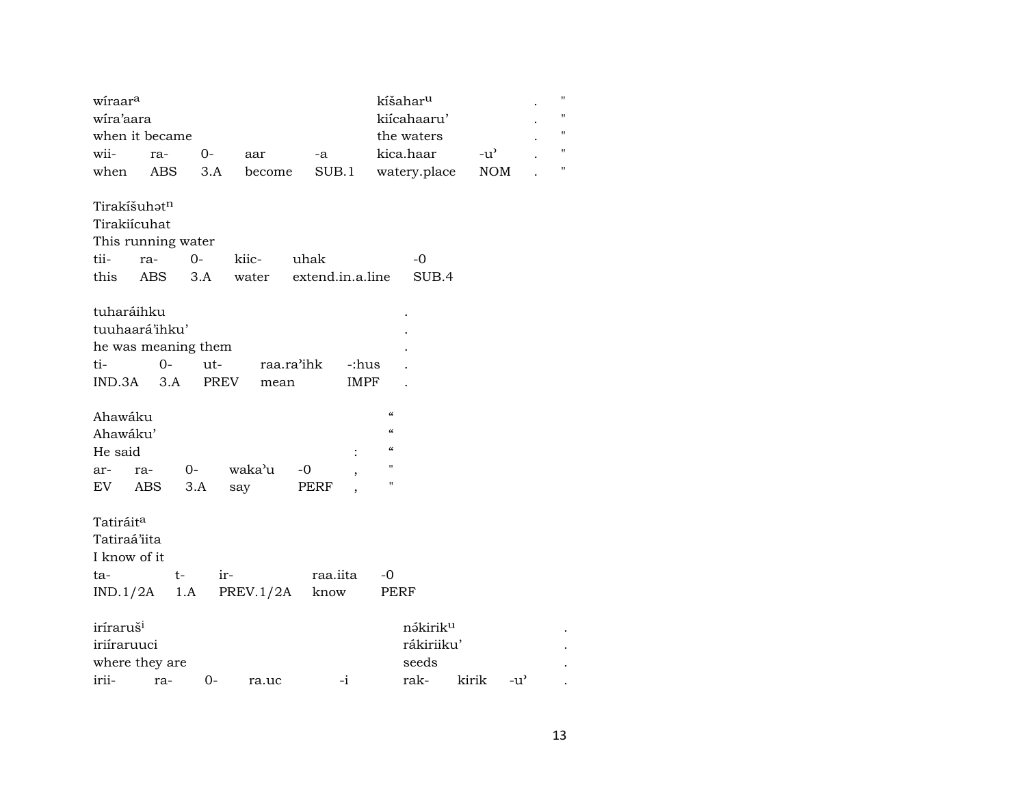| wiraar <sup>a</sup>                                          |                                                                 |             |                                 |                          |                          |                                                                                 | kíšahar <sup>u</sup>                         |       |               | $\pmb{\mathsf{H}}$ |
|--------------------------------------------------------------|-----------------------------------------------------------------|-------------|---------------------------------|--------------------------|--------------------------|---------------------------------------------------------------------------------|----------------------------------------------|-------|---------------|--------------------|
| wira'aara                                                    |                                                                 |             |                                 |                          |                          |                                                                                 | kiícahaaru'                                  |       |               | 11                 |
|                                                              | when it became                                                  |             |                                 |                          |                          |                                                                                 | the waters                                   |       |               | "                  |
| wii-                                                         | ra-                                                             | $0-$        | aar                             | -a                       |                          |                                                                                 | kica.haar                                    |       | $-u^{\flat}$  | $\pmb{\mathsf{H}}$ |
| when                                                         | ABS                                                             | 3.A         | become                          |                          | SUB.1                    |                                                                                 | watery.place                                 |       | <b>NOM</b>    | Π.                 |
| Tirakíšuhatn<br>Tirakiícuhat<br>tii-<br>this                 | This running water<br>ra-<br>ABS                                | $0-$<br>3.A | kiic-<br>water                  | uhak<br>extend.in.a.line |                          |                                                                                 | $-0$<br>SUB.4                                |       |               |                    |
| tuharáihku<br>ti-                                            | tuuhaará'ihku'<br>he was meaning them<br>$0-$<br>$IND.3A$ $3.A$ | ut-<br>PREV | mean                            | raa.ra'ihk               | -:hus<br><b>IMPF</b>     |                                                                                 |                                              |       |               |                    |
| Ahawáku<br>Ahawáku'<br>He said<br>ar-                        | ra- 0-<br>EV ABS                                                | 3.A         | waka'u<br>say                   | $-0$<br>PERF             | $\overline{\phantom{a}}$ | $\boldsymbol{\zeta}\boldsymbol{\zeta}$<br>$\epsilon$<br>$\mathcal{C}$<br>п<br>П |                                              |       |               |                    |
| Tatiráit <sup>a</sup><br>Tatiraá'iita<br>I know of it<br>ta- | $t-$                                                            |             | ir-<br>$IND.1/2A$ 1.A PREV.1/2A | know                     | raa.iita                 | $-0$<br>PERF                                                                    |                                              |       |               |                    |
| iríraruš <sup>i</sup><br>iriíraruuci                         | where they are                                                  |             |                                 |                          |                          |                                                                                 | nə́kirik <sup>u</sup><br>rákiriiku'<br>seeds |       |               |                    |
| irii-                                                        | ra-                                                             | 0-          | ra.uc                           |                          | $-i$                     |                                                                                 | rak-                                         | kirik | $-u^{\prime}$ |                    |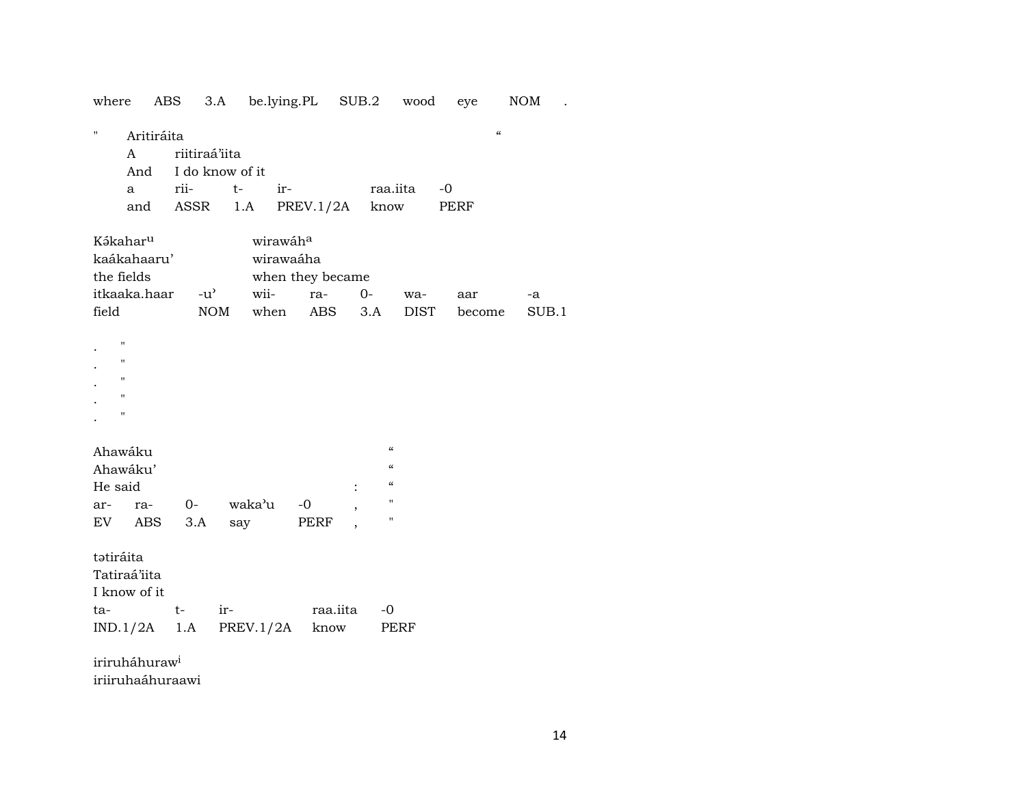| where                                                                                                | ABS               |                                                  | 3.A be.lying.PL SUB.2 wood |                  |          |                                                                                                |      | eye                                     | <b>NOM</b> |
|------------------------------------------------------------------------------------------------------|-------------------|--------------------------------------------------|----------------------------|------------------|----------|------------------------------------------------------------------------------------------------|------|-----------------------------------------|------------|
| п<br>A<br>$\mathbf{a}$<br>and                                                                        | Aritiráita<br>And | riitiraá'iita<br>I do know of it<br>rii-<br>ASSR | $t-$<br>ir-<br>1.A         | PREV.1/2A        |          | raa.iita<br>know                                                                               | $-0$ | $\pmb{\zeta}\pmb{\zeta}$<br><b>PERF</b> |            |
| Kákahar <sup>u</sup><br>kaákahaaru'<br>the fields                                                    |                   |                                                  | wirawáha<br>wirawaáha      | when they became |          |                                                                                                |      |                                         |            |
| itkaaka.haar                                                                                         |                   | $-u^{\prime}$                                    | wii-                       | ra-              | $0-$     |                                                                                                | wa-  | aar                                     | -a         |
| field                                                                                                |                   |                                                  | NOM when ABS               |                  |          | 3.A                                                                                            | DIST | become                                  | SUB.1      |
| $\pmb{\mathsf{H}}$<br>$\pmb{\mathsf{H}}$<br>$\mathbf{H}$<br>$\pmb{\mathsf{H}}$<br>$\pmb{\mathsf{H}}$ |                   |                                                  |                            |                  |          |                                                                                                |      |                                         |            |
| Ahawáku<br>Ahawáku'<br>He said                                                                       |                   |                                                  |                            |                  |          | $\epsilon$<br>$\boldsymbol{\zeta}\boldsymbol{\zeta}$<br>$\boldsymbol{\zeta}\boldsymbol{\zeta}$ |      |                                         |            |
| ar-                                                                                                  | ra-               | $0-$                                             | waka'u                     | $-0$             |          | $\pmb{\mathsf{H}}$                                                                             |      |                                         |            |
| EV                                                                                                   | ABS               | 3.A                                              | say                        | PERF             |          | $\pmb{\mathsf{H}}$                                                                             |      |                                         |            |
| tatiráita<br>Tatiraá'iita<br>I know of it                                                            |                   |                                                  |                            |                  |          |                                                                                                |      |                                         |            |
| ta-<br>$IND.1/2A$ 1.A                                                                                | $t-$              | ir-                                              | PREV.1/2A know             |                  | raa.iita | $-0$<br>PERF                                                                                   |      |                                         |            |
| $\cdots$ $\cdots$ $\cdots$ $\cdots$                                                                  |                   |                                                  |                            |                  |          |                                                                                                |      |                                         |            |

iriruháhuraw<sup>i</sup> iriiruhaáhuraawi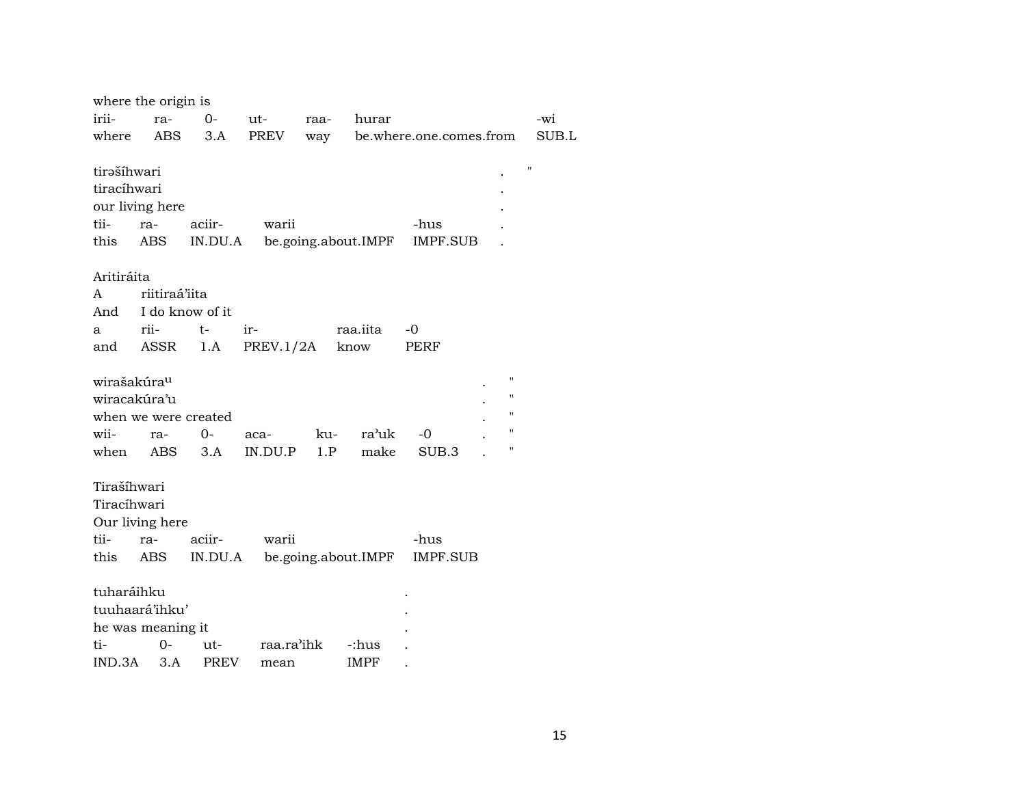|                         | where the origin is       |                    |            |      |                     |                         |                    |       |
|-------------------------|---------------------------|--------------------|------------|------|---------------------|-------------------------|--------------------|-------|
| irii-                   | ra-                       | $0-$               | ut-        | raa- | hurar               |                         |                    | -wi   |
| where                   | ABS                       | 3.A                | PREV       | way  |                     | be.where.one.comes.from |                    | SUB.L |
|                         |                           |                    |            |      |                     |                         |                    |       |
| tirəšíhwari             |                           |                    |            |      |                     |                         |                    | 11    |
| tiracíhwari             |                           |                    |            |      |                     |                         |                    |       |
|                         | our living here           |                    |            |      |                     |                         |                    |       |
| tii-                    | ra-                       | aciir-             | warii      |      |                     | -hus                    |                    |       |
| this                    | ABS                       | IN.DU.A            |            |      | be.going.about.IMPF | <b>IMPF.SUB</b>         |                    |       |
|                         |                           |                    |            |      |                     |                         |                    |       |
| Aritiráita              |                           |                    |            |      |                     |                         |                    |       |
| A                       | riitiraá'iita             |                    |            |      |                     |                         |                    |       |
| And                     |                           | I do know of it    |            |      |                     |                         |                    |       |
| a                       | rii-                      | $t-$               | ir-        |      | raa.iita            | $-0$                    |                    |       |
| and                     | ASSR                      | 1.A                | PREV.1/2A  |      | know                | PERF                    |                    |       |
|                         |                           |                    |            |      |                     |                         |                    |       |
| wirašakúra <sup>u</sup> |                           |                    |            |      |                     |                         | п                  |       |
|                         | wiracakúra'u              |                    |            |      |                     |                         | $\pmb{\mathsf{H}}$ |       |
|                         | when we were created      |                    |            |      |                     |                         | $\pmb{\mathsf{H}}$ |       |
| wii-                    | ra-                       | $0-$               | aca-       | ku-  | ra'uk               | $-0$                    | $\pmb{\mathsf{H}}$ |       |
| when                    | ABS                       | 3.A                | IN.DU.P    | 1.P  | make                | SUB.3                   | П                  |       |
|                         |                           |                    |            |      |                     |                         |                    |       |
| Tirašíhwari             |                           |                    |            |      |                     |                         |                    |       |
| Tiracíhwari             |                           |                    |            |      |                     |                         |                    |       |
|                         | Our living here           |                    |            |      |                     |                         |                    |       |
| tii-                    | ra-                       | aciir-             | warii      |      |                     | -hus                    |                    |       |
| this                    | ABS                       | IN.DU.A            |            |      | be.going.about.IMPF | IMPF.SUB                |                    |       |
| tuharáihku              |                           |                    |            |      |                     |                         |                    |       |
|                         | tuuhaará'ihku'            |                    |            |      |                     |                         |                    |       |
|                         |                           |                    |            |      |                     |                         |                    |       |
| ti-                     | he was meaning it<br>$0-$ |                    | raa.ra'ihk |      |                     |                         |                    |       |
|                         | 3.A                       | ut-<br><b>PREV</b> |            |      | -:hus               |                         |                    |       |
| IND.3A                  |                           |                    | mean       |      | <b>IMPF</b>         |                         |                    |       |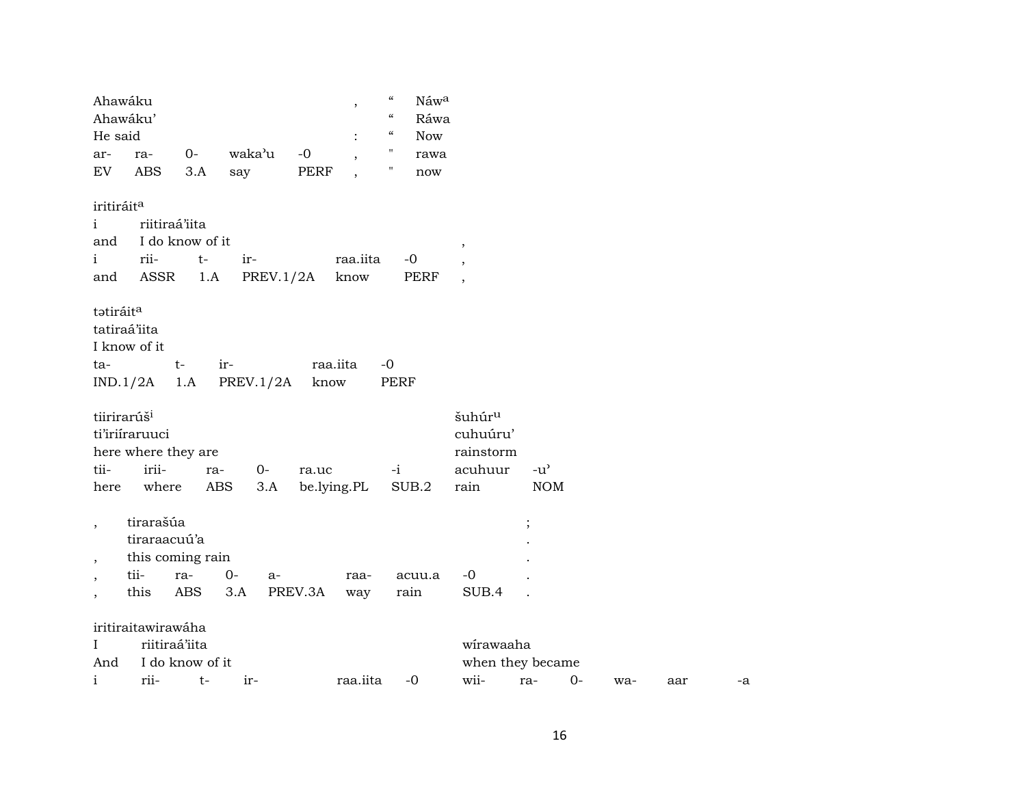| Ahawáku                  |                     |                  |                  |             | $\, \,$                  | $\epsilon$<br>Náw <sup>a</sup>                       |                          |               |      |     |     |    |
|--------------------------|---------------------|------------------|------------------|-------------|--------------------------|------------------------------------------------------|--------------------------|---------------|------|-----|-----|----|
| Ahawáku'                 |                     |                  |                  |             |                          | $\boldsymbol{\mathcal{C}}$<br>Ráwa                   |                          |               |      |     |     |    |
| He said                  |                     |                  |                  |             |                          | $\boldsymbol{\zeta}\boldsymbol{\zeta}$<br><b>Now</b> |                          |               |      |     |     |    |
| ar-                      | ra-                 | $0-$             | waka'u           | $-0$        | $\overline{\phantom{a}}$ | н.<br>rawa                                           |                          |               |      |     |     |    |
| EV                       | ABS                 | 3.A              | say              | PERF        | $\cdot$                  | Ħ<br>$\operatorname{now}$                            |                          |               |      |     |     |    |
| iritiráit <sup>a</sup>   |                     |                  |                  |             |                          |                                                      |                          |               |      |     |     |    |
| $\mathbf{i}$             | riitiraá'iita       |                  |                  |             |                          |                                                      |                          |               |      |     |     |    |
| and                      |                     | I do know of it  |                  |             |                          |                                                      | $\, ,$                   |               |      |     |     |    |
| $\mathbf{i}$             | rii-                | $t-$             | ir-              |             | raa.iita                 | $-0$                                                 |                          |               |      |     |     |    |
| and                      | ASSR                | 1.A              | PREV.1/2A        |             | know                     | PERF                                                 | $\overline{\phantom{a}}$ |               |      |     |     |    |
|                          |                     |                  |                  |             |                          |                                                      |                          |               |      |     |     |    |
| tatiráit <sup>a</sup>    |                     |                  |                  |             |                          |                                                      |                          |               |      |     |     |    |
| tatiraá'iita             |                     |                  |                  |             |                          |                                                      |                          |               |      |     |     |    |
| I know of it             |                     |                  |                  |             |                          |                                                      |                          |               |      |     |     |    |
| ta-                      |                     | $t-$             | ir-              | raa.iita    |                          | $-0$                                                 |                          |               |      |     |     |    |
| IND.1/2A                 |                     | 1.A              | <b>PREV.1/2A</b> | know        |                          | <b>PERF</b>                                          |                          |               |      |     |     |    |
| tiirirarúš <sup>i</sup>  |                     |                  |                  |             |                          |                                                      | šuhúr <sup>u</sup>       |               |      |     |     |    |
|                          | ti'iriiraruuci      |                  |                  |             |                          |                                                      | cuhuúru'                 |               |      |     |     |    |
|                          | here where they are |                  |                  |             |                          |                                                      | rainstorm                |               |      |     |     |    |
| tii-                     | irii-               | ra-              | $0-$             | ra.uc       |                          | $-i$                                                 | acuhuur                  | $-u^{\prime}$ |      |     |     |    |
|                          | where               | ABS              | 3.A              |             |                          | SUB.2                                                | rain                     | <b>NOM</b>    |      |     |     |    |
| here                     |                     |                  |                  | be.lying.PL |                          |                                                      |                          |               |      |     |     |    |
| $\overline{\phantom{a}}$ | tirarašúa           |                  |                  |             |                          |                                                      |                          | $\vdots$      |      |     |     |    |
|                          | tiraraacuú'a        |                  |                  |             |                          |                                                      |                          |               |      |     |     |    |
|                          |                     | this coming rain |                  |             |                          |                                                      |                          |               |      |     |     |    |
| $\overline{\phantom{a}}$ | tii-                | ra-              | $0-$<br>a-       |             | raa-                     | acuu.a                                               | $-0$                     |               |      |     |     |    |
| ,                        | this                | <b>ABS</b>       | 3.A              | PREV.3A     | way                      | rain                                                 | SUB.4                    |               |      |     |     |    |
|                          |                     |                  |                  |             |                          |                                                      |                          |               |      |     |     |    |
|                          | iritiraitawirawáha  |                  |                  |             |                          |                                                      |                          |               |      |     |     |    |
| $\mathbf I$              | riitiraá'iita       |                  |                  |             |                          |                                                      | wirawaaha                |               |      |     |     |    |
| And                      |                     | I do know of it  |                  |             |                          |                                                      | when they became         |               |      |     |     |    |
| $\mathbf{i}$             | rii-                | $t-$             | ir-              |             | raa.iita                 | $-0$                                                 | wii-                     | ra-           | $0-$ | wa- | aar | -a |
|                          |                     |                  |                  |             |                          |                                                      |                          |               |      |     |     |    |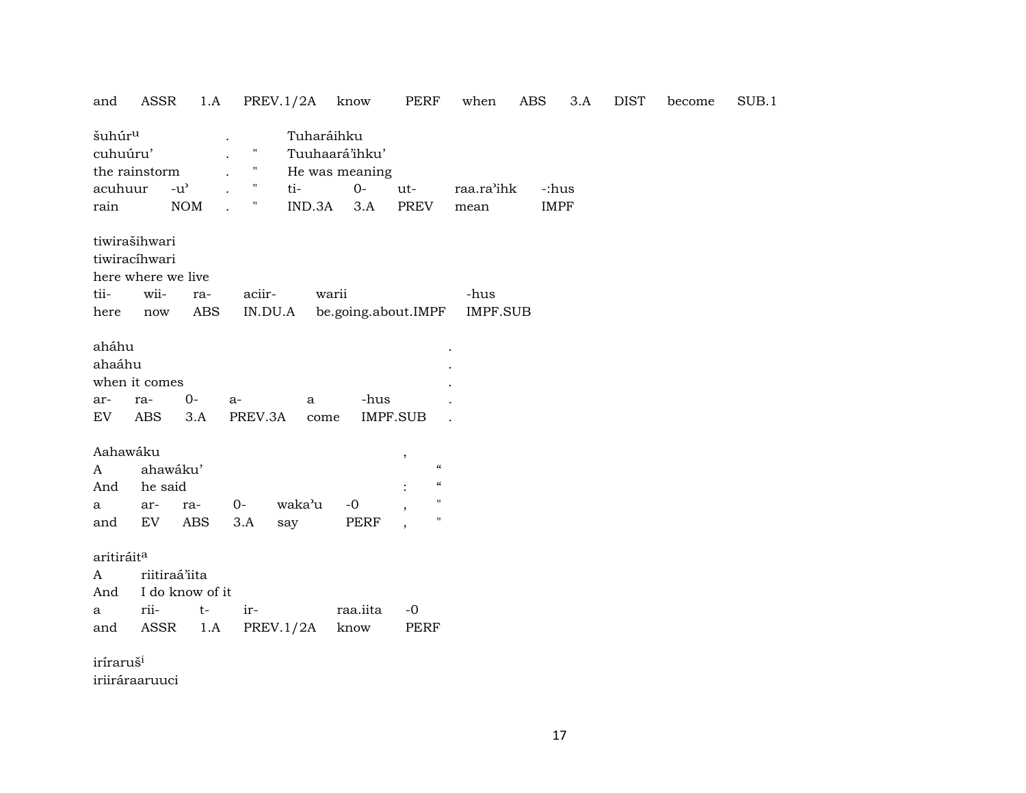| and                                       | ASSR                                                                | 1.A                                 |                                   | PREV.1/2A         | know                                      | PERF                                      | when                    | <b>ABS</b>  | 3.A | <b>DIST</b> | become | SUB.1 |
|-------------------------------------------|---------------------------------------------------------------------|-------------------------------------|-----------------------------------|-------------------|-------------------------------------------|-------------------------------------------|-------------------------|-------------|-----|-------------|--------|-------|
| šuhúr <sup>u</sup><br>cuhuúru'<br>acuhuur | the rainstorm                                                       | $-u$ <sup><math>\prime</math></sup> | Ħ<br>$\mathbf{u}$<br>$\mathbf{H}$ | Tuharáihku<br>ti- | Tuuhaará'ihku'<br>He was meaning<br>$O -$ | ut-                                       | raa.ra'ihk              | -:hus       |     |             |        |       |
| rain                                      |                                                                     | NOM                                 | Ħ                                 | IND.3A            | 3.A                                       | PREV                                      | mean                    | <b>IMPF</b> |     |             |        |       |
| tii-<br>here                              | tiwirašihwari<br>tiwiracíhwari<br>here where we live<br>wii-<br>now | ra-<br>ABS                          | aciir-<br>IN.DU.A                 |                   | warii<br>be.going.about.IMPF              |                                           | -hus<br><b>IMPF.SUB</b> |             |     |             |        |       |
| aháhu<br>ahaáhu                           | when it comes                                                       |                                     |                                   |                   |                                           |                                           |                         |             |     |             |        |       |
| ar-                                       | ra-                                                                 | $0-$                                | $a-$                              | a                 | -hus                                      |                                           |                         |             |     |             |        |       |
| EV                                        | <b>ABS</b>                                                          | 3.A                                 | PREV.3A                           | come              |                                           | IMPF.SUB                                  |                         |             |     |             |        |       |
|                                           |                                                                     |                                     |                                   |                   |                                           |                                           |                         |             |     |             |        |       |
| Aahawáku<br>A                             | ahawáku'                                                            |                                     |                                   |                   |                                           | $\overline{\phantom{a}}$<br>$\mathcal{C}$ |                         |             |     |             |        |       |
| And                                       | he said                                                             |                                     |                                   |                   |                                           | $\pmb{\zeta}\pmb{\zeta}$                  |                         |             |     |             |        |       |
| а                                         | ar-                                                                 | ra-                                 | 0-                                | waka'u            | $-0$                                      | 11                                        |                         |             |     |             |        |       |
| and                                       | EV                                                                  | <b>ABS</b>                          | 3.A                               | say               | PERF                                      | П<br>$\overline{\phantom{a}}$             |                         |             |     |             |        |       |
|                                           |                                                                     |                                     |                                   |                   |                                           |                                           |                         |             |     |             |        |       |
| aritiráit <sup>a</sup>                    |                                                                     |                                     |                                   |                   |                                           |                                           |                         |             |     |             |        |       |
| A                                         | riitiraá'iita                                                       |                                     |                                   |                   |                                           |                                           |                         |             |     |             |        |       |
| And                                       |                                                                     | I do know of it                     |                                   |                   |                                           |                                           |                         |             |     |             |        |       |
| a                                         | rii-                                                                | $t-$                                | ir-                               |                   | raa.iita                                  | $-0$                                      |                         |             |     |             |        |       |
| and                                       | ASSR                                                                | 1.A                                 |                                   | PREV.1/2A         | know                                      | PERF                                      |                         |             |     |             |        |       |
| iríraruš <sup>i</sup>                     |                                                                     |                                     |                                   |                   |                                           |                                           |                         |             |     |             |        |       |

iriiráraaruuci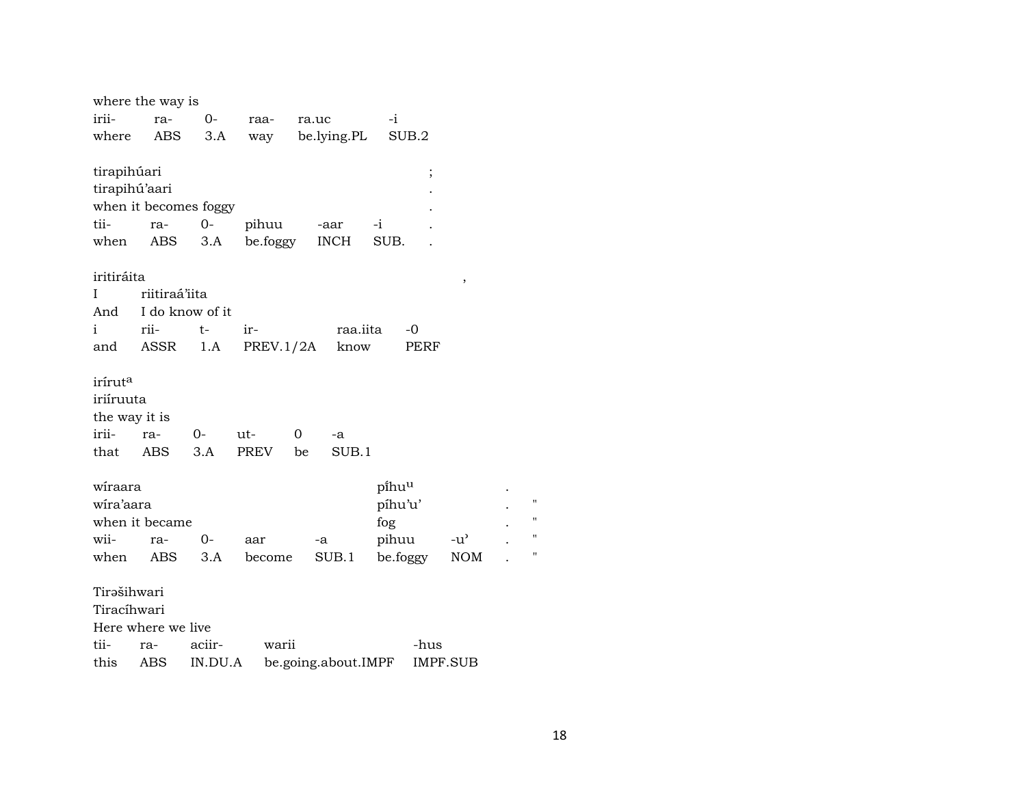|                     | where the way is      |         |           |                     |          |                 |                    |
|---------------------|-----------------------|---------|-----------|---------------------|----------|-----------------|--------------------|
| irii-               | ra-                   | $0-$    | raa-      | ra.uc               | $-i$     |                 |                    |
| where               | ABS                   | 3.A     | way       | be.lying.PL         | SUB.2    |                 |                    |
|                     |                       |         |           |                     |          |                 |                    |
| tirapihúari         |                       |         |           |                     | $\vdots$ |                 |                    |
| tirapihú'aari       |                       |         |           |                     |          |                 |                    |
|                     | when it becomes foggy |         |           |                     |          |                 |                    |
| tii-                | ra-                   | $0-$    | pihuu     | -aar                | -i       |                 |                    |
| when                | ABS                   | 3.A     | be.foggy  | <b>INCH</b>         | SUB.     |                 |                    |
|                     |                       |         |           |                     |          |                 |                    |
| iritiráita          |                       |         |           |                     |          | ,               |                    |
| I                   | riitiraá'iita         |         |           |                     |          |                 |                    |
| And                 | I do know of it       |         |           |                     |          |                 |                    |
| i                   | rii-                  | t-      | ir-       | raa.iita            | -0       |                 |                    |
| and                 | ASSR                  | 1.A     | PREV.1/2A | know                | PERF     |                 |                    |
|                     |                       |         |           |                     |          |                 |                    |
| irírut <sup>a</sup> |                       |         |           |                     |          |                 |                    |
| iriíruuta           |                       |         |           |                     |          |                 |                    |
|                     |                       |         |           |                     |          |                 |                    |
| the way it is       |                       |         |           |                     |          |                 |                    |
| irii-               | ra-                   | 0-      | ut-       | 0<br>-a             |          |                 |                    |
| that                | ABS                   | 3.A     | PREV      | SUB.1<br>be         |          |                 |                    |
|                     |                       |         |           |                     |          |                 |                    |
| wiraara             |                       |         |           |                     | pihuu    |                 |                    |
| wira'aara           |                       |         |           |                     | píhu'u'  |                 | $\pmb{\mathsf{H}}$ |
|                     | when it became        |         |           |                     | fog      |                 | $\pmb{\mathsf{H}}$ |
| wii-                | ra-                   | $0-$    | aar       | -a                  | pihuu    | -u'             | $\pmb{\mathsf{H}}$ |
| when                | ABS                   | 3.A     | become    | SUB.1               | be.foggy | <b>NOM</b>      | н                  |
|                     |                       |         |           |                     |          |                 |                    |
| Tirašihwari         |                       |         |           |                     |          |                 |                    |
| Tiracíhwari         |                       |         |           |                     |          |                 |                    |
|                     | Here where we live    |         |           |                     |          |                 |                    |
| tii-                | ra-                   | aciir-  | warii     |                     | -hus     |                 |                    |
| this                | ABS                   | IN.DU.A |           | be.going.about.IMPF |          | <b>IMPF.SUB</b> |                    |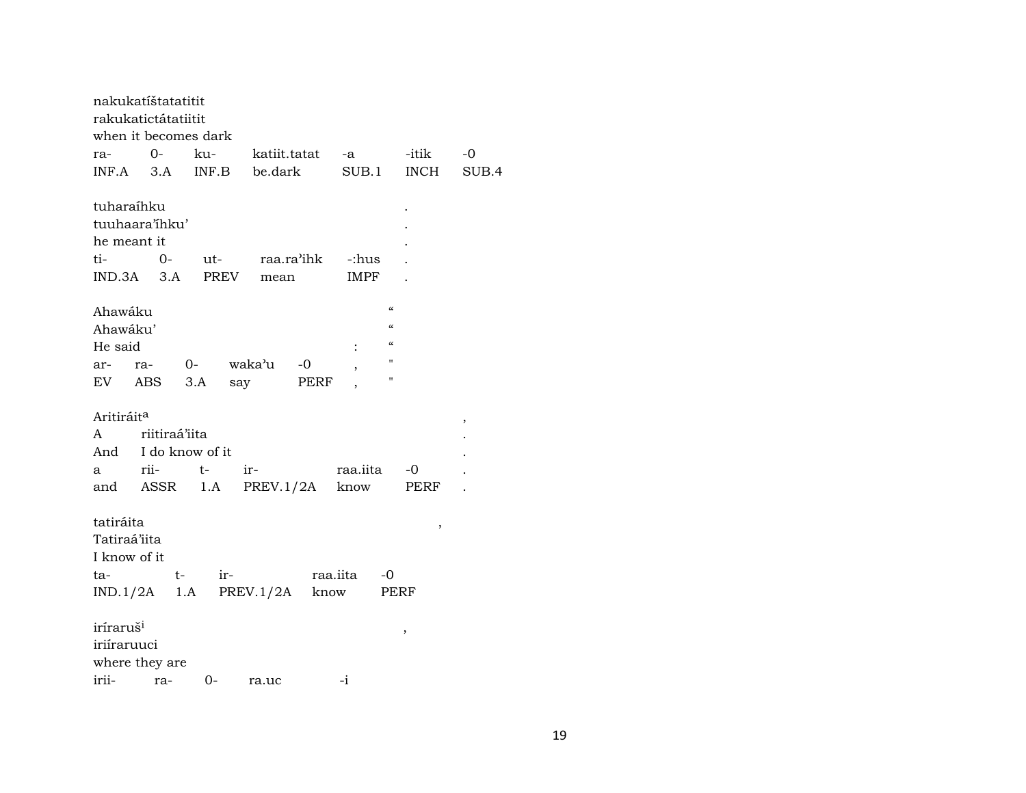|                        | nakukatíštatatitit   |     |                          |          |             |                          |       |
|------------------------|----------------------|-----|--------------------------|----------|-------------|--------------------------|-------|
|                        | rakukatictátatiitit  |     |                          |          |             |                          |       |
|                        | when it becomes dark |     |                          |          |             |                          |       |
| ra-                    | 0-                   | ku- |                          |          |             | katiit.tatat -a -itik    | -0    |
|                        |                      |     | INF.A 3.A INF.B be.dark  |          | SUB.1       | INCH                     | SUB.4 |
| tuharaíhku             |                      |     |                          |          |             |                          |       |
|                        | tuuhaara'ihku'       |     |                          |          |             |                          |       |
| he meant it            |                      |     |                          |          |             |                          |       |
| ti-                    | $O-$                 |     | ut- raa.ra'ihk           |          | -:hus       |                          |       |
| $IND.3A$ $3.A$         |                      |     | PREV mean                |          | <b>IMPF</b> |                          |       |
|                        |                      |     |                          |          |             |                          |       |
| Ahawáku                |                      |     |                          |          |             | $\pmb{\zeta}\pmb{\zeta}$ |       |
| Ahawáku'               |                      |     |                          |          |             | $\mathcal{C}\mathcal{C}$ |       |
| He said                |                      |     |                          |          |             | $\mathcal{C}\mathcal{C}$ |       |
| ar-                    | ra- 0-               |     | waka'u                   | $-0$     |             | н                        |       |
| EV ABS                 |                      | 3.A | say                      | PERF     |             | 11                       |       |
|                        |                      |     |                          |          |             |                          |       |
| Aritiráit <sup>a</sup> |                      |     |                          |          |             |                          | ,     |
| A                      | riitiraá'iita        |     |                          |          |             |                          |       |
|                        | And I do know of it  |     |                          |          |             |                          |       |
| a                      | rii-                 | t-  | $ir-$                    |          | raa.iita    | $-0$                     |       |
|                        | and ASSR 1.A         |     | PREV.1/2A                |          | know        | PERF                     |       |
|                        |                      |     |                          |          |             |                          |       |
| tatiráita              |                      |     |                          |          |             | $\, ,$                   |       |
| Tatiraá'iita           |                      |     |                          |          |             |                          |       |
| I know of it           |                      |     |                          |          |             |                          |       |
| ta-                    | $t-$                 | ir- |                          | raa.iita |             | -0                       |       |
|                        |                      |     | $IND.1/2A$ 1.A PREV.1/2A | know     |             | PERF                     |       |
|                        |                      |     |                          |          |             |                          |       |
| iríraruš <sup>i</sup>  |                      |     |                          |          |             |                          |       |
| iriíraruuci            |                      |     |                          |          |             | $\, ,$                   |       |
|                        | where they are       |     |                          |          |             |                          |       |
| irii-                  | ra-                  | 0-  | ra.uc                    |          | $-i$        |                          |       |
|                        |                      |     |                          |          |             |                          |       |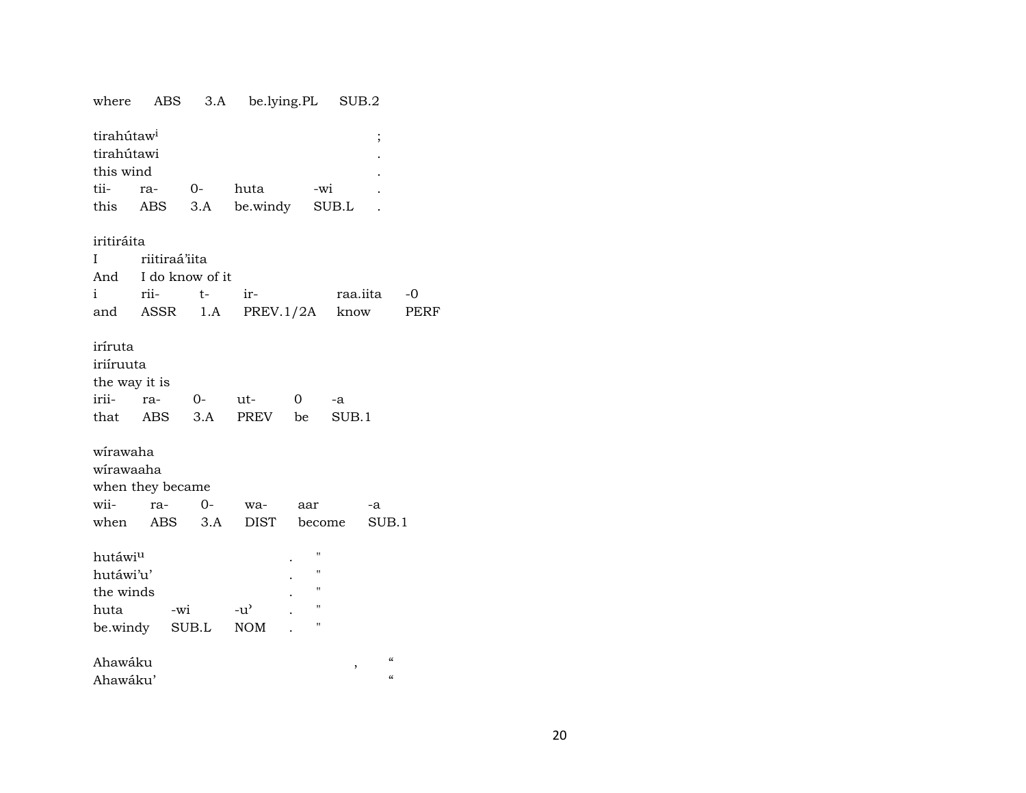SUB.2 where ABS  $3.A$ be.lying.PL tirahútaw<sup>i</sup>  $\vdots$ tirahútawi  $\ddot{\phantom{a}}$ this wind tiira- $O$ huta -wi  $\ddot{\phantom{a}}$ be.windy this ABS  $3.A$ SUB.L  $\ddot{\phantom{a}}$ iritiráita  $\mathbf I$ riitiraá'iita And I do know of it  $i$ rii $t$ irraa.iita  $-0$ ASSR  $1.A$  $PREV.1/2A$ know PERF and iríruta iriíruuta the way it is iriira- $O$ ut- $\overline{0}$  $-a$ ABS  $3.A$ PREV be  $SUB.1$ that wirawaha wirawaaha when they became wii- $0$ rawaaar  $-a$ when ABS **DIST**  $SUB.1$  $3.A$ become hutáwi<sup>u</sup>  $^{\prime}$ hutáwi'u'  $\overline{u}$ the winds  $^{\prime}$  $-u^{\flat}$ huta  $\boldsymbol{\theta}$ -wi be.windy  $\rm SUB.L$ **NOM**  $\pmb{\cdot}$  $\mathcal{L}$  $\boldsymbol{\mathcal{U}}$ Ahawáku  $\ddot{\phantom{a}}$ 

| Ahawáku' |  |
|----------|--|
|          |  |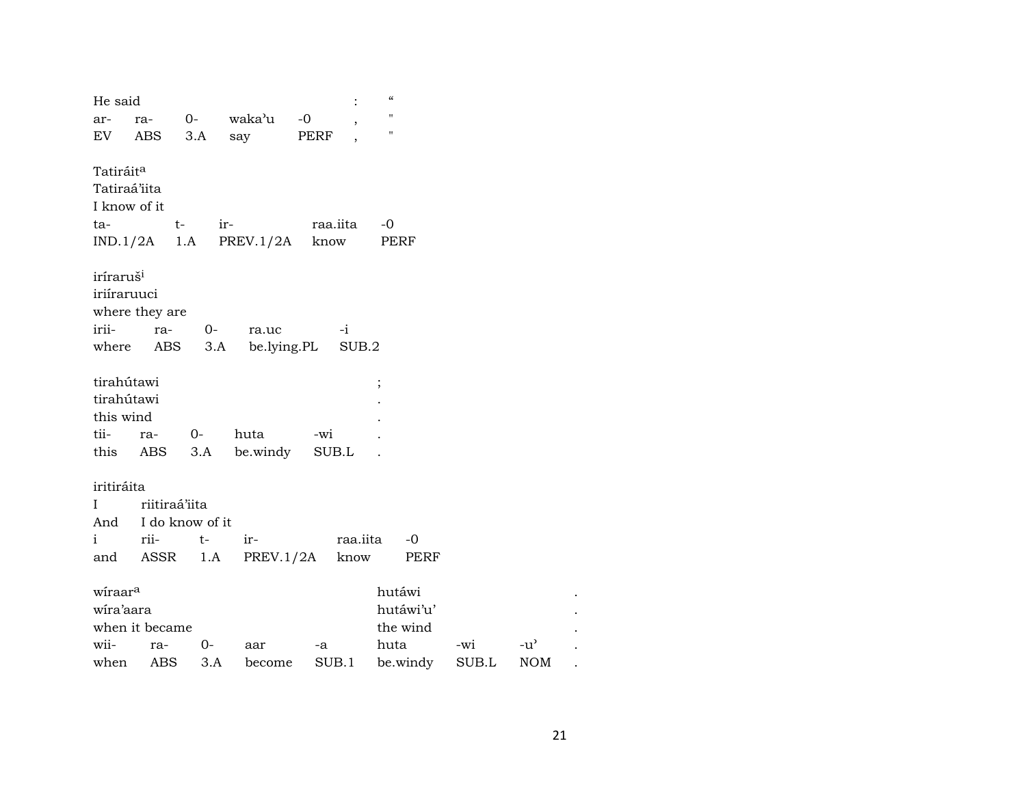| He said                                                      |                      |          |                 |      |          | $\epsilon$         |             |               |  |
|--------------------------------------------------------------|----------------------|----------|-----------------|------|----------|--------------------|-------------|---------------|--|
| ar-                                                          |                      |          | ra- 0- waka'u   | $-0$ |          | П                  |             |               |  |
| EV                                                           | ABS                  | 3.A      | say             | PERF |          | $\pmb{\mathsf{H}}$ |             |               |  |
| Tatiráit <sup>a</sup><br>Tatiraá'iita<br>I know of it<br>ta- | t-<br>$IND.1/2A$ 1.A | ir-      | PREV.1/2A       | know | raa.iita | $-0$<br>PERF       |             |               |  |
| iríraruš <sup>i</sup>                                        |                      |          |                 |      |          |                    |             |               |  |
| iriíraruuci                                                  |                      |          |                 |      |          |                    |             |               |  |
|                                                              | where they are       |          |                 |      |          |                    |             |               |  |
| irii-                                                        | ra-                  | $0-$     | ra.uc           |      | $-i$     |                    |             |               |  |
|                                                              | where ABS            |          | 3.A be.lying.PL |      | SUB.2    |                    |             |               |  |
|                                                              |                      |          |                 |      |          |                    |             |               |  |
| tirahútawi                                                   |                      |          |                 |      |          | $\vdots$           |             |               |  |
| tirahútawi                                                   |                      |          |                 |      |          |                    |             |               |  |
| this wind                                                    |                      |          |                 |      |          |                    |             |               |  |
| tii-                                                         | ra-<br>this ABS      | 0-       | huta            | -wi  |          |                    |             |               |  |
|                                                              |                      | 3.A      | be.windy        |      | SUB.L    |                    |             |               |  |
| iritiráita                                                   |                      |          |                 |      |          |                    |             |               |  |
| L                                                            | riitiraá'iita        |          |                 |      |          |                    |             |               |  |
| And                                                          | I do know of it      |          |                 |      |          |                    |             |               |  |
| $\mathbf{i}$                                                 | rii-                 | $t-$     | $ir-$           |      | raa.iita | $-0$               |             |               |  |
| and                                                          |                      | ASSR 1.A | PREV.1/2A       |      | know     | PERF               |             |               |  |
|                                                              |                      |          |                 |      |          |                    |             |               |  |
| wiraar <sup>a</sup>                                          |                      |          |                 |      |          | hutáwi             |             |               |  |
| wira'aara                                                    |                      |          |                 |      |          | hutáwi'u'          |             |               |  |
|                                                              | when it became       |          |                 |      |          | the wind           |             |               |  |
| wii-                                                         | ra-                  | $O-$     | aar             | -a   |          | huta               | -wi         | $-u^{\prime}$ |  |
| when                                                         | ABS                  | 3.A      | become          |      | SUB.1    | be.windy           | $\rm SUB.L$ | <b>NOM</b>    |  |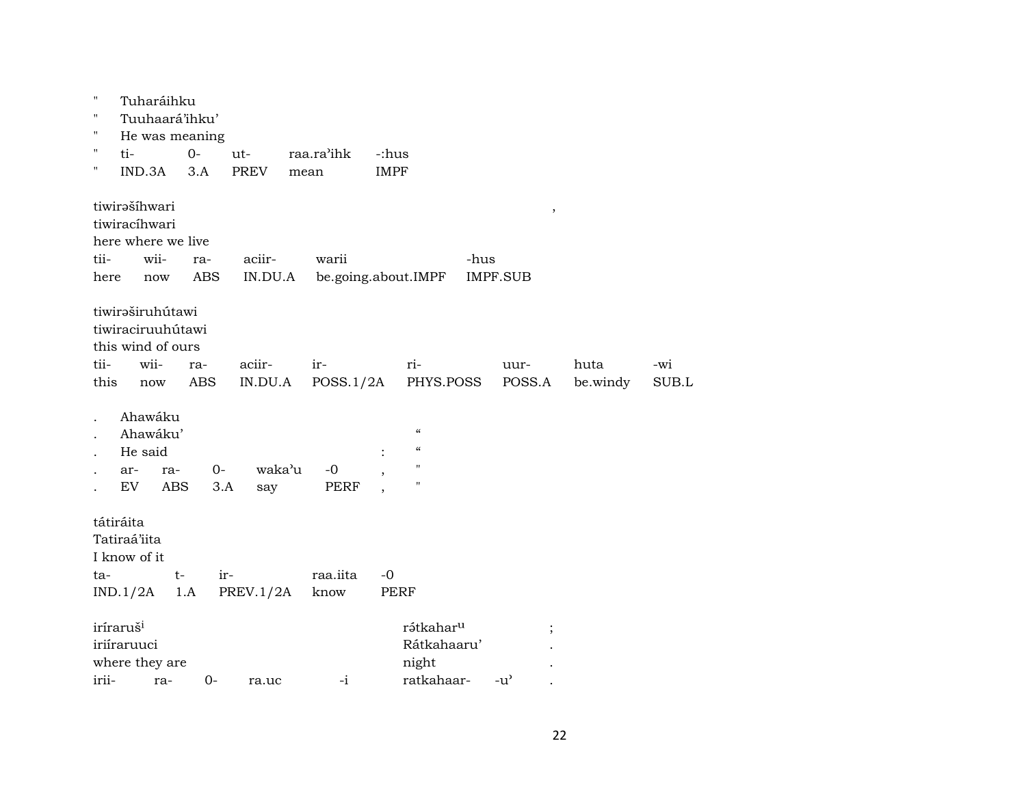| $\pmb{\mathsf{H}}$ | Tuharáihku            |             |             |             |             |                       |                 |        |          |       |
|--------------------|-----------------------|-------------|-------------|-------------|-------------|-----------------------|-----------------|--------|----------|-------|
| $\pmb{\mathsf{H}}$ | Tuuhaará'ihku'        |             |             |             |             |                       |                 |        |          |       |
| $\pmb{\mathsf{H}}$ | He was meaning        |             |             |             |             |                       |                 |        |          |       |
| $\pmb{\mathsf{H}}$ | ti-                   | $0-$        | ut-         | raa.ra'ihk  | -:hus       |                       |                 |        |          |       |
| $\pmb{\mathsf{H}}$ | IND.3A                | 3.A         | <b>PREV</b> | mean        | <b>IMPF</b> |                       |                 |        |          |       |
|                    | tiwirašíhwari         |             |             |             |             |                       |                 | $\, ,$ |          |       |
|                    | tiwiracíhwari         |             |             |             |             |                       |                 |        |          |       |
|                    | here where we live    |             |             |             |             |                       |                 |        |          |       |
| tii-               | wii-                  | ra-         | aciir-      | warii       |             | -hus                  |                 |        |          |       |
| here               | now                   | ABS         | IN.DU.A     |             |             | be.going.about.IMPF   | <b>IMPF.SUB</b> |        |          |       |
|                    | tiwiraširuhútawi      |             |             |             |             |                       |                 |        |          |       |
|                    | tiwiraciruuhútawi     |             |             |             |             |                       |                 |        |          |       |
|                    | this wind of ours     |             |             |             |             |                       |                 |        |          |       |
| tii-               | wii-                  | ra-         | aciir-      | ir-         |             | ri-                   | uur-            |        | huta     | -wi   |
| this               | $\operatorname{now}$  | ABS         | IN.DU.A     | POSS.1/2A   |             | PHYS.POSS             | POSS.A          |        | be.windy | SUB.L |
|                    | Ahawáku               |             |             |             |             |                       |                 |        |          |       |
|                    | Ahawáku'              |             |             |             |             | $\mathcal{C}$         |                 |        |          |       |
|                    | He said               |             |             |             |             | $\mathcal{C}$         |                 |        |          |       |
|                    | ar-<br>ra-            | $0-$        | waka'u      | $-0$        |             | $\mathbf{H}$          |                 |        |          |       |
|                    | EV<br>ABS             | 3.A         | say         | <b>PERF</b> |             | $\mathbf{H}$          |                 |        |          |       |
|                    | tátiráita             |             |             |             |             |                       |                 |        |          |       |
|                    | Tatiraá'iita          |             |             |             |             |                       |                 |        |          |       |
|                    | I know of it          |             |             |             |             |                       |                 |        |          |       |
| ta-                |                       | $t-$<br>ir- |             | raa.iita    | $-0$        |                       |                 |        |          |       |
|                    | IND.1/2A              | 1.A         | PREV.1/2A   | know        |             | <b>PERF</b>           |                 |        |          |       |
|                    | iríraruš <sup>i</sup> |             |             |             |             | rátkahar <sup>u</sup> |                 |        |          |       |
|                    | iriíraruuci           |             |             |             |             | Rátkahaaru'           |                 |        |          |       |
|                    | where they are        |             |             |             |             | night                 |                 |        |          |       |
| irii-              | ra-                   | $0-$        | ra.uc       | $-i$        |             | ratkahaar-            | $-u^{\prime}$   |        |          |       |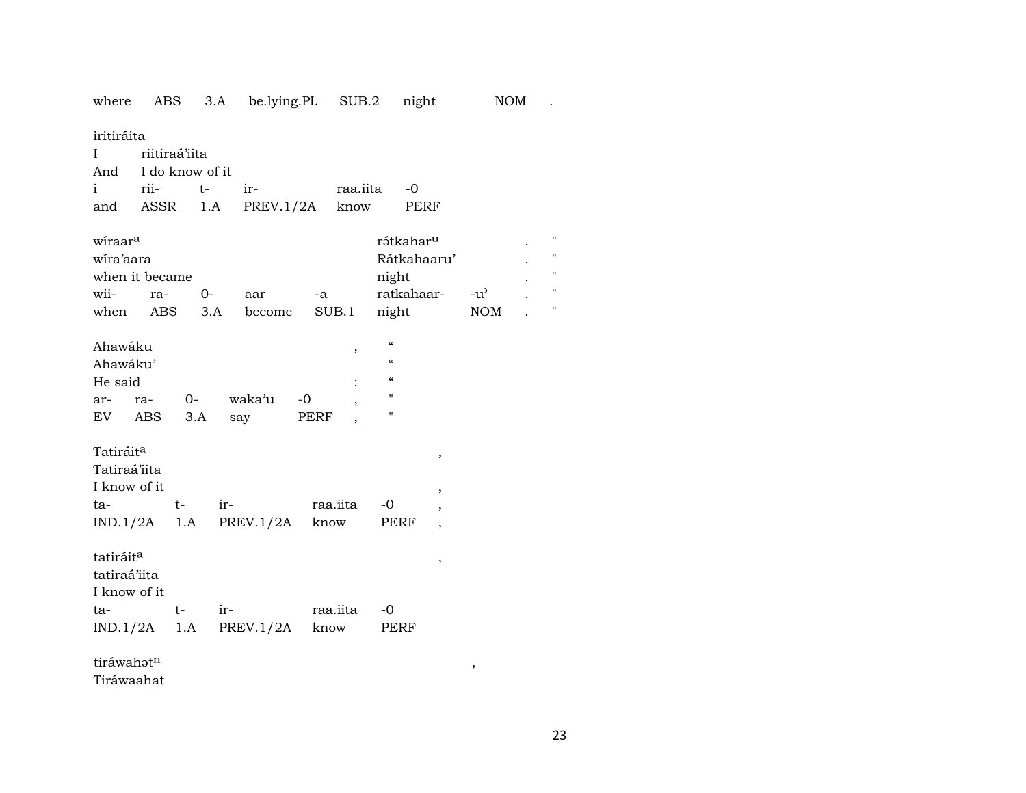where ABS 3.A be.lying.PL SUB.2 night NOM .

iritiráita

|               | I riitiraá'iita     |                                  |             |  |  |  |  |  |  |  |
|---------------|---------------------|----------------------------------|-------------|--|--|--|--|--|--|--|
|               | And I do know of it |                                  |             |  |  |  |  |  |  |  |
| i rii- t- ir- |                     |                                  | raa.iita -0 |  |  |  |  |  |  |  |
|               |                     | and ASSR 1.A PREV.1/2A know PERF |             |  |  |  |  |  |  |  |
|               |                     |                                  |             |  |  |  |  |  |  |  |

| wíraar <sup>a</sup> |       |         |        |       | rátkahar <sup>u</sup> |                    | $^{\prime\prime}$ |
|---------------------|-------|---------|--------|-------|-----------------------|--------------------|-------------------|
| wira'aara           |       |         |        |       | Rátkahaaru'           |                    |                   |
| when it became      |       |         |        |       | night                 |                    |                   |
| wii-                | $ra-$ | $($ ) – | aar    | -a    | ratkahaar-            | $-11$ <sup>2</sup> | $^{\prime\prime}$ |
| when                | ABS.  | 3.A     | become | SUB.1 | night                 | <b>NOM</b>         |                   |

| Ahawáku  |     |      |        |      |   | $\epsilon$ |
|----------|-----|------|--------|------|---|------------|
| Ahawáku' |     |      |        |      |   | $\epsilon$ |
| He said  |     |      |        |      | ٠ | $\epsilon$ |
| $ar-$    | ra- | $O-$ | waka'u | $-0$ |   | п          |
| EV       | ABS | 3.A  | sav    | PERF |   | "          |

| Tatiráit <sup>a</sup><br>Tatiraá'iita<br>I know of it<br>ta-<br>$IND.1/2A$ 1.A PREV.1/2A | $t-$ | $ir-$ | raa.iita<br>know | $-0$<br>PERF | $\overline{\phantom{a}}$<br>$\, \,$<br>$\overline{ }$ |
|------------------------------------------------------------------------------------------|------|-------|------------------|--------------|-------------------------------------------------------|
| tatiráit <sup>a</sup><br>tatiraá'iita<br>I know of it                                    |      |       |                  |              | $\overline{\phantom{a}}$                              |
| ta-<br>$IND.1/2A$ 1.A PREV.1/2A                                                          | t-   | ir-   | raa.iita<br>know | -0<br>PERF   |                                                       |

 $\text{tráwahət}^{\text{n}}$  ,

Tiráwaahat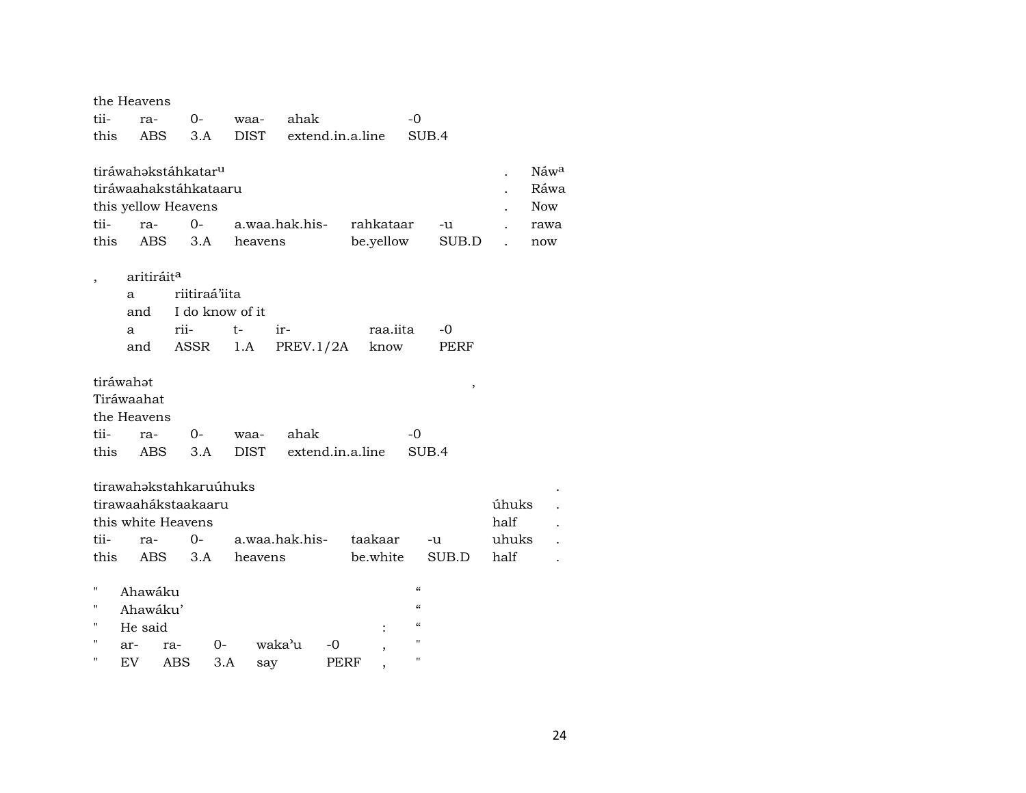|              | the Heavens                                                                                          |              |                        |                        |                  |                        |                          |             |       |                                           |
|--------------|------------------------------------------------------------------------------------------------------|--------------|------------------------|------------------------|------------------|------------------------|--------------------------|-------------|-------|-------------------------------------------|
| tii-         | ra-                                                                                                  | $0-$         | waa-                   | ahak                   |                  |                        | $-0$                     |             |       |                                           |
| this         | <b>ABS</b>                                                                                           | 3.A          | DIST                   |                        | extend.in.a.line |                        | SUB.4                    |             |       |                                           |
| tii-<br>this | tiráwahakstáhkatar <sup>u</sup><br>tiráwaahakstáhkataaru<br>this yellow Heavens<br>ra-<br><b>ABS</b> | $0-$<br>3.A  | heavens                | a.waa.hak.his-         |                  | rahkataar<br>be.yellow |                          | -u<br>SUB.D |       | Náwa<br>Ráwa<br><b>Now</b><br>rawa<br>now |
|              |                                                                                                      |              |                        |                        |                  |                        |                          |             |       |                                           |
|              | aritiráit <sup>a</sup>                                                                               |              |                        |                        |                  |                        |                          |             |       |                                           |
|              | a                                                                                                    |              | riitiraá'iita          |                        |                  |                        |                          |             |       |                                           |
|              | and                                                                                                  |              | I do know of it        |                        |                  |                        |                          |             |       |                                           |
|              | a<br>and                                                                                             | rii-<br>ASSR | $t-$                   | ir-<br>PREV.1/2A       |                  | raa.iita<br>know       |                          | -0<br>PERF  |       |                                           |
|              |                                                                                                      |              | 1.A                    |                        |                  |                        |                          |             |       |                                           |
|              | tiráwahət                                                                                            |              |                        |                        |                  |                        |                          | $\,$        |       |                                           |
|              | Tiráwaahat                                                                                           |              |                        |                        |                  |                        |                          |             |       |                                           |
|              | the Heavens                                                                                          |              |                        |                        |                  |                        |                          |             |       |                                           |
| tii-         | ra-                                                                                                  | $0-$         | waa-                   | ahak                   |                  |                        | -0                       |             |       |                                           |
| this         | <b>ABS</b>                                                                                           | 3.A          | <b>DIST</b>            |                        | extend.in.a.line |                        | SUB.4                    |             |       |                                           |
|              |                                                                                                      |              |                        |                        |                  |                        |                          |             |       |                                           |
|              |                                                                                                      |              | tirawahakstahkaruúhuks |                        |                  |                        |                          |             |       |                                           |
|              | tirawaahákstaakaaru                                                                                  |              |                        |                        |                  |                        |                          |             | úhuks |                                           |
|              | this white Heavens                                                                                   |              |                        |                        |                  |                        |                          |             | half  |                                           |
| tii-         | ra-                                                                                                  | $0-$         |                        | a.waa.hak.his- taakaar |                  |                        |                          | -u          | uhuks |                                           |
| this         | ABS                                                                                                  | 3.A          | heavens                |                        |                  | be.white               |                          | SUB.D       | half  |                                           |
| н            | Ahawáku                                                                                              |              |                        |                        |                  |                        | $\pmb{\zeta}\pmb{\zeta}$ |             |       |                                           |
| П            | Ahawáku'                                                                                             |              |                        |                        |                  |                        | $\mathcal{C}\mathcal{C}$ |             |       |                                           |
| П            | He said                                                                                              |              |                        |                        |                  |                        | $\mathcal{C}$            |             |       |                                           |
| Н            | ar-                                                                                                  | ra-          | $0-$                   | waka'u                 | -0               |                        | $\blacksquare$           |             |       |                                           |
| н            | EV                                                                                                   | ABS          | 3.A                    | say                    | PERF             |                        | $\pmb{\mathsf{H}}$       |             |       |                                           |
|              |                                                                                                      |              |                        |                        |                  |                        |                          |             |       |                                           |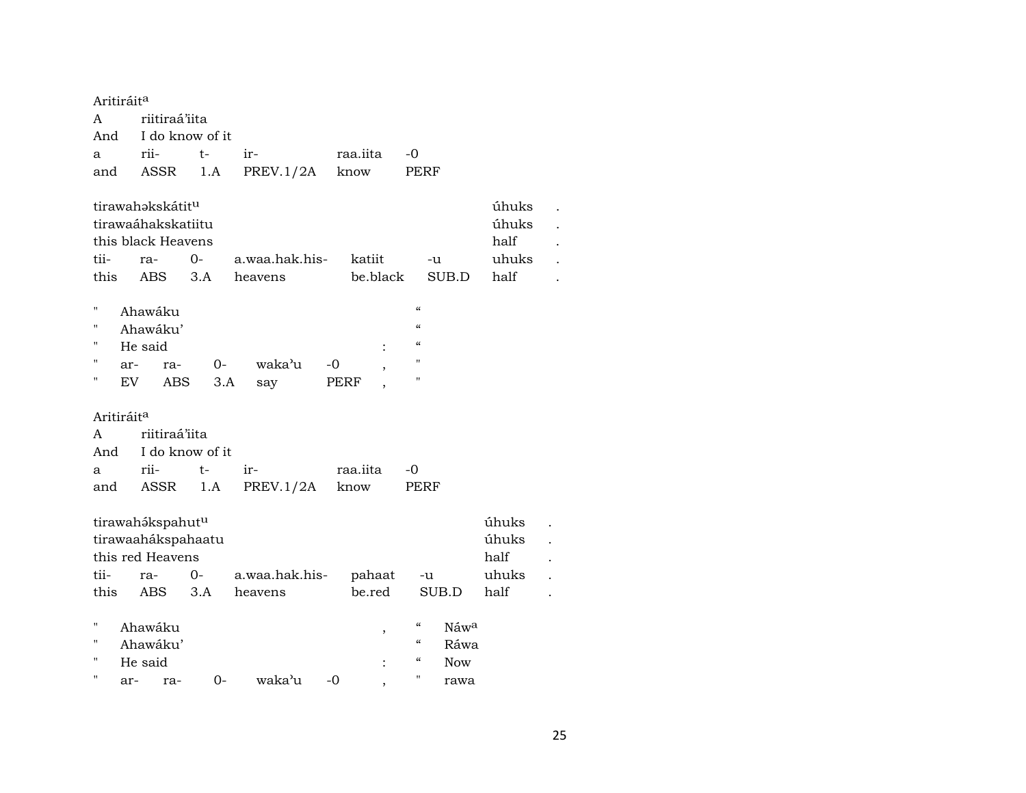| Aritiráit <sup>a</sup> |     |                    |      |                |          |          |                    |                  |       |  |
|------------------------|-----|--------------------|------|----------------|----------|----------|--------------------|------------------|-------|--|
| A                      |     | riitiraá'iita      |      |                |          |          |                    |                  |       |  |
| And                    |     | I do know of it    |      |                |          |          |                    |                  |       |  |
| a                      |     | rii-               | t-   | ir-            | raa.iita |          | $-0$               |                  |       |  |
| and                    |     | ASSR               | 1.A  | PREV.1/2A      | know     |          | PERF               |                  |       |  |
|                        |     | tirawahakskátitu   |      |                |          |          |                    |                  | úhuks |  |
|                        |     | tirawaáhakskatiitu |      |                |          |          |                    |                  | úhuks |  |
|                        |     | this black Heavens |      |                |          |          |                    |                  | half  |  |
| tii-                   |     | ra-                | 0-   | a.waa.hak.his- |          | katiit   | -u                 |                  | uhuks |  |
| this                   |     | <b>ABS</b>         | 3.A  | heavens        |          | be.black |                    | SUB.D            | half  |  |
| $^{\prime}$            |     | Ahawáku            |      |                |          |          | $\epsilon\epsilon$ |                  |       |  |
| $^{\prime\prime}$      |     | Ahawáku'           |      |                |          |          | $\epsilon\epsilon$ |                  |       |  |
| $\blacksquare$         |     | He said            |      |                |          |          | $\epsilon$         |                  |       |  |
| $\blacksquare$         | ar- | ra-                | 0-   | waka'u         | -0       |          | $\pmb{\mathsf{H}}$ |                  |       |  |
| 11                     | EV  | ABS                | 3.A  | say            | PERF     | ,        | $\pmb{\mathsf{H}}$ |                  |       |  |
| Aritiráit <sup>a</sup> |     |                    |      |                |          |          |                    |                  |       |  |
| A                      |     | riitiraá'iita      |      |                |          |          |                    |                  |       |  |
| And                    |     | I do know of it    |      |                |          |          |                    |                  |       |  |
| a                      |     | rii-               | $t-$ | ir-            | raa.iita |          | -0                 |                  |       |  |
| and                    |     | ASSR               | 1.A  | PREV.1/2A      | know     |          | PERF               |                  |       |  |
|                        |     |                    |      |                |          |          |                    |                  |       |  |
|                        |     | tirawahákspahutu   |      |                |          |          |                    |                  | úhuks |  |
|                        |     | tirawaahákspahaatu |      |                |          |          |                    |                  | úhuks |  |
|                        |     | this red Heavens   |      |                |          |          |                    |                  | half  |  |
| tii-                   |     | ra-                | $0-$ | a.waa.hak.his- |          | pahaat   | -u                 |                  | uhuks |  |
| this                   |     | ABS                | 3.A  | heavens        |          | be.red   |                    | SUB.D            | half  |  |
| $\blacksquare$         |     | Ahawáku            |      |                |          |          | $\mathcal{C}$      | Náw <sup>a</sup> |       |  |
| П                      |     | Ahawáku'           |      |                |          |          | $\epsilon\epsilon$ | Ráwa             |       |  |
| $\blacksquare$         |     | He said            |      |                |          |          | $\epsilon\epsilon$ | <b>Now</b>       |       |  |
| п                      | ar- | ra-                | $0-$ | waka'u         | -0       |          | п                  | rawa             |       |  |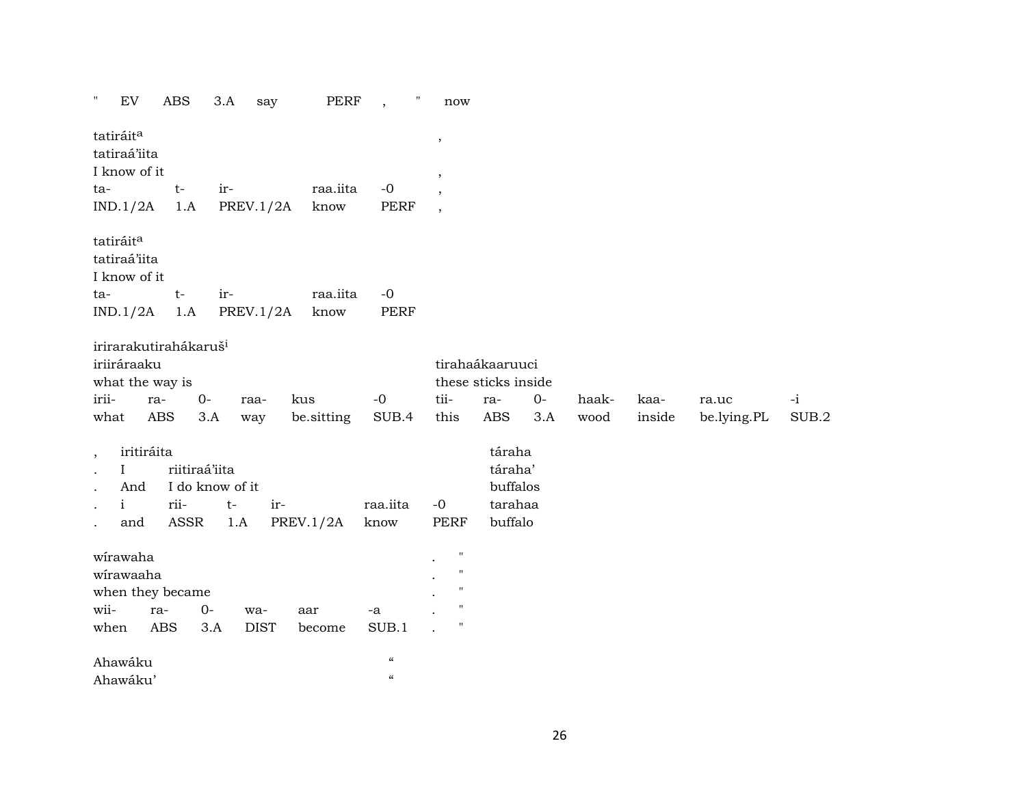| Ħ<br>EV                                                                      | <b>ABS</b> |               | 3.A             | say         | PERF             | $\pmb{\mathsf{H}}$                     | now                      |                                               |      |       |        |             |       |
|------------------------------------------------------------------------------|------------|---------------|-----------------|-------------|------------------|----------------------------------------|--------------------------|-----------------------------------------------|------|-------|--------|-------------|-------|
| tatiráit <sup>a</sup><br>tatiraá'iita<br>I know of it                        |            |               |                 |             |                  |                                        | $\,$<br>,                |                                               |      |       |        |             |       |
| ta-                                                                          | $t-$       |               | ir-             |             | raa.iita         | $-0$                                   | $\overline{\phantom{a}}$ |                                               |      |       |        |             |       |
| IND.1/2A                                                                     |            | 1.A           | PREV.1/2A       |             | know             | PERF                                   | $\overline{\phantom{a}}$ |                                               |      |       |        |             |       |
| tatiráit <sup>a</sup><br>tatiraá'iita<br>I know of it                        |            |               |                 |             |                  |                                        |                          |                                               |      |       |        |             |       |
| ta-                                                                          | $t-$       |               | ir-             |             | raa.iita         | $-0$                                   |                          |                                               |      |       |        |             |       |
| IND.1/2A                                                                     |            | 1.A           | PREV.1/2A       |             | know             | PERF                                   |                          |                                               |      |       |        |             |       |
| irirarakutirahákaruš <sup>i</sup><br>iriiráraaku<br>what the way is<br>irii- | ra-        | $0-$          | raa-            | kus         |                  | $-0$                                   | tii-                     | tirahaákaaruuci<br>these sticks inside<br>ra- | $0-$ | haak- | kaa-   | ra.uc       | $-i$  |
| what                                                                         | ABS        | 3.A           | way             |             | be.sitting       | SUB.4                                  | this                     | <b>ABS</b>                                    | 3.A  | wood  | inside | be.lying.PL | SUB.2 |
| $\cdot$<br>$\bf{I}$<br>$\bullet$<br>And<br>$\ddot{\phantom{0}}$              | iritiráita | riitiraá'iita | I do know of it |             |                  |                                        |                          | táraha<br>táraha'<br>buffalos                 |      |       |        |             |       |
| $\mathbf{i}$<br>$\bullet$                                                    | rii-       |               | $t-$            | ir-         |                  | raa.iita                               | $-0$                     | tarahaa                                       |      |       |        |             |       |
| and<br>$\ddot{\phantom{0}}$                                                  |            | ASSR          | 1.A             |             | <b>PREV.1/2A</b> | know                                   | PERF                     | buffalo                                       |      |       |        |             |       |
| wirawaha<br>wirawaaha<br>when they became                                    |            |               |                 |             |                  |                                        | 11<br>11<br>11           |                                               |      |       |        |             |       |
| wii-                                                                         | ra-        | $O -$         | wa-             |             | aar              | -a                                     | 11                       |                                               |      |       |        |             |       |
| when                                                                         | ABS        | 3.A           |                 | <b>DIST</b> | become           | SUB.1                                  | П                        |                                               |      |       |        |             |       |
| Ahawáku                                                                      |            |               |                 |             |                  | $\boldsymbol{\zeta}\boldsymbol{\zeta}$ |                          |                                               |      |       |        |             |       |
| Ahawáku'                                                                     |            |               |                 |             |                  | $\boldsymbol{\mathcal{C}}$             |                          |                                               |      |       |        |             |       |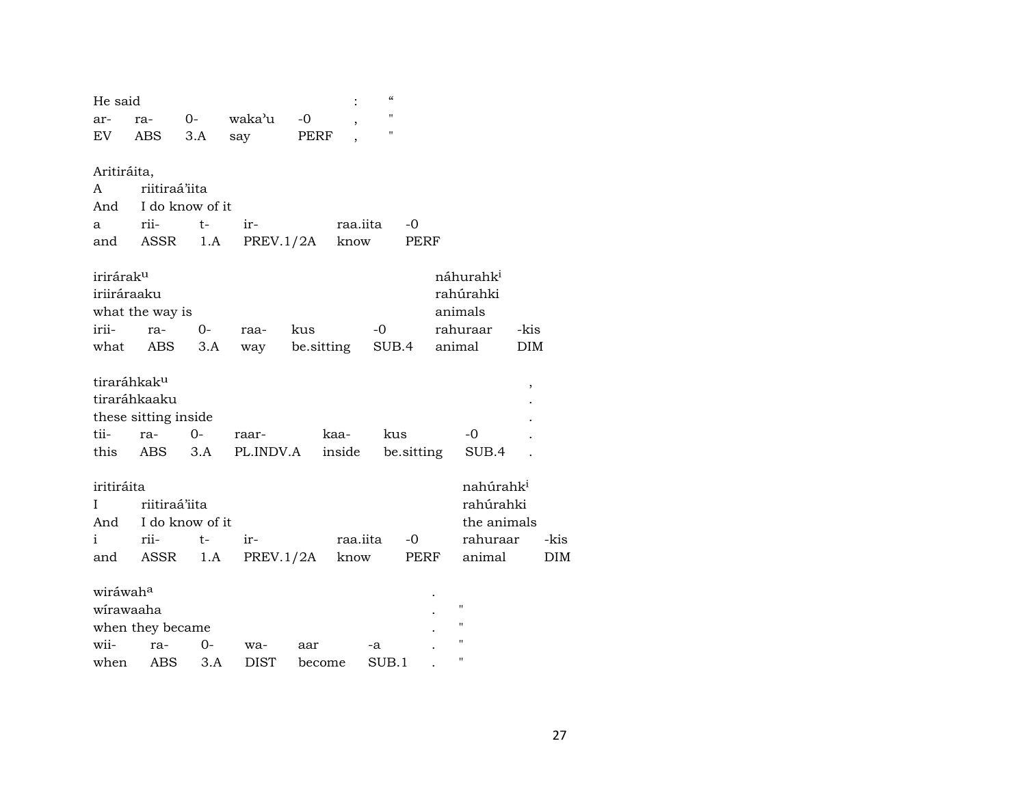| He said               |                         |                 |           |      |                          | $\pmb{\zeta}\pmb{\zeta}$ |            |        |                       |                     |      |
|-----------------------|-------------------------|-----------------|-----------|------|--------------------------|--------------------------|------------|--------|-----------------------|---------------------|------|
| ar-                   | ra-                     | $0-$            | waka'u    | $-0$ | $\overline{\phantom{a}}$ | $\mathbf{H}$             |            |        |                       |                     |      |
| EV                    | ABS                     | 3.A             | say       | PERF |                          | п                        |            |        |                       |                     |      |
| Aritiráita,           |                         |                 |           |      |                          |                          |            |        |                       |                     |      |
| A                     | riitiraá'iita           |                 |           |      |                          |                          |            |        |                       |                     |      |
| And                   |                         | I do know of it |           |      |                          |                          |            |        |                       |                     |      |
| a                     | rii-                    | t-              | ir-       |      | raa.iita                 |                          | -0         |        |                       |                     |      |
| and                   | ASSR                    | 1.A             | PREV.1/2A |      | know                     |                          | PERF       |        |                       |                     |      |
| irirárak <sup>u</sup> |                         |                 |           |      |                          |                          |            |        | náhurahk <sup>i</sup> |                     |      |
| iriiráraaku           |                         |                 |           |      |                          |                          |            |        | rahúrahki             |                     |      |
|                       | what the way is         |                 |           |      |                          |                          |            |        | animals               |                     |      |
| irii-                 | ra-                     | 0-              | raa-      | kus  |                          | $-0$                     |            |        | rahuraar              | -kis                |      |
| what                  | ABS                     | 3.A             | way       |      | be sitting               |                          | SUB.4      | animal |                       | <b>DIM</b>          |      |
|                       | tiraráhkak <sup>u</sup> |                 |           |      |                          |                          |            |        |                       | $\pmb{\mathcal{I}}$ |      |
|                       | tiraráhkaaku            |                 |           |      |                          |                          |            |        |                       |                     |      |
|                       | these sitting inside    |                 |           |      |                          |                          |            |        |                       |                     |      |
| tii-                  | ra-                     | $O -$           | raar-     |      | kaa-                     | kus                      |            |        | -0                    |                     |      |
| this                  | ABS                     | 3.A             | PL.INDV.A |      | inside                   |                          | be.sitting |        | SUB.4                 |                     |      |
| iritiráita            |                         |                 |           |      |                          |                          |            |        | nahúrahk <sup>i</sup> |                     |      |
| I                     | riitiraá'iita           |                 |           |      |                          |                          |            |        | rahúrahki             |                     |      |
| And                   |                         | I do know of it |           |      |                          |                          |            |        | the animals           |                     |      |
| i                     | rii-                    | $t-$            | ir-       |      | raa.iita                 |                          | $-0$       |        | rahuraar              |                     | -kis |
|                       | and ASSR                | 1.A             | PREV.1/2A |      |                          | know                     | PERF       |        | animal                |                     | DIM  |
| wiráwah <sup>a</sup>  |                         |                 |           |      |                          |                          |            |        |                       |                     |      |
| wirawaaha             |                         |                 |           |      |                          |                          |            |        | п                     |                     |      |
|                       | when they became        |                 |           |      |                          |                          |            |        | п                     |                     |      |
| wii-                  | ra-                     | $0 -$           | wa-       | aar  |                          | -a                       |            |        | п                     |                     |      |
| when                  | ABS                     | 3.A             | DIST      |      | become                   | SUB.1                    |            |        | п                     |                     |      |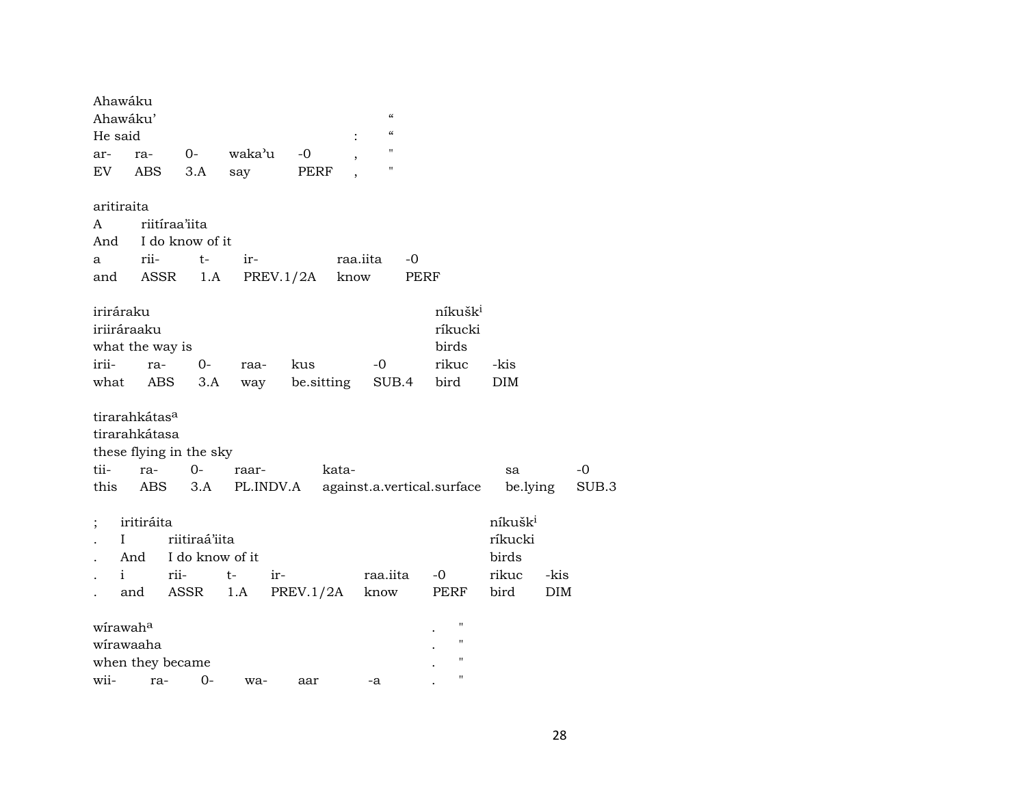| Ahawáku<br>Ahawáku'<br>He said |                                                          |                                                  |                      |                   | $\mathcal{C}$<br>$\alpha$                |                                                          |                                                          |                    |               |
|--------------------------------|----------------------------------------------------------|--------------------------------------------------|----------------------|-------------------|------------------------------------------|----------------------------------------------------------|----------------------------------------------------------|--------------------|---------------|
| ar-<br>EV                      | ra-<br>ABS                                               | $0-$<br>3.A                                      | waka'u<br>say        | -0<br>PERF        | $\pmb{\mathsf{H}}$<br>$\pmb{\mathsf{H}}$ |                                                          |                                                          |                    |               |
| aritiraita                     |                                                          |                                                  |                      |                   |                                          |                                                          |                                                          |                    |               |
| A                              |                                                          | riitiraa'iita                                    |                      |                   |                                          |                                                          |                                                          |                    |               |
| And                            |                                                          | I do know of it                                  |                      |                   |                                          |                                                          |                                                          |                    |               |
| a                              | rii-                                                     | $t-$                                             | ir-                  |                   | raa.iita<br>$-0$                         |                                                          |                                                          |                    |               |
| and                            | ASSR                                                     | 1.A                                              | PREV.1/2A            |                   | know                                     | PERF                                                     |                                                          |                    |               |
| iriráraku<br>irii-<br>what     | iriiráraaku<br>what the way is<br>ra-<br>ABS             | $0-$<br>3.A                                      | raa-<br>way          | kus<br>be.sitting | -0<br>SUB.4                              | níkušk <sup>i</sup><br>ríkucki<br>birds<br>rikuc<br>bird | -kis<br><b>DIM</b>                                       |                    |               |
| tii-<br>this                   | tirarahkátas <sup>a</sup><br>tirarahkátasa<br>ra-<br>ABS | these flying in the sky<br>$0-$<br>3.A           | raar-<br>PL.INDV.A   | kata-             |                                          | against.a.vertical.surface                               | sa<br>be.lying                                           |                    | $-0$<br>SUB.3 |
| $\vdots$<br>L<br>i             | iritiráita<br>And<br>and                                 | riitiraá'iita<br>I do know of it<br>rii-<br>ASSR | $t-$<br>$ir-$<br>1.A | PREV.1/2A         | raa.iita<br>know                         | $-0$<br>PERF                                             | níkušk <sup>i</sup><br>ríkucki<br>birds<br>rikuc<br>bird | -kis<br><b>DIM</b> |               |
| wirawaha<br>wii-               | wirawaaha<br>when they became<br>ra-                     | 0-                                               | wa-                  | aar               | -a                                       | $\pmb{\mathsf{H}}$<br>$\mathbf{H}$<br>п<br>п             |                                                          |                    |               |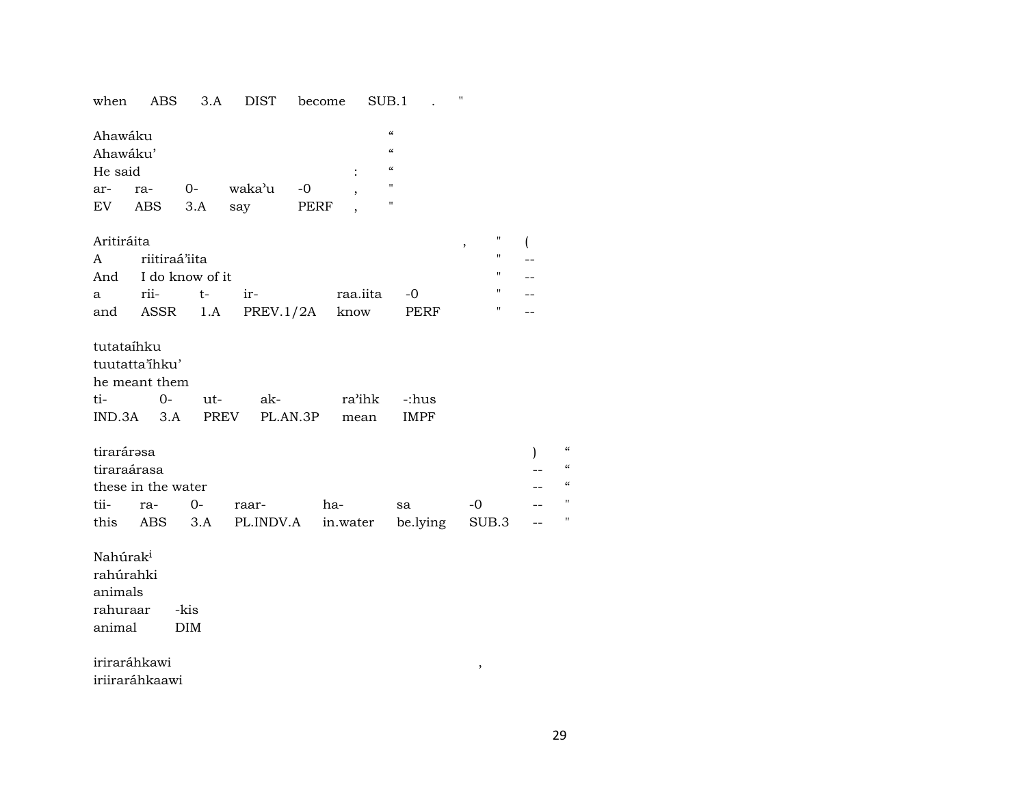| when                                                               | ABS                                                       | 3.A                | <b>DIST</b> | become         | SUB.1                                                              |                      | $\pmb{\mathsf{H}}$ |              |
|--------------------------------------------------------------------|-----------------------------------------------------------|--------------------|-------------|----------------|--------------------------------------------------------------------|----------------------|--------------------|--------------|
| Ahawáku<br>Ahawáku'<br>He said                                     |                                                           |                    |             | $\ddot{\cdot}$ | $\pmb{\zeta}\pmb{\zeta}$<br>$\mathcal{C}\mathcal{C}$<br>$\epsilon$ |                      |                    |              |
| ar-                                                                | ra-                                                       | $O-$               | waka'u      | -0             | $\pmb{\mathsf{H}}$                                                 |                      |                    |              |
| EV                                                                 | <b>ABS</b>                                                | 3.A                | say         | PERF           | $\pmb{\mathsf{H}}$                                                 |                      |                    |              |
| Aritiráita                                                         |                                                           |                    |             |                |                                                                    |                      | н<br>$\, ,$        |              |
| A                                                                  | riitiraá'iita                                             |                    |             |                |                                                                    |                      | $\pmb{\mathsf{H}}$ |              |
| And                                                                |                                                           | I do know of it    |             |                |                                                                    |                      | "                  |              |
| a                                                                  | rii-                                                      | $t-$               | ir-         |                | raa.iita                                                           | $-0$                 | 11                 |              |
|                                                                    | and ASSR                                                  | 1.A                | PREV.1/2A   | know           |                                                                    | PERF                 | Η                  |              |
| tutataíhku<br>ti-                                                  | tuutatta'ihku'<br>he meant them<br>$0-$<br>$IND.3A$ $3.A$ | ut-<br>PREV        | ak-         | PL.AN.3P       | ra'ihk<br>mean                                                     | -:hus<br><b>IMPF</b> |                    |              |
| tirarárasa                                                         |                                                           |                    |             |                |                                                                    |                      |                    | $\mathbf{I}$ |
| tiraraárasa                                                        |                                                           |                    |             |                |                                                                    |                      |                    |              |
|                                                                    | these in the water                                        |                    |             |                |                                                                    |                      |                    |              |
| tii-                                                               | ra-                                                       | $0-$               | raar-       | ha-            |                                                                    | sa                   | $-0$               |              |
| this                                                               | ABS                                                       | 3.A                | PL.INDV.A   | in.water       |                                                                    | be.lying             | SUB.3              |              |
| Nahúrak <sup>i</sup><br>rahúrahki<br>animals<br>rahuraar<br>animal |                                                           | -kis<br><b>DIM</b> |             |                |                                                                    |                      |                    |              |
|                                                                    | iriraráhkawi<br>iriiraráhkaawi                            |                    |             |                |                                                                    |                      | $\, ,$             |              |

 $\boldsymbol{\mu}$  $\alpha$  $\alpha$  $\mathbf{H}$  $\mathbf{u}$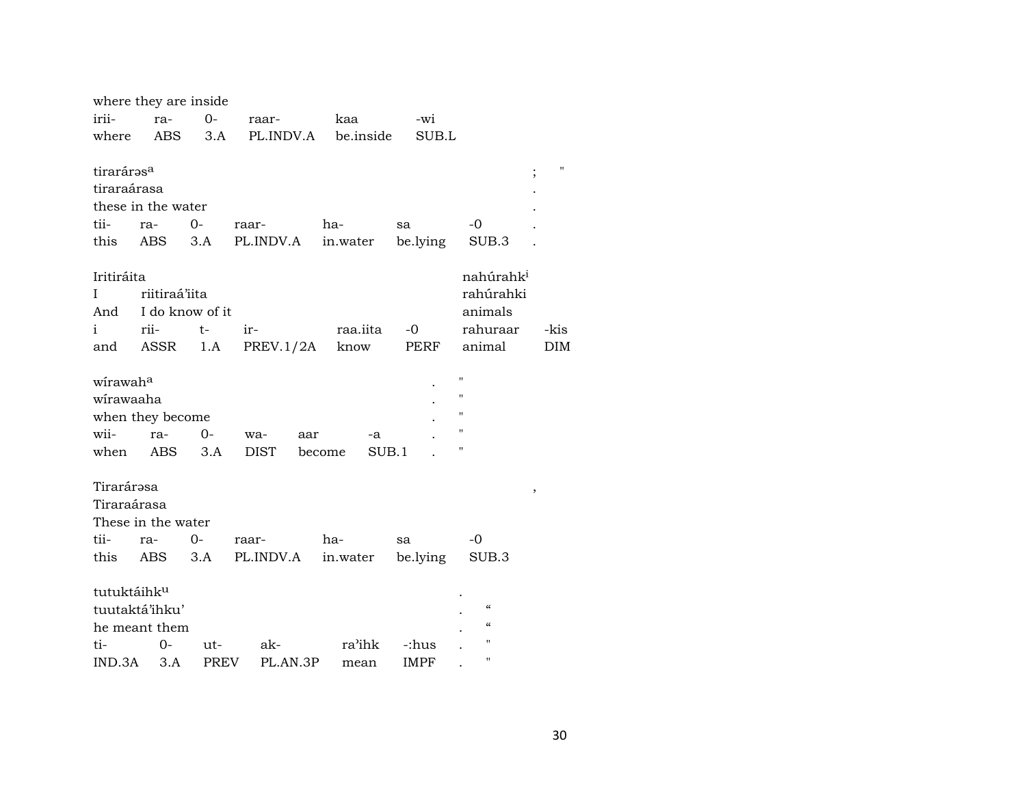|                         | where they are inside |             |             |                 |             |                          |               |
|-------------------------|-----------------------|-------------|-------------|-----------------|-------------|--------------------------|---------------|
| irii-                   | ra-                   | $O -$       | raar-       | kaa             | -wi         |                          |               |
| where                   | <b>ABS</b>            | 3.A         | PL.INDV.A   | be.inside       | SUB.L       |                          |               |
|                         |                       |             |             |                 |             |                          |               |
| tiraráras <sup>a</sup>  |                       |             |             |                 |             |                          | п<br>$\vdots$ |
| tiraraárasa             |                       |             |             |                 |             |                          |               |
|                         | these in the water    |             |             |                 |             |                          |               |
| tii-                    | ra-                   | $0 -$       | raar-       | ha-             | sa          | $-0$                     |               |
| this                    | <b>ABS</b>            | 3.A         | PL.INDV.A   | in.water        | be.lying    | SUB.3                    |               |
|                         |                       |             |             |                 |             |                          |               |
| Iritiráita              |                       |             |             |                 |             | nahúrahk <sup>i</sup>    |               |
| I                       | riitiraá'iita         |             |             |                 |             | rahúrahki                |               |
| And                     | I do know of it       |             |             |                 |             | animals                  |               |
| i                       | rii-                  | t-          | ir-         | raa.iita        | $-0$        | rahuraar                 | -kis          |
| and                     | ASSR                  | 1.A         | PREV.1/2A   | know            | PERF        | animal                   | <b>DIM</b>    |
|                         |                       |             |             |                 |             |                          |               |
| wirawah <sup>a</sup>    |                       |             |             |                 |             | П                        |               |
| wirawaaha               |                       |             |             |                 |             | п                        |               |
|                         | when they become      |             |             |                 |             | п                        |               |
| wii-                    | ra-                   | $0-$        | wa-<br>aar  | -a              |             | п                        |               |
| when                    | ABS                   | 3.A         | <b>DIST</b> | SUB.1<br>become |             | П                        |               |
|                         |                       |             |             |                 |             |                          |               |
| Tirarárəsa              |                       |             |             |                 |             |                          | $\, ,$        |
| Tiraraárasa             |                       |             |             |                 |             |                          |               |
|                         | These in the water    |             |             |                 |             |                          |               |
| tii-                    | ra-                   | $0-$        | raar-       | ha-             | sa          | -0                       |               |
| this                    | ABS                   | 3.A         | PL.INDV.A   | in.water        | be.lying    | SUB.3                    |               |
|                         |                       |             |             |                 |             |                          |               |
| tutuktáihk <sup>u</sup> |                       |             |             |                 |             |                          |               |
|                         | tuutaktá'ihku'        |             |             |                 |             | $\mathcal{C}\mathcal{C}$ |               |
|                         | he meant them         |             |             |                 |             | $\mathcal{C}$            |               |
| ti-                     | 0-                    | ut-         | ak-         | ra'ihk          | -:hus       | н                        |               |
| IND.3A                  | 3.A                   | <b>PREV</b> | PL.AN.3P    |                 | <b>IMPF</b> | п                        |               |
|                         |                       |             |             | mean            |             |                          |               |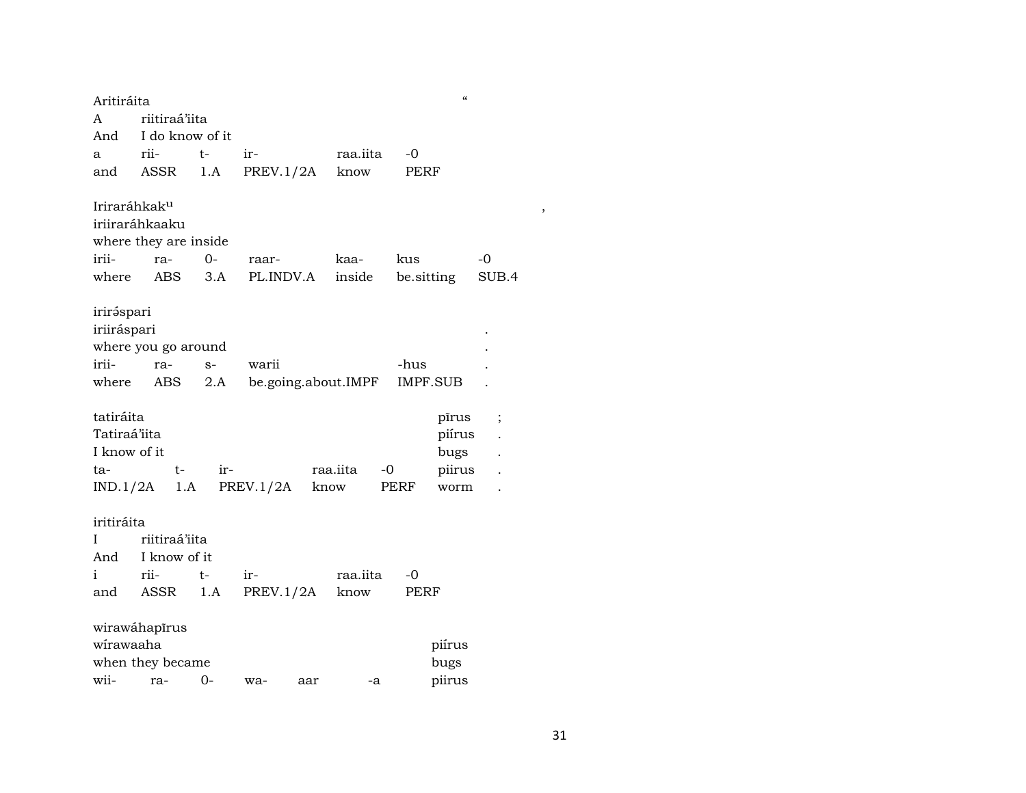| Aritiráita               |                       |       |            |                     | $\boldsymbol{\zeta}\boldsymbol{\zeta}$ |          |
|--------------------------|-----------------------|-------|------------|---------------------|----------------------------------------|----------|
| A                        | riitiraá'iita         |       |            |                     |                                        |          |
| And                      | I do know of it       |       |            |                     |                                        |          |
| а                        | rii-                  | $t-$  | ir-        | raa.iita            | -0                                     |          |
| and                      | ASSR                  | 1.A   | PREV.1/2A  | know                | PERF                                   |          |
|                          |                       |       |            |                     |                                        |          |
| Iriraráhkak <sup>u</sup> |                       |       |            |                     |                                        |          |
|                          | iriiraráhkaaku        |       |            |                     |                                        |          |
|                          | where they are inside |       |            |                     |                                        |          |
| irii-                    | ra-                   | $O -$ | raar-      | kaa-                | kus                                    | $-0$     |
| where                    | ABS                   | 3.A   | PL.INDV.A  | inside              | be.sitting                             | SUB.4    |
|                          |                       |       |            |                     |                                        |          |
| iriráspari               |                       |       |            |                     |                                        |          |
| iriiráspari              |                       |       |            |                     |                                        |          |
|                          | where you go around   |       |            |                     |                                        |          |
| irii-                    | ra-                   | $S-$  | warii      |                     | -hus                                   |          |
| where                    | ABS                   | 2.A   |            | be.going.about.IMPF | IMPF.SUB                               |          |
|                          |                       |       |            |                     |                                        |          |
| tatiráita                |                       |       |            |                     | pīrus                                  | $\vdots$ |
| Tatiraá'iita             |                       |       |            |                     | piírus                                 |          |
| I know of it             |                       |       |            |                     | bugs                                   |          |
| ta-                      | t-                    | ir-   |            | raa.iita<br>$-0$    | piirus                                 |          |
| IND.1/2A                 | 1.A                   |       | PREV.1/2A  | know                | PERF<br>worm                           |          |
|                          |                       |       |            |                     |                                        |          |
| iritiráita               |                       |       |            |                     |                                        |          |
| Ι                        | riitiraá'iita         |       |            |                     |                                        |          |
| And                      | I know of it          |       |            |                     |                                        |          |
| i                        | rii-                  | t-    | ir-        | raa.iita            | $-0$                                   |          |
| and                      | ASSR                  | 1.A   | PREV.1/2A  | know                | PERF                                   |          |
|                          |                       |       |            |                     |                                        |          |
|                          | wirawáhapīrus         |       |            |                     |                                        |          |
| wirawaaha                |                       |       |            |                     | piírus                                 |          |
|                          | when they became      |       |            |                     | bugs                                   |          |
| wii-                     | ra-                   | $0-$  | wa-<br>aar | -a                  | piirus                                 |          |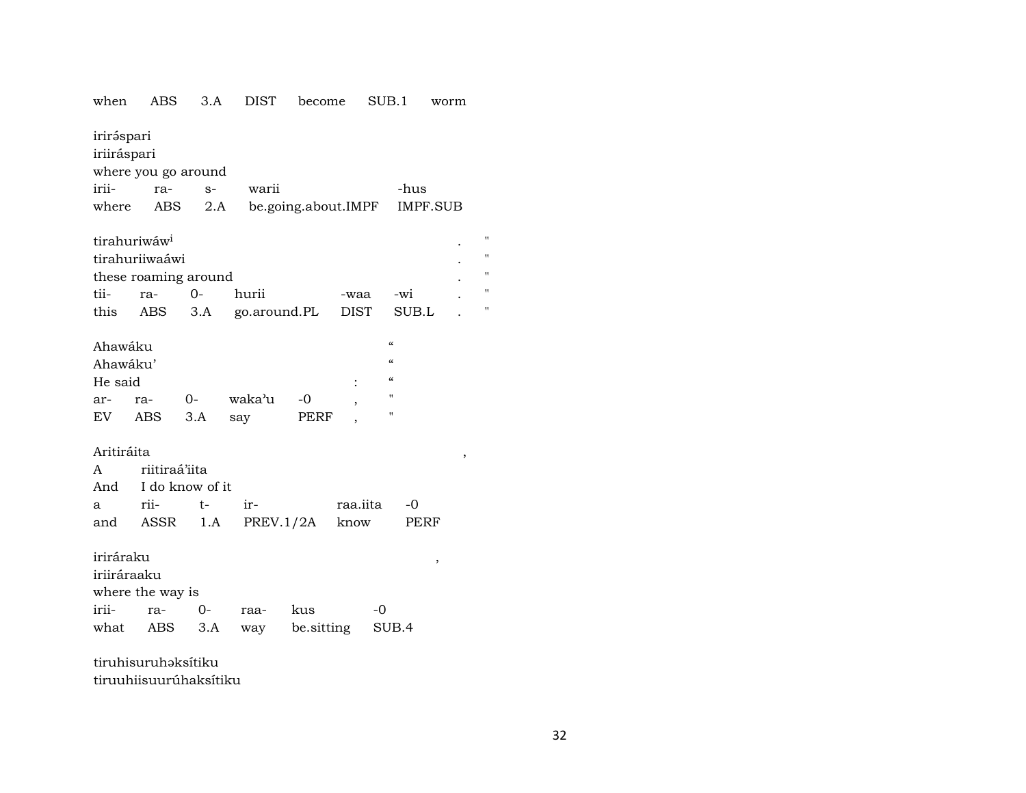| when        | ABS                      | 3.A                  | DIST            | become              |          | SUB.1                                  |          | worm |                |
|-------------|--------------------------|----------------------|-----------------|---------------------|----------|----------------------------------------|----------|------|----------------|
| iriráspari  |                          |                      |                 |                     |          |                                        |          |      |                |
| iriiráspari |                          |                      |                 |                     |          |                                        |          |      |                |
|             |                          | where you go around  |                 |                     |          |                                        |          |      |                |
| irii-       | ra-                      | $S-$                 | warii           |                     |          |                                        | -hus     |      |                |
| where       | ABS                      | 2.A                  |                 | be.going.about.IMPF |          |                                        | IMPF.SUB |      |                |
|             |                          |                      |                 |                     |          |                                        |          |      |                |
|             | tirahuriwáw <sup>i</sup> |                      |                 |                     |          |                                        |          |      | $^{\prime}$    |
|             | tirahuriiwaáwi           |                      |                 |                     |          |                                        |          |      | $\blacksquare$ |
|             |                          | these roaming around |                 |                     |          |                                        |          |      | $\blacksquare$ |
| tii-        | ra-                      | $0 -$                | hurii           |                     | -waa     |                                        | -wi      |      | $\blacksquare$ |
| this        | ABS                      | 3.A                  | go.around.PL    |                     | DIST     |                                        | SUB.L    |      | $\blacksquare$ |
|             |                          |                      |                 |                     |          |                                        |          |      |                |
| Ahawáku     |                          |                      |                 |                     |          | $\mathcal{C}\mathcal{C}$               |          |      |                |
| Ahawáku'    |                          |                      |                 |                     |          | $\boldsymbol{\zeta}\boldsymbol{\zeta}$ |          |      |                |
| He said     |                          |                      |                 |                     |          | $\boldsymbol{\zeta}\boldsymbol{\zeta}$ |          |      |                |
| ar-         | ra-                      | $O-$                 | waka'u          | $-0$                |          | Ħ                                      |          |      |                |
| EV          | ABS                      | 3.A                  | say             | PERF                |          | п                                      |          |      |                |
|             |                          |                      |                 |                     |          |                                        |          |      |                |
| Aritiráita  |                          |                      |                 |                     |          |                                        |          | ,    |                |
| A           | riitiraá'iita            |                      |                 |                     |          |                                        |          |      |                |
|             |                          | And I do know of it  |                 |                     |          |                                        |          |      |                |
| a           | rii-                     | $t-$                 | ir-             |                     | raa.iita |                                        | -0       |      |                |
| and         | ASSR                     |                      | $1.A$ PREV.1/2A |                     | know     |                                        | PERF     |      |                |
|             |                          |                      |                 |                     |          |                                        |          |      |                |
| iriráraku   |                          |                      |                 |                     |          |                                        | ,        |      |                |
| iriiráraaku |                          |                      |                 |                     |          |                                        |          |      |                |
|             | where the way is         |                      |                 |                     |          |                                        |          |      |                |
| irii-       | ra-                      | $0-$                 | raa-            | kus                 |          | $-0$                                   |          |      |                |
| what        | ABS                      | 3.A                  |                 | way be.sitting      |          | SUB.4                                  |          |      |                |
|             |                          |                      |                 |                     |          |                                        |          |      |                |
|             | tiruhisuruhəksitiku      |                      |                 |                     |          |                                        |          |      |                |
|             |                          |                      |                 |                     |          |                                        |          |      |                |

tiruuhiisuurúhaksítiku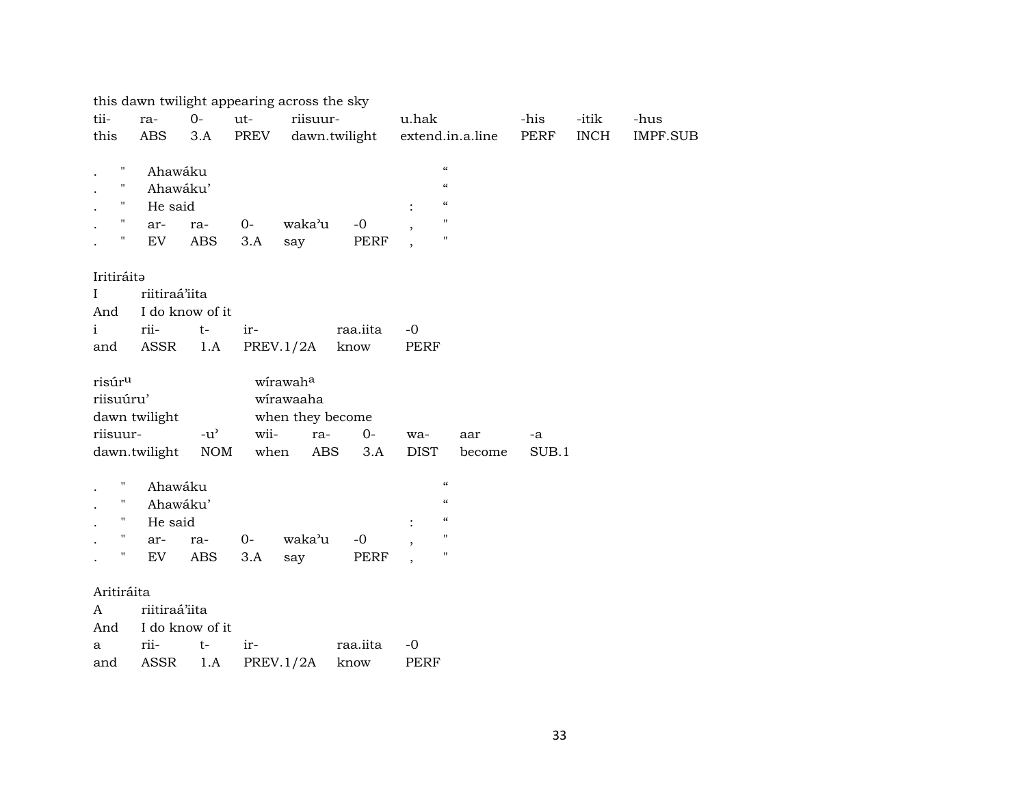|                    |               |                 |             | this dawn twilight appearing across the sky |          |             |                                        |                  |              |                      |                         |
|--------------------|---------------|-----------------|-------------|---------------------------------------------|----------|-------------|----------------------------------------|------------------|--------------|----------------------|-------------------------|
| tii-<br>this       | ra-<br>ABS    | $0-$<br>3.A     | ut-<br>PREV | riisuur-<br>dawn.twilight                   |          | u.hak       |                                        | extend.in.a.line | -his<br>PERF | -itik<br><b>INCH</b> | -hus<br><b>IMPF.SUB</b> |
|                    |               |                 |             |                                             |          |             |                                        |                  |              |                      |                         |
| Ħ                  | Ahawáku       |                 |             |                                             |          |             | $\boldsymbol{\zeta}\boldsymbol{\zeta}$ |                  |              |                      |                         |
| п                  |               | Ahawáku'        |             |                                             |          |             | $\zeta\zeta$                           |                  |              |                      |                         |
| н                  | He said       |                 |             |                                             |          |             | $\mathcal{C}\mathcal{C}$               |                  |              |                      |                         |
| н                  | ar-           | ra-             | 0-          | waka'u                                      | $-0$     |             | $\mathbf{H}$                           |                  |              |                      |                         |
| Ħ                  | EV            | ABS             | 3.A         | say                                         | PERF     |             | $\pmb{\mathsf{H}}$                     |                  |              |                      |                         |
| Iritiráita         |               |                 |             |                                             |          |             |                                        |                  |              |                      |                         |
| $\mathbf{I}$       | riitiraá'iita |                 |             |                                             |          |             |                                        |                  |              |                      |                         |
| And                |               | I do know of it |             |                                             |          |             |                                        |                  |              |                      |                         |
| $\mathbf{i}$       | rii-          | $t-$            | ir-         |                                             | raa.iita | $-0$        |                                        |                  |              |                      |                         |
| and                | ASSR          | 1.A             |             | PREV.1/2A                                   | know     | PERF        |                                        |                  |              |                      |                         |
| risúr <sup>u</sup> |               |                 |             | wirawaha                                    |          |             |                                        |                  |              |                      |                         |
| riisuúru'          |               |                 |             | wirawaaha                                   |          |             |                                        |                  |              |                      |                         |
|                    | dawn twilight |                 |             | when they become                            |          |             |                                        |                  |              |                      |                         |
| riisuur-           |               | $-u^{\prime}$   | wii-        | ra-                                         | $O -$    | wa-         |                                        | aar              | -a           |                      |                         |
|                    | dawn.twilight | <b>NOM</b>      | when        | ABS                                         | 3.A      | <b>DIST</b> |                                        | become           | SUB.1        |                      |                         |
| Н                  | Ahawáku       |                 |             |                                             |          |             | $\zeta\zeta$                           |                  |              |                      |                         |
| 11                 |               | Ahawáku'        |             |                                             |          |             | $\mathcal{C}\mathcal{C}$               |                  |              |                      |                         |
| 11                 | He said       |                 |             |                                             |          |             | $\zeta\zeta$                           |                  |              |                      |                         |
| 11                 | ar-           | ra-             | $0-$        | waka'u                                      | $-0$     |             | $\pmb{\mathsf{H}}$                     |                  |              |                      |                         |
| 11                 | EV.           | ABS             | 3.A         | say                                         | PERF     |             | $\pmb{\mathsf{H}}$                     |                  |              |                      |                         |
| Aritiráita         |               |                 |             |                                             |          |             |                                        |                  |              |                      |                         |
| A                  | riitiraá'iita |                 |             |                                             |          |             |                                        |                  |              |                      |                         |
| And                |               | I do know of it |             |                                             |          |             |                                        |                  |              |                      |                         |
| a                  | rii-          | $t-$            | ir-         |                                             | raa.iita | $-0$        |                                        |                  |              |                      |                         |

and ASSR 1.A PREV.1/2A know PERF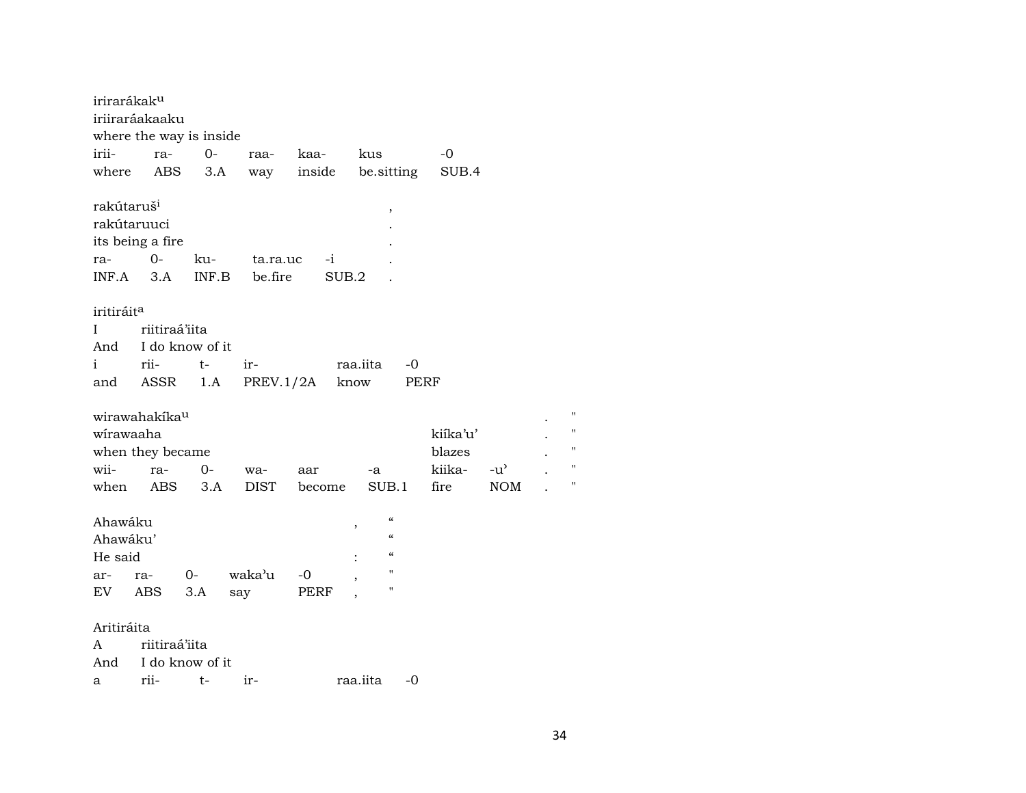| irirarákak <sup>u</sup>                                     |                           |                               |           |               |                               |          |               |
|-------------------------------------------------------------|---------------------------|-------------------------------|-----------|---------------|-------------------------------|----------|---------------|
|                                                             | iriiraráakaaku            |                               |           |               |                               |          |               |
|                                                             | where the way is inside   |                               |           |               |                               |          |               |
| irii-                                                       | ra- 0-                    |                               |           | raa- kaa-     | kus                           | -0       |               |
| where                                                       | ABS                       | 3.A                           |           | way inside    | be.sitting                    | SUB.4    |               |
| rakútaruš <sup>i</sup><br>rakútaruuci<br>ra-<br>$INF.A$ 3.A | its being a fire<br>$0-$  | ku- ta.ra.uc<br>INF.B be.fire |           | $-i$<br>SUB.2 | ,                             |          |               |
| iritiráit <sup>a</sup>                                      |                           |                               |           |               |                               |          |               |
| $\bf I$                                                     | riitiraá'iita             |                               |           |               |                               |          |               |
|                                                             | And I do know of it       |                               |           |               |                               |          |               |
| i                                                           | rii-                      | t-                            | $ir-$     |               | raa.iita<br>-0                |          |               |
| and                                                         | ASSR                      | 1.A                           | PREV.1/2A |               | know<br>PERF                  |          |               |
|                                                             |                           |                               |           |               |                               |          |               |
|                                                             | wirawahakíka <sup>u</sup> |                               |           |               |                               |          |               |
| wirawaaha                                                   |                           |                               |           |               |                               | kiíka'u' |               |
|                                                             | when they became          |                               |           |               |                               | blazes   |               |
| wii-                                                        | ra-                       | $O-$                          | wa-       | aar           | $-a$                          | kiika-   | $-u^{\prime}$ |
| when                                                        | ABS 3.A                   |                               | DIST      | become        | SUB.1                         | fire     | <b>NOM</b>    |
| Ahawáku                                                     |                           |                               |           |               | $\pmb{\zeta}\pmb{\zeta}$<br>, |          |               |
| Ahawáku'                                                    |                           |                               |           |               | $\mathcal{C}\mathcal{C}$      |          |               |
| He said                                                     |                           |                               |           |               | $\mathcal{C}\mathcal{C}$      |          |               |
| ar-                                                         | ra-                       | $O-$                          | waka'u    | -0            | $\pmb{\mathsf{H}}$            |          |               |
|                                                             | EV ABS                    | 3.A                           | say       | PERF          | $\pmb{\mathsf{H}}$            |          |               |
| Aritiráita                                                  |                           |                               |           |               |                               |          |               |
| A                                                           | riitiraá'iita             |                               |           |               |                               |          |               |
| And                                                         | I do know of it           |                               |           |               |                               |          |               |
| а                                                           | rii-                      | t-                            | $ir-$     |               | raa.iita<br>$-0$              |          |               |

 $\mathbf{u}$ 

 $\mathbf{u}$ 

 $\boldsymbol{\mathsf{H}}$ 

 $\bar{a}$ 

 $\mathbf{u}$ 

 $\mathcal{A}$ 

 $\ddot{\phantom{a}}$ 

 $\ddot{\phantom{a}}$ 

 $\ddot{\phantom{a}}$  $\mathbb{Z}^2$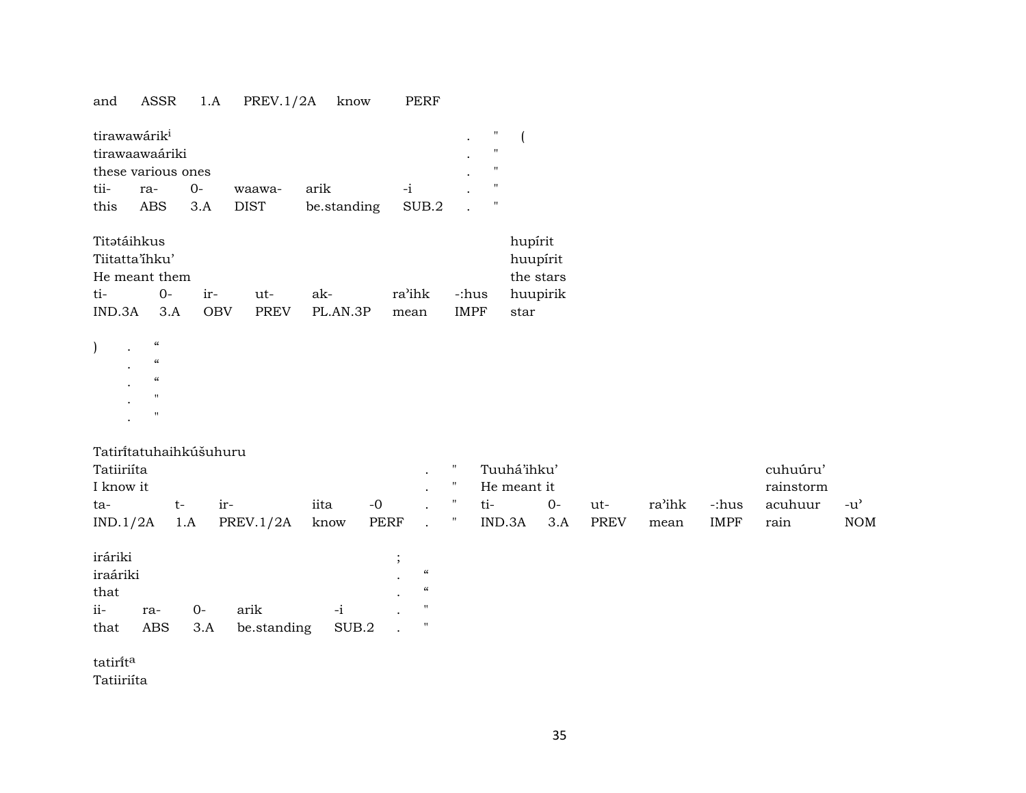# and ASSR 1.A PREV.1/2A know PERF

| tirawawárik <sup>i</sup> |                    |  |             |                   |      |  |   |  |  |
|--------------------------|--------------------|--|-------------|-------------------|------|--|---|--|--|
| tirawaawaáriki           |                    |  |             |                   |      |  |   |  |  |
|                          | these various ones |  |             |                   |      |  | " |  |  |
| tii-                     | ra- 0-             |  | waawa-      | arik              | $-1$ |  | " |  |  |
| this                     | ABS 3.A            |  | <b>DIST</b> | be.standing SUB.2 |      |  |   |  |  |

| Titətáihkus                |          |       |             |          |        |             | hupirit   |  |
|----------------------------|----------|-------|-------------|----------|--------|-------------|-----------|--|
| Tiitatta'ihku'<br>huupirit |          |       |             |          |        |             |           |  |
| He meant them              |          |       |             |          |        |             | the stars |  |
| ti-                        | $\Omega$ | $ir-$ | 11t-        | ak-      | ra'ihk | -:hus       | huupirik  |  |
| IND.3A                     | 3 A      | OBV   | <b>PREV</b> | PL AN 3P | mean   | <b>IMPF</b> | star      |  |

|           | $\epsilon$               |
|-----------|--------------------------|
| $\bullet$ | $\epsilon$               |
|           | $\pmb{\zeta}\pmb{\zeta}$ |
|           | $^{\prime}$              |
| ٠         | $^{\prime}$              |
| ٠         |                          |

 $\,$  )

| Tatiritatuhaihkúšuhuru |  |  |
|------------------------|--|--|
|                        |  |  |

| Tatiiriíta |     |           |      |      |  | Tuuhá'ihku' |        |             |        |             | cuhuúru'  |     |
|------------|-----|-----------|------|------|--|-------------|--------|-------------|--------|-------------|-----------|-----|
| I know it  |     |           |      |      |  | He meant it |        |             |        |             | rainstorm |     |
| ta-        |     | $1r-$     | iita | $-0$ |  | ti-         | $()$ - | ut-         | ra'ihk | -:hus       | acuhuur   | -น' |
| IND.1/2A   | 1.A | PREV.1/2A | know | PERF |  | IND.3A      | 3.A    | <b>PREV</b> | mean   | <b>IMPF</b> | rain      | NOM |

| iráriki  |     |    |                           |      |           |            |
|----------|-----|----|---------------------------|------|-----------|------------|
| iraáriki |     |    |                           |      | $\bullet$ | $\epsilon$ |
| that     |     |    |                           |      | $\bullet$ | $\epsilon$ |
| $i -$    | ra- | O- | arik                      | $-1$ |           | п          |
| that     |     |    | ABS 3.A be.standing SUB.2 |      |           |            |

tatirĩt $^{\rm a}$ 

Tatiiriíta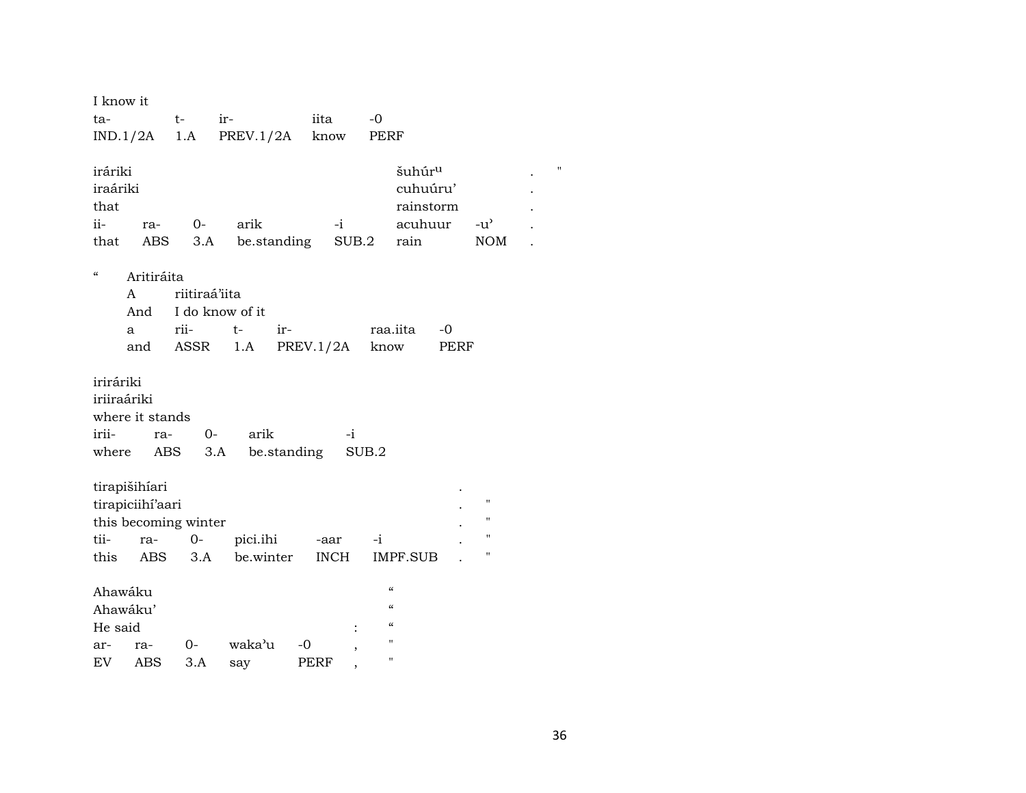| I know it                                                |                     |                         |                                |                                                                         |                             |                    |
|----------------------------------------------------------|---------------------|-------------------------|--------------------------------|-------------------------------------------------------------------------|-----------------------------|--------------------|
| ta-                                                      | $t \qquad$          | ir-                     | iita                           | $-0$                                                                    |                             |                    |
| $IND.1/2A$ 1.A                                           |                     | PREV.1/2A know          |                                | PERF                                                                    |                             |                    |
| iráriki<br>iraáriki<br>that<br>ii-<br>ra-<br>ABS<br>that | $0-$                | arik<br>3.A be.standing | $-i$                           | šuhúr <sup>u</sup><br>cuhuúru'<br>rainstorm<br>acuhuur<br>SUB.2<br>rain | $-u^{\prime}$<br><b>NOM</b> | $\pmb{\mathsf{H}}$ |
| $\boldsymbol{\zeta}\boldsymbol{\zeta}$<br>Aritiráita     |                     |                         |                                |                                                                         |                             |                    |
| A                                                        | riitiraá'iita       |                         |                                |                                                                         |                             |                    |
|                                                          | And I do know of it |                         |                                |                                                                         |                             |                    |
| a                                                        | rii-<br>and ASSR    | t-                      | $ir-$                          | raa.iita<br>-0<br>PERF                                                  |                             |                    |
|                                                          |                     |                         |                                | 1.A PREV.1/2A know                                                      |                             |                    |
| iriráriki                                                |                     |                         |                                |                                                                         |                             |                    |
| iriiraáriki                                              |                     |                         |                                |                                                                         |                             |                    |
| where it stands                                          |                     |                         |                                |                                                                         |                             |                    |
| irii-<br>ra-                                             | $O-$                | arik                    | $-i$                           |                                                                         |                             |                    |
| where                                                    | ABS                 | 3.A<br>be.standing      |                                | SUB.2                                                                   |                             |                    |
| tirapišihíari                                            |                     |                         |                                |                                                                         |                             |                    |
| tirapiciihí'aari                                         |                     |                         |                                |                                                                         | $\pmb{\mathsf{H}}$          |                    |
| this becoming winter                                     |                     |                         |                                |                                                                         | $\pmb{\mathsf{H}}$          |                    |
| tii-<br>ra-                                              |                     | 0- pici.ihi -aar        |                                | $-i$                                                                    | н                           |                    |
| this<br>ABS                                              | 3.A                 | be.winter               | INCH                           | IMPF.SUB                                                                | н                           |                    |
|                                                          |                     |                         |                                | $\boldsymbol{\zeta}\boldsymbol{\zeta}$                                  |                             |                    |
| Ahawáku<br>Ahawáku'                                      |                     |                         |                                | $\mathcal{C}\mathcal{C}$                                                |                             |                    |
| He said                                                  |                     |                         |                                | "                                                                       |                             |                    |
| ar- ra-                                                  | $0-$                | waka'u                  | -0<br>$\overline{\phantom{a}}$ | $\pmb{\mathsf{H}}$                                                      |                             |                    |
| EV<br>ABS                                                | 3.A                 | say                     | PERF                           | $\pmb{\mathsf{H}}$                                                      |                             |                    |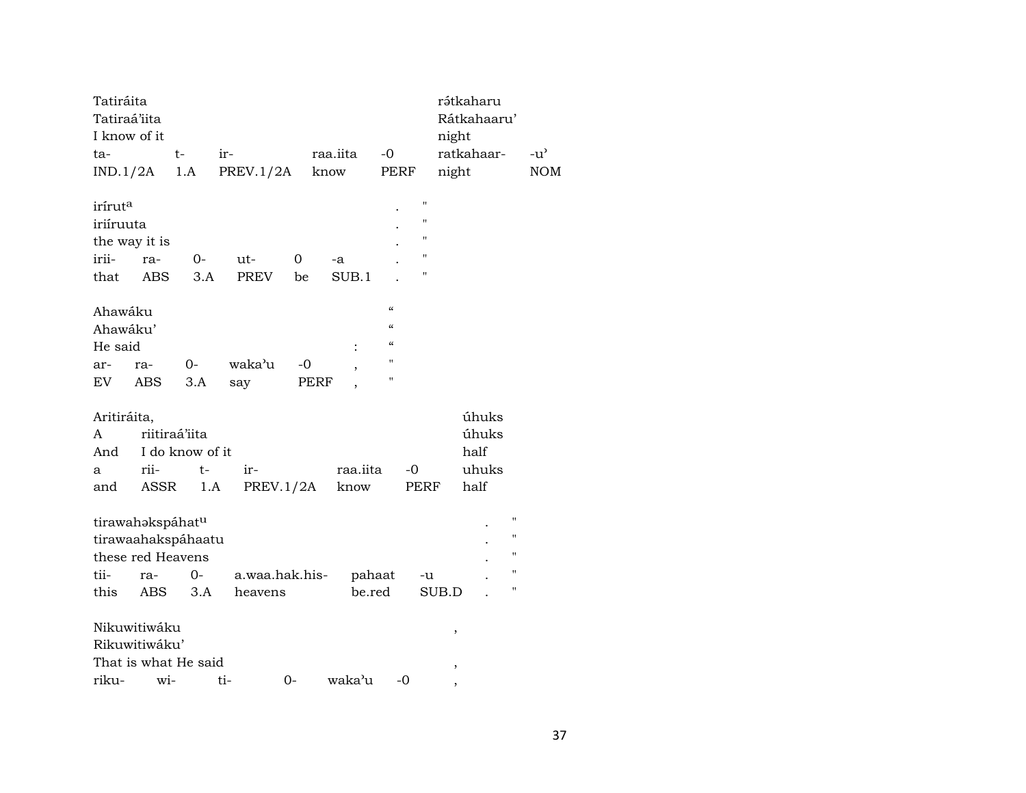| Tatiráita                    |                      |                 |                  |      |          |                          |                | rátkaharu  |             |                    |
|------------------------------|----------------------|-----------------|------------------|------|----------|--------------------------|----------------|------------|-------------|--------------------|
| Tatiraá'iita<br>I know of it |                      |                 |                  |      |          |                          |                |            | Rátkahaaru' |                    |
|                              |                      | $t-$            |                  |      |          | $-0$                     |                | night      |             |                    |
| ta-                          |                      |                 | ir-              |      | raa.iita |                          |                | ratkahaar- |             | $-u^{\prime}$      |
| IND.1/2A                     |                      | 1.A             | <b>PREV.1/2A</b> |      | know     | PERF                     |                | night      |             | <b>NOM</b>         |
| irírut <sup>a</sup>          |                      |                 |                  |      |          |                          | $\blacksquare$ |            |             |                    |
| iriíruuta                    |                      |                 |                  |      |          |                          | $\blacksquare$ |            |             |                    |
| the way it is                |                      |                 |                  |      |          |                          | 11             |            |             |                    |
| irii-                        | ra-                  | $O -$           | ut-              | 0    | -a       |                          | "              |            |             |                    |
| that                         | <b>ABS</b>           | 3.A             | <b>PREV</b>      | be   | SUB.1    |                          | н              |            |             |                    |
| Ahawáku                      |                      |                 |                  |      |          | $\mathcal{C}\mathcal{C}$ |                |            |             |                    |
| Ahawáku'                     |                      |                 |                  |      |          | $\epsilon\epsilon$       |                |            |             |                    |
| He said                      |                      |                 |                  |      |          | $\mathcal{C}\mathcal{C}$ |                |            |             |                    |
| ar-                          | ra-                  | $0-$            | waka'u           | $-0$ |          | н                        |                |            |             |                    |
| EV                           | ABS                  | 3.A             | say              | PERF |          | п                        |                |            |             |                    |
| Aritiráita,                  |                      |                 |                  |      |          |                          |                |            | úhuks       |                    |
| A                            | riitiraá'iita        |                 |                  |      |          |                          |                |            | úhuks       |                    |
| And                          |                      | I do know of it |                  |      |          |                          |                | half       |             |                    |
|                              | rii-                 | t-              | ir-              |      | raa.iita |                          | $-0$           |            | uhuks       |                    |
| a                            |                      |                 |                  |      |          |                          |                |            |             |                    |
| and                          | ASSR                 | 1.A             | PREV.1/2A        |      | know     |                          | PERF           | half       |             |                    |
|                              | tirawahakspáhatu     |                 |                  |      |          |                          |                |            |             | $\pmb{\mathsf{H}}$ |
|                              | tirawaahakspáhaatu   |                 |                  |      |          |                          |                |            |             | $\pmb{\mathsf{H}}$ |
|                              | these red Heavens    |                 |                  |      |          |                          |                |            |             | $\pmb{\mathsf{H}}$ |
| tii-                         | ra-                  | 0-              | a.waa.hak.his-   |      | pahaat   |                          | -u             |            |             | $\pmb{\mathsf{H}}$ |
| this                         | ABS                  | 3.A             | heavens          |      | be.red   |                          |                | SUB.D      |             | $\pmb{\mathsf{H}}$ |
|                              | Nikuwitiwáku         |                 |                  |      |          |                          |                | $\,$       |             |                    |
|                              | Rikuwitiwáku'        |                 |                  |      |          |                          |                |            |             |                    |
|                              | That is what He said |                 |                  |      |          |                          |                | $\,$       |             |                    |
| riku-                        | wi-                  |                 | ti-              | $0-$ | waka'u   | $-0$                     |                |            |             |                    |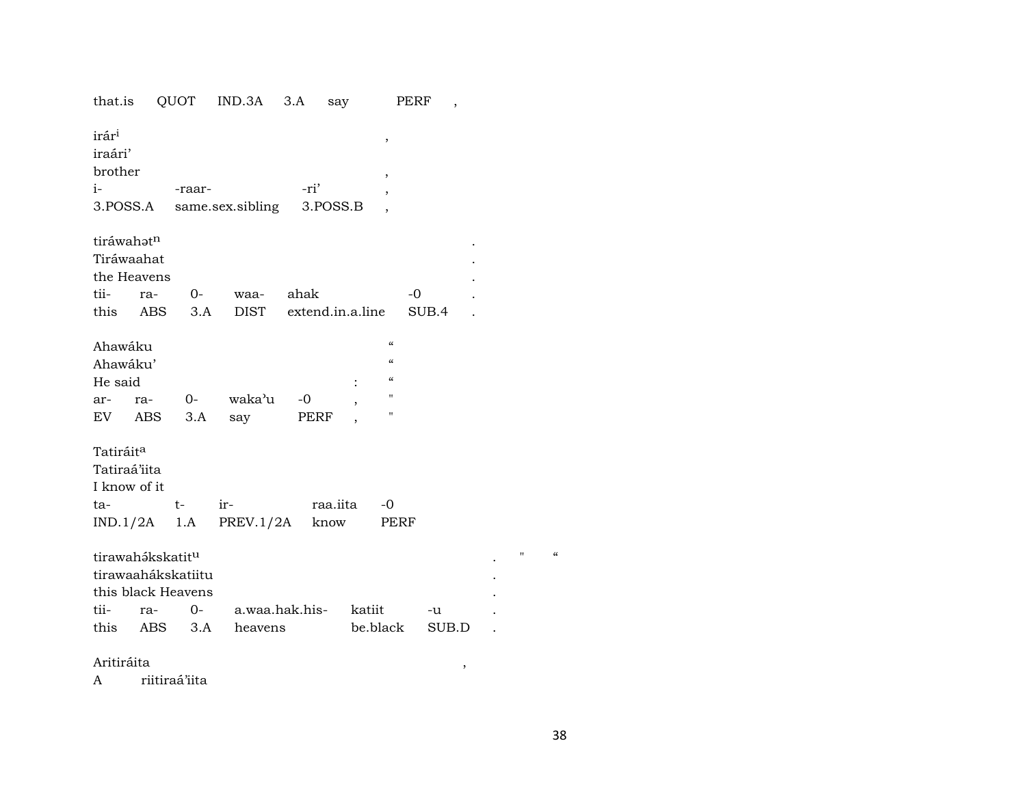| that.is                                                                                  | QUOT       |             | IND.3A                           | 3.A          | say              |                                                                                       | PERF<br>$\overline{ }$ |  |
|------------------------------------------------------------------------------------------|------------|-------------|----------------------------------|--------------|------------------|---------------------------------------------------------------------------------------|------------------------|--|
| irár <sup>i</sup><br>iraári'<br>brother<br>$i-$<br>3.POSS.A                              |            | -raar-      | same.sex.sibling                 | -ri'         | 3.POSS.B         | $\pmb{\mathcal{I}}$<br>$\overline{\phantom{a}}$<br>,                                  |                        |  |
| tiráwahatn<br>Tiráwaahat<br>the Heavens<br>tii-<br>this ABS                              | ra-        | $O-$<br>3.A | waa-<br>DIST                     | ahak         |                  | extend.in.a.line                                                                      | $-0$<br>SUB.4          |  |
| Ahawáku<br>Ahawáku'<br>He said<br>ar-<br>EV                                              | ra-<br>ABS | 3.A         | 0- waka'u<br>say                 | $-0$<br>PERF |                  | $\epsilon\epsilon$<br>$\mathcal{C}\mathcal{C}$<br>$\mathcal{C}\mathcal{C}$<br>11<br>п |                        |  |
| Tatiráit <sup>a</sup><br>Tatiraá'iita<br>I know of it<br>ta-<br>$IND.1/2A$ 1.A           |            | $t-$        | ir-<br>PREV.1/2A                 |              | raa.iita<br>know | -0<br>PERF                                                                            |                        |  |
| tirawahákskatit <sup>u</sup><br>tirawaahákskatiitu<br>this black Heavens<br>tii-<br>this | ra-<br>ABS | $0-$<br>3.A | a.waa.hak.his- katiit<br>heavens |              |                  | be.black                                                                              | -u<br>SUB.D            |  |

Aritiráita

riitiraá'iita  $\mathbf{A}$ 

 $\mathbf{u} = -\alpha$ 

 $\overline{\phantom{a}}$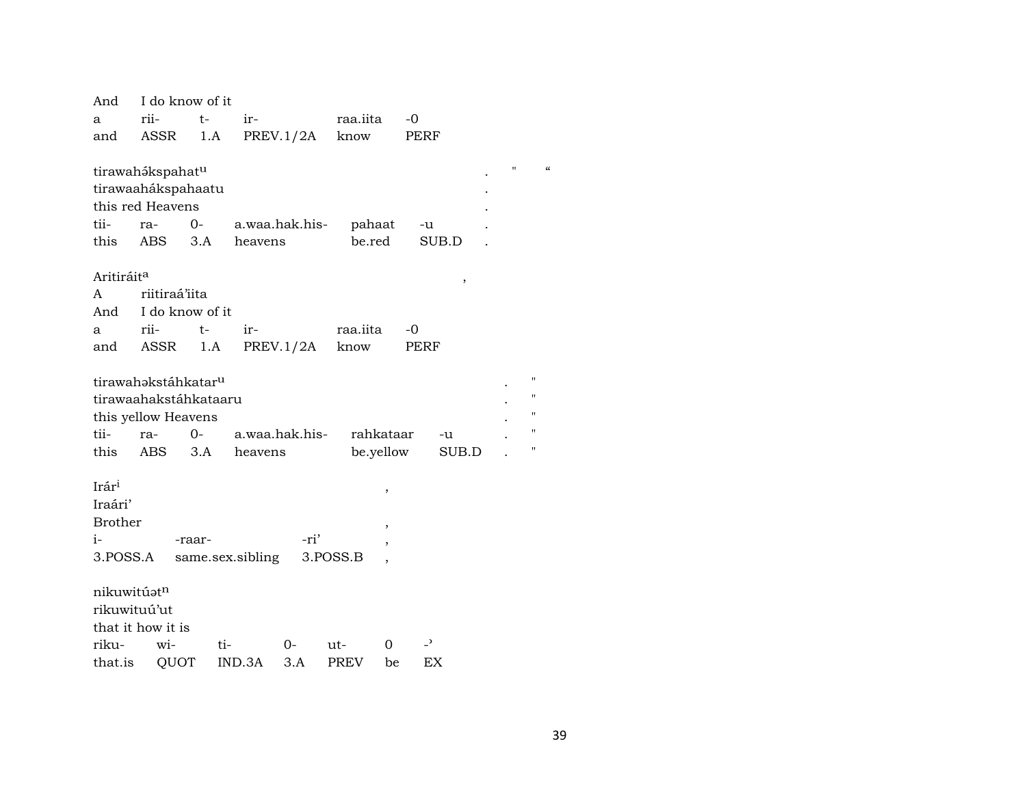| And                    | I do know of it                 |        |                  |                |             |           |       |
|------------------------|---------------------------------|--------|------------------|----------------|-------------|-----------|-------|
| a                      | rii-                            | t-     | ir-              |                | raa.iita    |           | $-0$  |
| and                    | ASSR                            | 1.A    |                  | PREV.1/2A      | know        |           | PERF  |
|                        |                                 |        |                  |                |             |           |       |
|                        | tirawahákspahatu                |        |                  |                |             |           |       |
|                        | tirawaahákspahaatu              |        |                  |                |             |           |       |
|                        | this red Heavens                |        |                  |                |             |           |       |
| tii-                   | ra-                             | $O -$  |                  | a.waa.hak.his- | pahaat      |           | -u    |
| this                   | ABS 3.A                         |        | heavens          |                | be.red      |           | SUB.D |
|                        |                                 |        |                  |                |             |           |       |
| Aritiráit <sup>a</sup> |                                 |        |                  |                |             |           | ,     |
| A                      | riitiraá'iita                   |        |                  |                |             |           |       |
| And                    | I do know of it                 |        |                  |                |             |           |       |
| a                      | rii-                            | $t-$   | ir-              |                | raa.iita    |           | $-0$  |
| and                    | ASSR                            | 1.A    |                  | PREV.1/2A      | know        |           | PERF  |
|                        |                                 |        |                  |                |             |           |       |
|                        | tirawahəkstáhkatar <sup>u</sup> |        |                  |                |             |           |       |
|                        | tirawaahakstáhkataaru           |        |                  |                |             |           |       |
|                        | this yellow Heavens             |        |                  |                |             |           |       |
| tii-                   | ra-                             | $0-$   | a.waa.hak.his-   |                |             | rahkataar | -u    |
| this                   | ABS                             | 3.A    | heavens          |                |             | be.yellow | SUB.D |
|                        |                                 |        |                  |                |             |           |       |
| Irári                  |                                 |        |                  |                |             | ,         |       |
| Iraári'                |                                 |        |                  |                |             |           |       |
| <b>Brother</b>         |                                 |        |                  |                |             | ,         |       |
| $i-$                   |                                 | -raar- |                  | -ri'           |             | ,         |       |
| 3.POSS.A               |                                 |        | same.sex.sibling |                | 3.POSS.B    |           |       |
|                        |                                 |        |                  |                |             |           |       |
| nikuwitúatn            |                                 |        |                  |                |             |           |       |
| rikuwituú'ut           |                                 |        |                  |                |             |           |       |
|                        | that it how it is               |        |                  |                |             |           |       |
| riku-                  | wi-                             | ti-    |                  | 0-             | ut-         | 0         | -,    |
| that.is                | QUOT                            |        | IND.3A           | 3.A            | <b>PREV</b> | be        | EX    |

 $\mathbf{u}$ 

 $\alpha$ 

 $\boldsymbol{\mathsf{H}}$ 

 $\boldsymbol{\mathsf{H}}$ 

 $\mathbf{u}$ 

 $\boldsymbol{\mathsf{H}}$ 

 $\boldsymbol{\mathsf{H}}$ 

 $\mathcal{L}_{\mathcal{A}}$ 

 $\ddot{\phantom{a}}$ 

 $\cdot$ 

 $\ddot{\phantom{a}}$ 

 $\ddot{\phantom{a}}$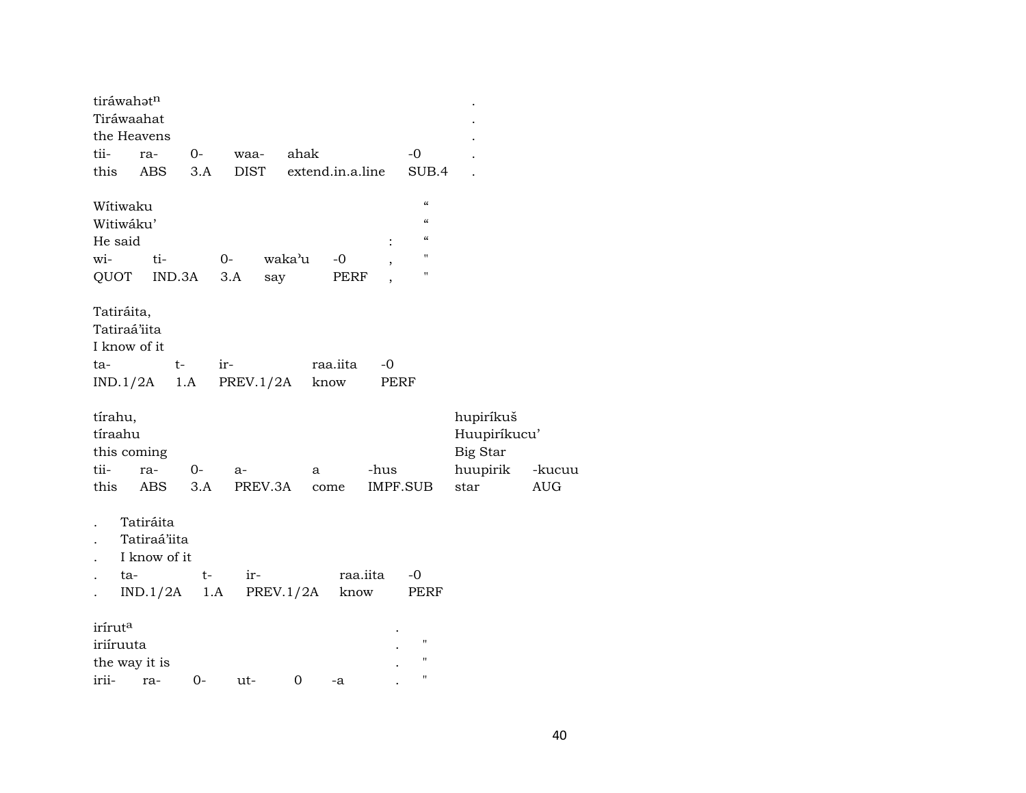| tiráwahatn<br>Tiráwaahat |                                           |       |             |                  |          |                          |                            |              |            |
|--------------------------|-------------------------------------------|-------|-------------|------------------|----------|--------------------------|----------------------------|--------------|------------|
| the Heavens              |                                           |       |             |                  |          |                          |                            |              |            |
| tii-                     | ra-                                       | $0-$  | waa-        | ahak             |          |                          | $-0$                       |              |            |
| this                     | ABS                                       | 3.A   | <b>DIST</b> | extend.in.a.line |          |                          | SUB.4                      |              |            |
| Wítiwaku                 |                                           |       |             |                  |          |                          | $\epsilon\epsilon$         |              |            |
| Witiwáku'                |                                           |       |             |                  |          |                          | $\mathcal{C}$              |              |            |
| He said                  |                                           |       |             |                  |          | $\ddot{\cdot}$           | $\boldsymbol{\mathcal{C}}$ |              |            |
| wi-                      | ti-                                       |       | $0-$        | waka'u           | $-0$     | $\overline{\phantom{a}}$ | $\pmb{\mathsf{H}}$         |              |            |
| QUOT                     | IND.3A                                    |       | 3.A<br>say  |                  | PERF     | $\overline{ }$           | $\pmb{\mathsf{H}}$         |              |            |
|                          |                                           |       |             |                  |          |                          |                            |              |            |
| Tatiráita,               |                                           |       |             |                  |          |                          |                            |              |            |
| Tatiraá'iita             |                                           |       |             |                  |          |                          |                            |              |            |
| I know of it             |                                           |       |             |                  |          |                          |                            |              |            |
| ta-                      | $t-$                                      |       | ir-         |                  | raa.iita | $-0$                     |                            |              |            |
| IND.1/2A                 |                                           | 1.A   | PREV.1/2A   |                  | know     | PERF                     |                            |              |            |
|                          |                                           |       |             |                  |          |                          |                            |              |            |
| tírahu,                  |                                           |       |             |                  |          |                          |                            | hupiríkuš    |            |
| tíraahu                  |                                           |       |             |                  |          |                          |                            | Huupiríkucu' |            |
| this coming              |                                           |       |             |                  |          |                          |                            | Big Star     |            |
| tii-                     | ra-                                       | $O -$ | a-          | a                |          | -hus                     |                            | huupirik     | -kucuu     |
| this                     | ABS                                       | 3.A   | PREV.3A     |                  | come     | IMPF.SUB                 |                            | star         | <b>AUG</b> |
|                          | Tatiráita<br>Tatiraá'iita<br>I know of it |       |             |                  |          |                          |                            |              |            |
| ta-                      |                                           | $t-$  | ir-         |                  | raa.iita |                          | $-0$                       |              |            |
|                          | IND.1/2A                                  | 1.A   |             | PREV.1/2A        | know     |                          | PERF                       |              |            |
|                          |                                           |       |             |                  |          |                          |                            |              |            |
| irírut <sup>a</sup>      |                                           |       |             |                  |          |                          | $\pmb{\mathsf{H}}$         |              |            |
| iriíruuta                |                                           |       |             |                  |          |                          | $\pmb{\mathsf{H}}$         |              |            |
| the way it is            | irii- ra- 0-                              |       | $11t -$     | 0                |          |                          | Ħ                          |              |            |
|                          |                                           |       |             |                  | $-A$     |                          |                            |              |            |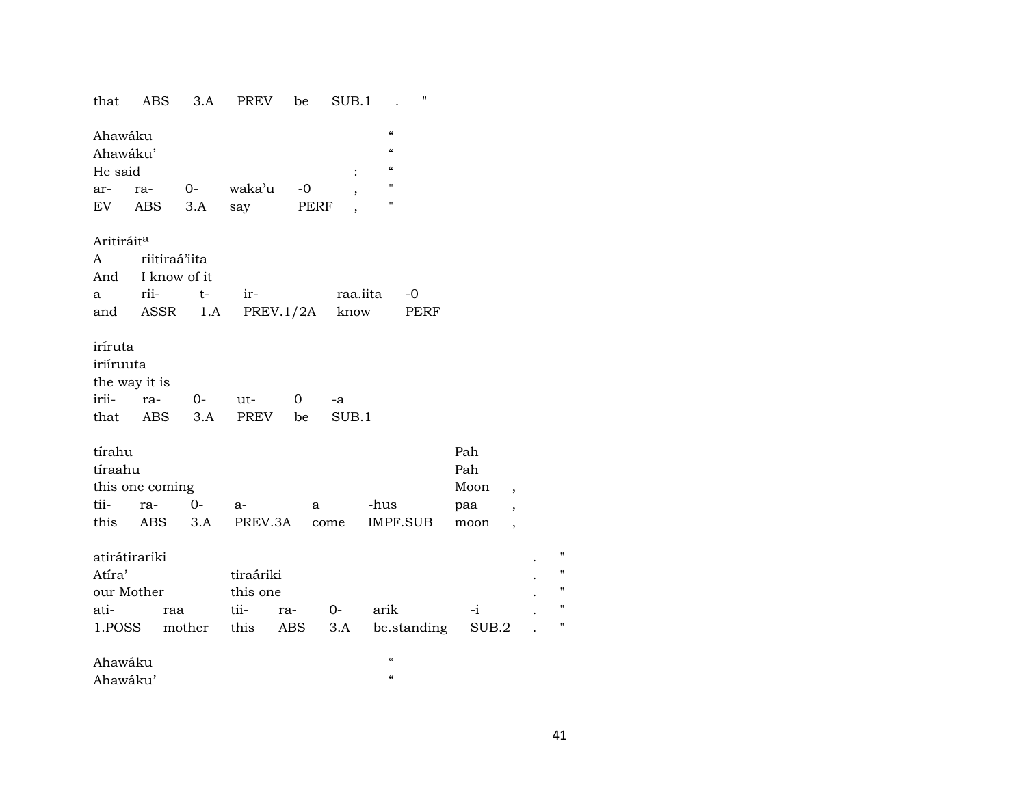| that                                        | ABS                                               | 3.A          | PREV                                  | be           | SUB.1            |                                                                                                            | $\blacksquare$ |                                   |                                                                                  |                                     |
|---------------------------------------------|---------------------------------------------------|--------------|---------------------------------------|--------------|------------------|------------------------------------------------------------------------------------------------------------|----------------|-----------------------------------|----------------------------------------------------------------------------------|-------------------------------------|
| Ahawáku<br>Ahawáku'<br>He said<br>ar-<br>EV | ra-<br>ABS                                        | $O-$<br>3.A  | waka'u<br>say                         | $-0$<br>PERF | $\ddot{\cdot}$   | $\epsilon\epsilon$<br>$\epsilon\epsilon$<br>$\mathcal{C}\mathcal{C}$<br>$\mathbf{H}$<br>$\pmb{\mathsf{H}}$ |                |                                   |                                                                                  |                                     |
| Aritiráit <sup>a</sup><br>A<br>And<br>a a   | riitiraá'iita<br>I know of it<br>rii-<br>and ASSR | $t-$<br>1.A  | ir-                                   | PREV.1/2A    | raa.iita<br>know |                                                                                                            | -0<br>PERF     |                                   |                                                                                  |                                     |
| iríruta<br>iriíruuta<br>irii-               | the way it is<br>ra-<br>that ABS                  | $O-$<br>3.A  | ut-<br>PREV                           | 0<br>be      | -a<br>SUB.1      |                                                                                                            |                |                                   |                                                                                  |                                     |
| tírahu<br>tíraahu<br>tii-<br>this           | this one coming<br>ra-<br>ABS                     | $O -$<br>3.A | a-<br>PREV.3A                         | a            | come             | -hus                                                                                                       | IMPF.SUB       | Pah<br>Pah<br>Moon<br>paa<br>moon | $\overline{\phantom{a}}$<br>$\overline{\phantom{a}}$<br>$\overline{\phantom{a}}$ |                                     |
| Atíra'<br>our Mother<br>ati-<br>1.POSS      | atirátirariki<br>raa                              | mother       | tiraáriki<br>this one<br>tii-<br>this | ra-<br>ABS   | $O-$<br>3.A      | arik                                                                                                       | be.standing    | $-i$<br>SUB.2                     |                                                                                  | Ħ<br>ľ<br>$\blacksquare$<br>"<br>11 |
| Ahawáku<br>Ahawáku'                         |                                                   |              |                                       |              |                  | $\mathcal{C}$<br>$\epsilon$                                                                                |                |                                   |                                                                                  |                                     |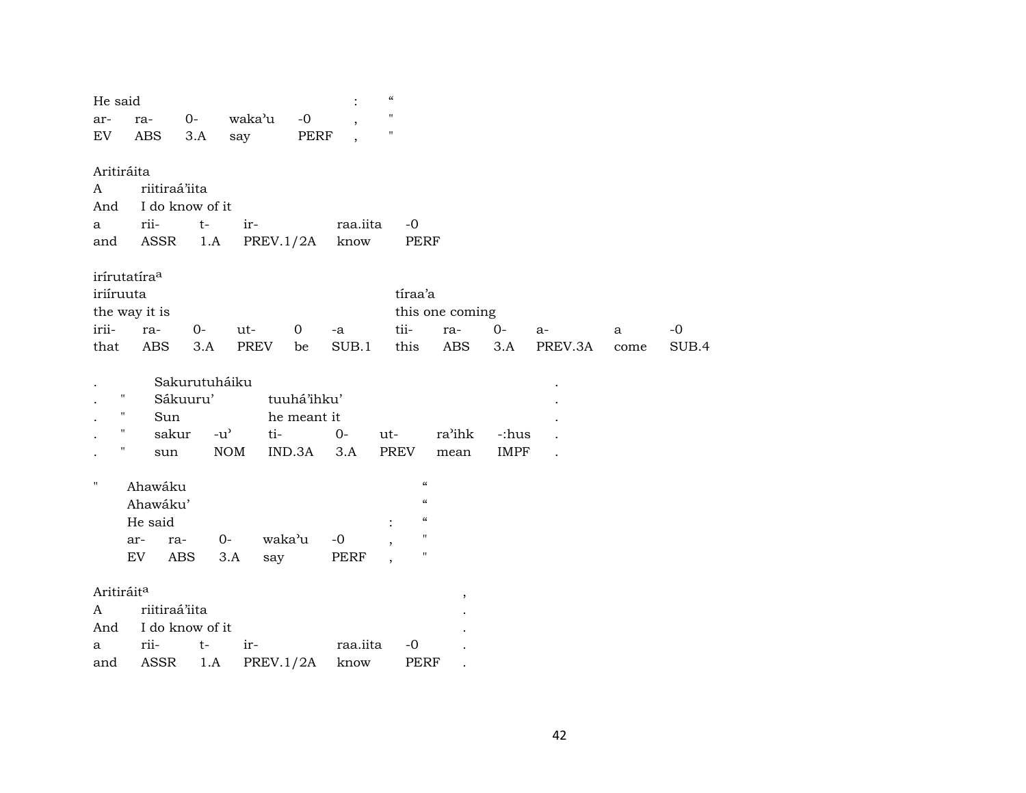| He said                |                          |                 |                                            |                | $\boldsymbol{\zeta}\boldsymbol{\zeta}$ |                                        |                 |             |         |      |       |
|------------------------|--------------------------|-----------------|--------------------------------------------|----------------|----------------------------------------|----------------------------------------|-----------------|-------------|---------|------|-------|
| ar-                    | ra-                      | $0-$            | waka'u                                     | $-0$           | $\pmb{\mathsf{H}}$                     |                                        |                 |             |         |      |       |
| EV                     | <b>ABS</b>               | 3.A             | say                                        | PERF           | $\pmb{\mathsf{H}}$                     |                                        |                 |             |         |      |       |
|                        |                          |                 |                                            |                |                                        |                                        |                 |             |         |      |       |
| Aritiráita             | riitiraá'iita            |                 |                                            |                |                                        |                                        |                 |             |         |      |       |
| A                      |                          | I do know of it |                                            |                |                                        |                                        |                 |             |         |      |       |
| And                    |                          |                 |                                            |                |                                        | $-0$                                   |                 |             |         |      |       |
| a                      | rii-<br>ASSR             | $t-$<br>1.A     | ir-                                        | PREV.1/2A      | raa.iita<br>know                       | PERF                                   |                 |             |         |      |       |
| and                    |                          |                 |                                            |                |                                        |                                        |                 |             |         |      |       |
|                        | irírutatíra <sup>a</sup> |                 |                                            |                |                                        |                                        |                 |             |         |      |       |
| iriíruuta              |                          |                 |                                            |                |                                        | tíraa'a                                |                 |             |         |      |       |
|                        | the way it is            |                 |                                            |                |                                        |                                        | this one coming |             |         |      |       |
| irii-                  | ra-                      | 0-              | ut-                                        | 0<br>-a        |                                        | tii-                                   | ra-             | $0-$        | $a-$    | a    | $-0$  |
| that                   | <b>ABS</b>               | 3.A             | PREV                                       | be             | SUB.1                                  | this                                   | ABS             | 3.A         | PREV.3A | come | SUB.4 |
|                        |                          |                 |                                            |                |                                        |                                        |                 |             |         |      |       |
|                        |                          | Sakurutuháiku   |                                            |                |                                        |                                        |                 |             |         |      |       |
| П                      |                          | Sákuuru'        |                                            | tuuhá'ihku'    |                                        |                                        |                 |             |         |      |       |
| П                      | Sun                      |                 |                                            | he meant it    |                                        |                                        |                 |             |         |      |       |
| Ħ                      | sakur                    |                 | $-u$ <sup><math>\prime</math></sup><br>ti- | $0-$           | ut-                                    |                                        | ra'ihk          | -:hus       |         |      |       |
| Н                      | sun                      |                 | <b>NOM</b>                                 | IND.3A<br>3.A  |                                        | <b>PREV</b>                            | mean            | <b>IMPF</b> |         |      |       |
| н.                     |                          |                 |                                            |                |                                        | $\boldsymbol{\zeta}\boldsymbol{\zeta}$ |                 |             |         |      |       |
|                        | Ahawáku                  |                 |                                            |                |                                        | $\boldsymbol{\zeta}\boldsymbol{\zeta}$ |                 |             |         |      |       |
|                        | Ahawáku'                 |                 |                                            |                |                                        | $\epsilon$                             |                 |             |         |      |       |
|                        | He said                  |                 |                                            |                |                                        | $\pmb{\mathsf{H}}$                     |                 |             |         |      |       |
|                        | ar-<br>EV                | ra-<br>ABS      | 0-<br>3.A                                  | waka'u<br>$-0$ |                                        | $\pmb{\mathsf{H}}$                     |                 |             |         |      |       |
|                        |                          |                 | say                                        |                | PERF                                   |                                        |                 |             |         |      |       |
| Aritiráit <sup>a</sup> |                          |                 |                                            |                |                                        |                                        | ,               |             |         |      |       |
| A                      | riitiraá'iita            |                 |                                            |                |                                        |                                        |                 |             |         |      |       |
| And                    |                          | I do know of it |                                            |                |                                        |                                        |                 |             |         |      |       |
| а                      | rii-                     | $t-$            | ir-                                        |                | raa.iita                               | $-0$                                   |                 |             |         |      |       |
| and                    | <b>ASSR</b>              | 1.A             |                                            | PREV.1/2A      | know                                   | <b>PERF</b>                            |                 |             |         |      |       |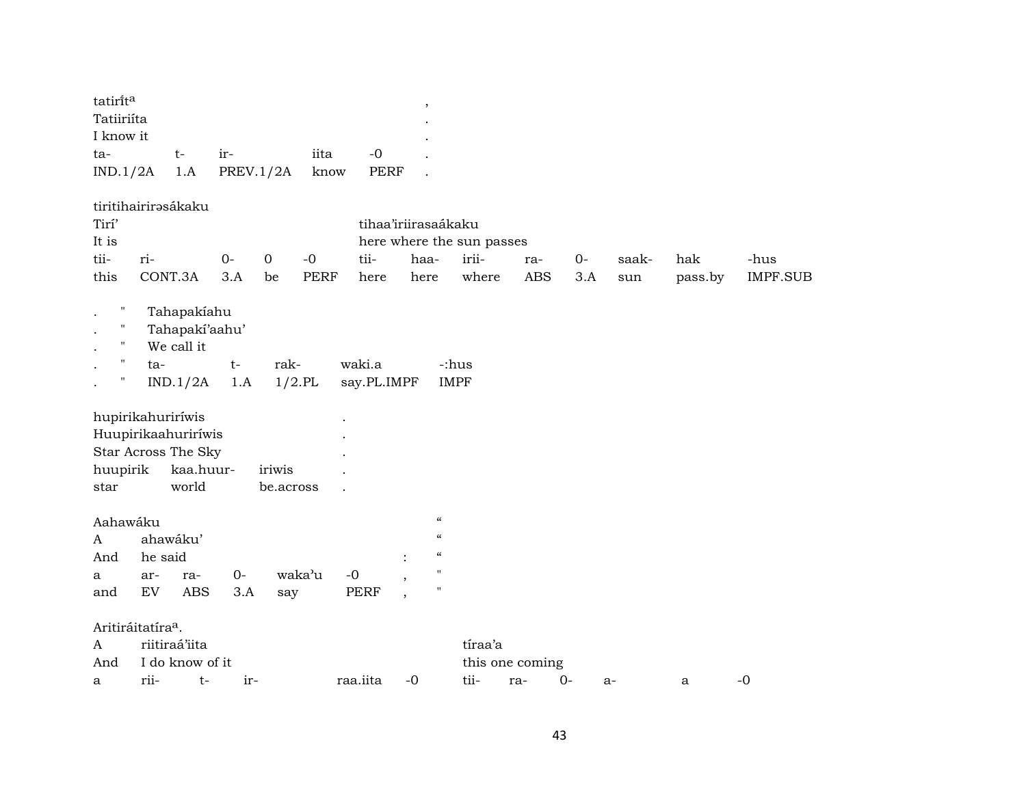| tatiri̇̃t <sup>a</sup> |       |                                    |      |      |   |
|------------------------|-------|------------------------------------|------|------|---|
| Tatiiriíta             |       |                                    |      |      |   |
| I know it              |       |                                    |      |      | ٠ |
| ta-                    | $+ -$ | ir-                                | iita | $-0$ |   |
|                        |       | $IND.1/2A$ 1.A PREV.1/2A know PERF |      |      |   |

### tiritihairirəsákaku

| Tirí'                     |                     |      |                |             | tihaa'iriirasaákaku |      |                           |            |     |       |         |                 |
|---------------------------|---------------------|------|----------------|-------------|---------------------|------|---------------------------|------------|-----|-------|---------|-----------------|
| It is                     |                     |      |                |             |                     |      | here where the sun passes |            |     |       |         |                 |
| tii-                      | ri-                 | $0-$ | $\overline{0}$ | -0          | tii-                | haa- | irii-                     | ra-        | 0-  | saak- | hak     | -hus            |
| this                      | CONT.3A             | 3.A  | be             | <b>PERF</b> | here                | here | where                     | <b>ABS</b> | 3.A | sun   | pass.by | <b>IMPF.SUB</b> |
| $\mathbf{H}$<br>$\bullet$ | Tahapakiahu         |      |                |             |                     |      |                           |            |     |       |         |                 |
| $\mathbf{H}$              | Tahapakí'aahu'      |      |                |             |                     |      |                           |            |     |       |         |                 |
| $\mathbf{H}$              | We call it          |      |                |             |                     |      |                           |            |     |       |         |                 |
| $\mathbf{H}$<br>$\bullet$ | ta-                 | $t-$ | rak-           |             | waki.a              |      | -:hus                     |            |     |       |         |                 |
| $\mathbf{H}$              | IND.1/2A            | 1.A  |                | $1/2$ .PL   | say.PL.IMPF         |      | <b>IMPF</b>               |            |     |       |         |                 |
|                           | hupirikahuriríwis   |      |                |             | $\bullet$           |      |                           |            |     |       |         |                 |
|                           | Huupirikaahuriríwis |      |                |             | $\bullet$           |      |                           |            |     |       |         |                 |
|                           | Star Across The Sky |      |                |             | $\bullet$           |      |                           |            |     |       |         |                 |
| huupirik                  | kaa.huur-           |      | iriwis         |             | $\bullet$           |      |                           |            |     |       |         |                 |
| star                      | world               |      | be.across      |             | $\bullet$           |      |                           |            |     |       |         |                 |

# Aahawáku "

| A | ahawáku' |             |  |                        |      |  |             |  |  |  |  |  |
|---|----------|-------------|--|------------------------|------|--|-------------|--|--|--|--|--|
|   |          | And he said |  |                        |      |  |             |  |  |  |  |  |
|   |          |             |  | a ar- ra- 0- waka'u -0 |      |  | $^{\prime}$ |  |  |  |  |  |
|   |          |             |  | and EV ABS 3.A say     | PERF |  | "           |  |  |  |  |  |

### Aritiráitatíra<sup>a</sup>.

| A | riitiraá'iita                     |  |  |  |  |      | tiraa'a         |    |       |  |  |  |  |
|---|-----------------------------------|--|--|--|--|------|-----------------|----|-------|--|--|--|--|
|   | And I do know of it               |  |  |  |  |      | this one coming |    |       |  |  |  |  |
| a | rii-<br>raa.iita<br>$-0$<br>$ir-$ |  |  |  |  | tii- | ra-             | ∩– | $a -$ |  |  |  |  |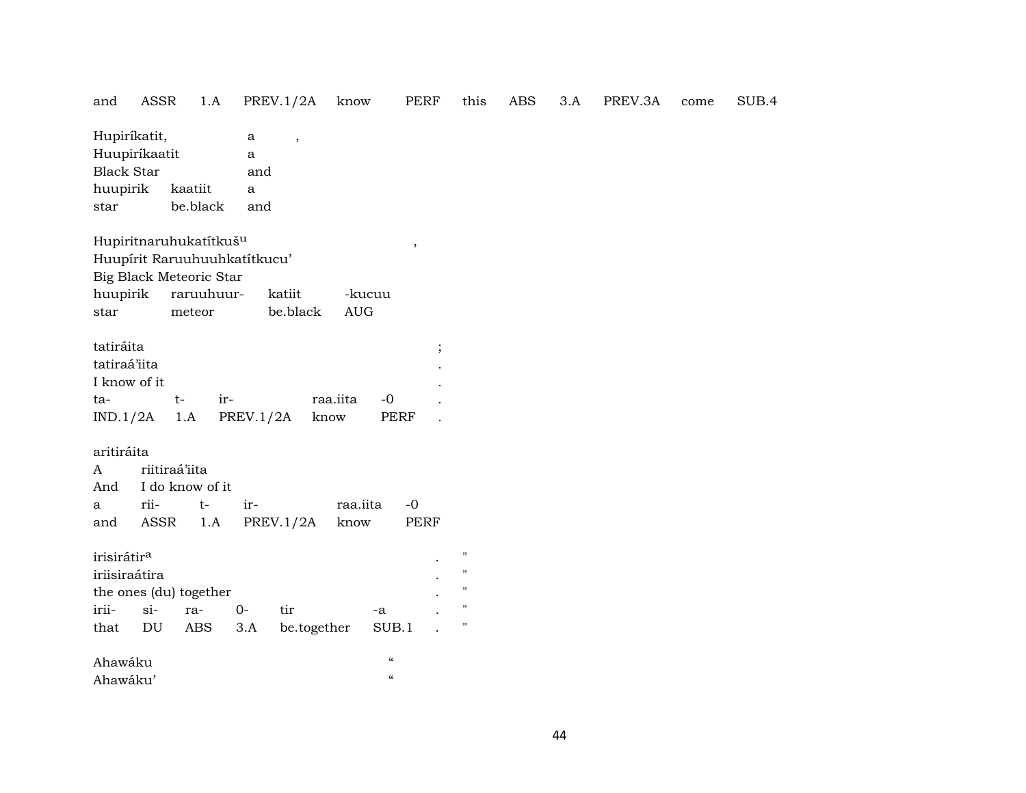| and                                                          | <b>ASSR</b>                   | 1.A                                                                                                                   |                                  | <b>PREV.1/2A</b>         | know                                                         | <b>PERF</b>               | this                                                                                                       | <b>ABS</b> | 3.A | PREV.3A | come | SUB.4 |  |
|--------------------------------------------------------------|-------------------------------|-----------------------------------------------------------------------------------------------------------------------|----------------------------------|--------------------------|--------------------------------------------------------------|---------------------------|------------------------------------------------------------------------------------------------------------|------------|-----|---------|------|-------|--|
| <b>Black Star</b><br>huupirik<br>star                        | Hupiríkatit,<br>Huupiríkaatit | kaatiit<br>be.black                                                                                                   | $\rm{a}$<br>a<br>and<br>a<br>and | $\overline{\phantom{a}}$ |                                                              |                           |                                                                                                            |            |     |         |      |       |  |
| huupirik<br>star                                             |                               | Hupiritnaruhukatítkuš <sup>u</sup><br>Huupírit Raruuhuuhkatítkucu'<br>Big Black Meteoric Star<br>raruuhuur-<br>meteor |                                  | katiit<br>be.black       | -kucuu<br>$\mathbf{A}\mathbf{U}\mathbf{G}$                   | $\overline{\phantom{a}}$  |                                                                                                            |            |     |         |      |       |  |
| tatiráita<br>tatiraá'iita<br>I know of it<br>ta-<br>IND.1/2A |                               | ir-<br>$t-$<br>1.A                                                                                                    | PREV.1/2A                        |                          | raa.iita<br>$-0$<br>know                                     | $\vdots$<br><b>PERF</b>   |                                                                                                            |            |     |         |      |       |  |
| aritiráita<br>$\mathbf{A}$<br>And<br>a<br>and                | riitiraá'iita<br>rii-<br>ASSR | I do know of it<br>$t-$<br>1.A                                                                                        | ir-                              | PREV.1/2A                | raa.iita<br>know                                             | $-{\bf 0}$<br><b>PERF</b> |                                                                                                            |            |     |         |      |       |  |
| irisirátir <sup>a</sup><br>irii-<br>that                     | iriisiraátira<br>$si-$<br>DU  | the ones (du) together<br>ra-<br>ABS                                                                                  | $0-$<br>3.A                      | tir<br>be.together       | -a<br>SUB.1                                                  |                           | $\pmb{\mathsf{H}}$<br>$\pmb{\mathsf{H}}$<br>$\pmb{\mathsf{H}}$<br>$\pmb{\mathsf{H}}$<br>$\pmb{\mathsf{H}}$ |            |     |         |      |       |  |
| Ahawáku<br>Ahawáku'                                          |                               |                                                                                                                       |                                  |                          | $\boldsymbol{\zeta}\boldsymbol{\zeta}$<br>$\epsilon\epsilon$ |                           |                                                                                                            |            |     |         |      |       |  |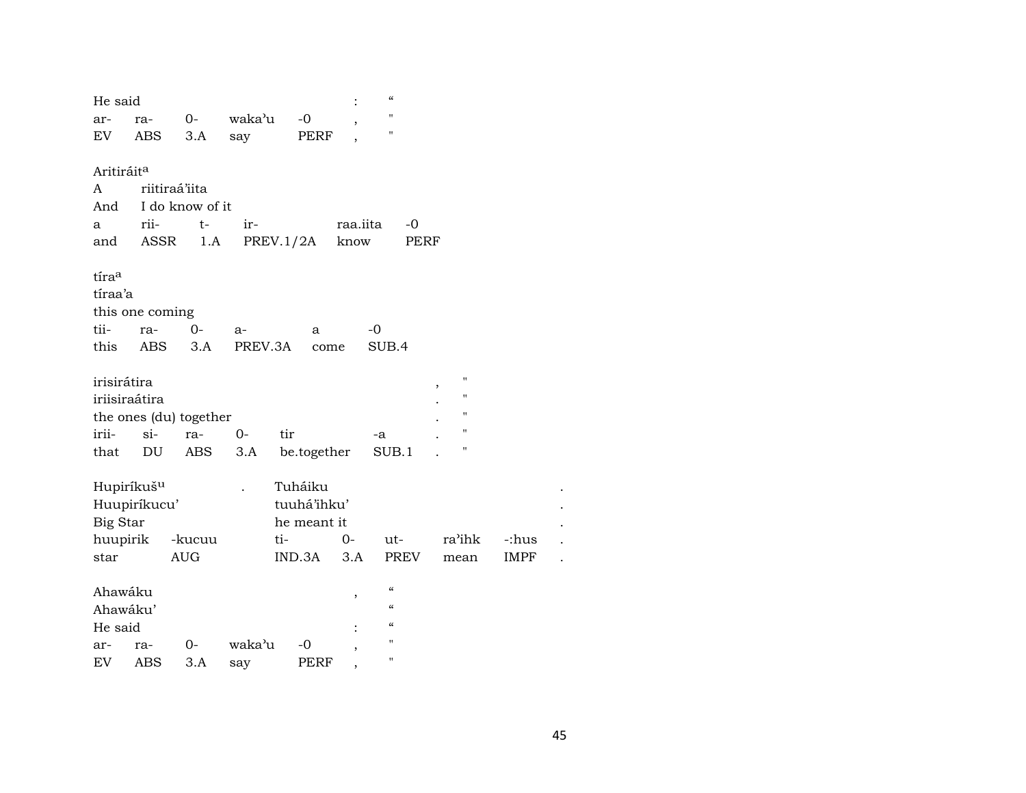| He said                |                        |                 |         |             |                | $\epsilon\epsilon$ |        |             |  |
|------------------------|------------------------|-----------------|---------|-------------|----------------|--------------------|--------|-------------|--|
| ar-                    | ra-                    | $0-$            | waka'u  | $-0$        |                | п                  |        |             |  |
| EV                     | <b>ABS</b>             | 3.A             | say     | PERF        |                | п                  |        |             |  |
|                        |                        |                 |         |             |                |                    |        |             |  |
| Aritiráit <sup>a</sup> |                        |                 |         |             |                |                    |        |             |  |
| A                      | riitiraá'iita          |                 |         |             |                |                    |        |             |  |
| And                    |                        | I do know of it |         |             |                |                    |        |             |  |
| a                      | rii-                   | $t-$            | ir-     |             | raa.iita       | $-0$               |        |             |  |
| and                    | ASSR                   | 1.A             |         | PREV.1/2A   | know           |                    | PERF   |             |  |
|                        |                        |                 |         |             |                |                    |        |             |  |
| tíraa                  |                        |                 |         |             |                |                    |        |             |  |
| tíraa'a                |                        |                 |         |             |                |                    |        |             |  |
|                        | this one coming        |                 |         |             |                |                    |        |             |  |
| tii-                   | ra-                    | $0 -$           | a-      | a           |                | $-0$               |        |             |  |
| this                   | ABS                    | 3.A             | PREV.3A | come        |                | SUB.4              |        |             |  |
| irisirátira            |                        |                 |         |             |                |                    | п      |             |  |
| iriisiraátira          |                        |                 |         |             |                |                    | п      |             |  |
|                        | the ones (du) together |                 |         |             |                |                    | н      |             |  |
| irii-                  | $\sin$                 | ra-             | $O -$   | tir         |                |                    | Ħ      |             |  |
| that                   | DU                     | ABS             | 3.A     |             |                | -a<br>SUB.1        | Ħ      |             |  |
|                        |                        |                 |         | be.together |                |                    |        |             |  |
| Hupiríkuš <sup>u</sup> |                        |                 |         | Tuháiku     |                |                    |        |             |  |
|                        | Huupiríkucu'           |                 |         | tuuhá'ihku' |                |                    |        |             |  |
| Big Star               |                        |                 |         | he meant it |                |                    |        |             |  |
| huupirik               |                        | -kucuu          |         | ti-         | $0-$           | ut-                | ra'ihk | -:hus       |  |
| star                   |                        | <b>AUG</b>      |         | IND.3A      | 3.A            | PREV               | mean   | <b>IMPF</b> |  |
|                        |                        |                 |         |             |                |                    |        |             |  |
| Ahawáku                |                        |                 |         |             | $\, ,$         | $\mathcal{C}$      |        |             |  |
| Ahawáku'               |                        |                 |         |             |                | $\epsilon$         |        |             |  |
| He said                |                        |                 |         |             |                | "                  |        |             |  |
| ar-                    | ra-                    | 0-              | waka'u  | $-0$        |                | н                  |        |             |  |
| EV                     | ABS                    | 3.A             | say     | PERF        | $\overline{ }$ | Ħ                  |        |             |  |
|                        |                        |                 |         |             |                |                    |        |             |  |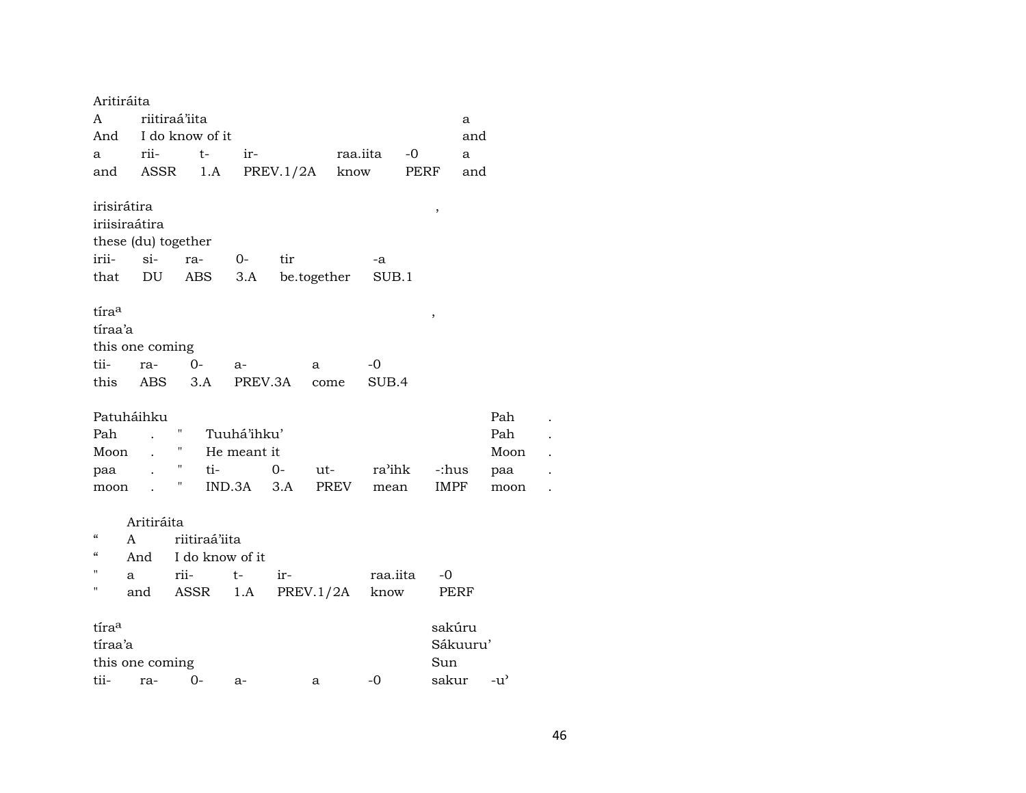| riitiraá'iita<br>A<br>a<br>And I do know of it<br>and<br>raa.iita<br>rii-<br>$t-$<br>$-0$<br>ir-<br>a<br>a<br>PREV.1/2A<br>ASSR<br>know<br>PERF<br>and<br>1.A<br>and<br>irisirátira<br>,<br>iriisiraátira |
|-----------------------------------------------------------------------------------------------------------------------------------------------------------------------------------------------------------|
|                                                                                                                                                                                                           |
|                                                                                                                                                                                                           |
|                                                                                                                                                                                                           |
|                                                                                                                                                                                                           |
|                                                                                                                                                                                                           |
|                                                                                                                                                                                                           |
|                                                                                                                                                                                                           |
| these (du) together                                                                                                                                                                                       |
| irii-<br>$si$ -<br>ra-<br>$O-$<br>tir<br>-a                                                                                                                                                               |
| DU<br>ABS<br>3.A<br>be.together<br>SUB.1<br>that                                                                                                                                                          |
|                                                                                                                                                                                                           |
| tíraa<br>$\,$                                                                                                                                                                                             |
| tíraa'a                                                                                                                                                                                                   |
| this one coming                                                                                                                                                                                           |
| tii-<br>$0-$<br>ra-<br>-0<br>a-<br>a                                                                                                                                                                      |
| this ABS<br>3.A<br>PREV.3A<br>SUB.4<br>come                                                                                                                                                               |
|                                                                                                                                                                                                           |
| Patuháihku<br>Pah                                                                                                                                                                                         |
| Ħ<br>Tuuhá'ihku'<br>Pah<br>Pah                                                                                                                                                                            |
| $\mathbf{u}$<br>Moon<br>He meant it<br>Moon<br>$\mathbf{r}$                                                                                                                                               |
| Η<br>ti-<br>$0 -$<br>ra'ihk<br>$ut$ - $\qquad$<br>-:hus<br>paa<br>paa                                                                                                                                     |
| Π<br>$IND.3A$ $3.A$<br>PREV<br>IMPF<br>moon<br>mean<br>moon                                                                                                                                               |
|                                                                                                                                                                                                           |
| Aritiráita                                                                                                                                                                                                |
| $\epsilon$<br>riitiraá'iita<br>A                                                                                                                                                                          |
| $\boldsymbol{\zeta}\boldsymbol{\zeta}$<br>I do know of it<br>And                                                                                                                                          |
| rii-<br>$t-$<br>ir-<br>raa.iita<br>a<br>-0                                                                                                                                                                |
| PREV.1/2A know<br>п<br>and<br>ASSR 1.A<br>PERF                                                                                                                                                            |
| tíraa<br>sakúru                                                                                                                                                                                           |
| tíraa'a<br>Sákuuru'                                                                                                                                                                                       |
| this one coming<br>Sun                                                                                                                                                                                    |
| tii-<br>sakur<br>$0-$<br>$-0$<br>$-u$ <sup><math>\prime</math></sup><br>ra-<br>$a-$<br>a                                                                                                                  |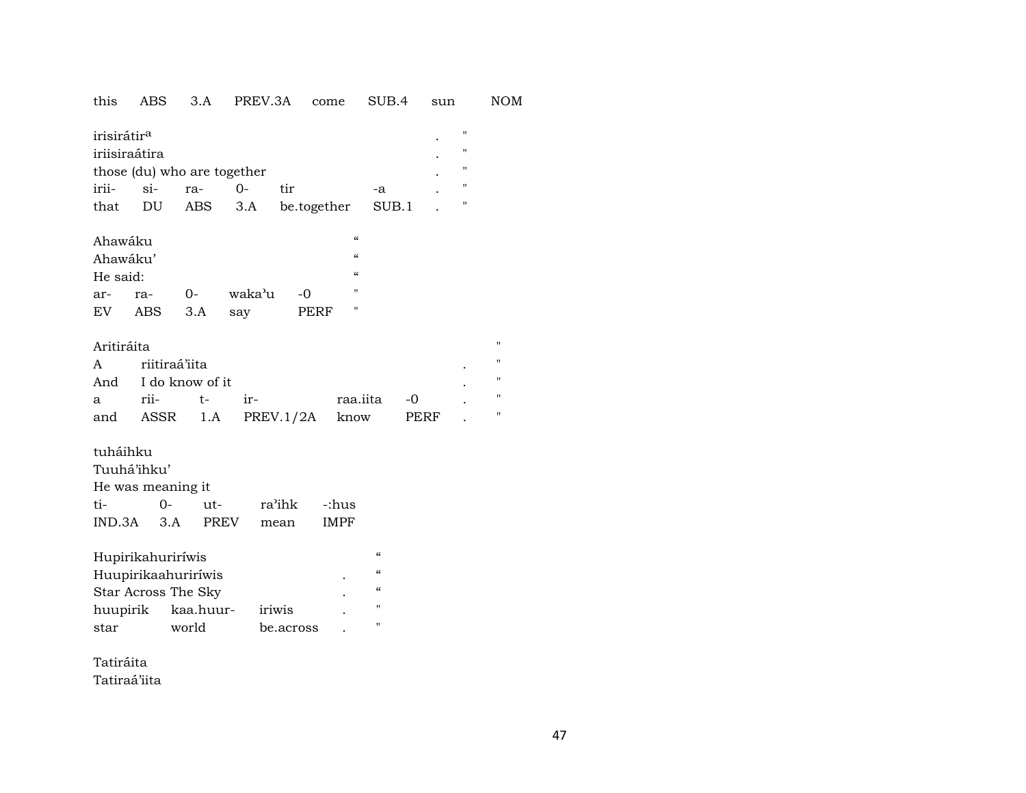| this                                     | ABS           | 3.A                         |             | PREV.3A |           | come        |                    | SUB.4              |      | sun |                   |  |  |
|------------------------------------------|---------------|-----------------------------|-------------|---------|-----------|-------------|--------------------|--------------------|------|-----|-------------------|--|--|
| irisirátir <sup>a</sup><br>iriisiraátira |               |                             |             |         |           |             |                    |                    |      |     | 11<br>$^{\prime}$ |  |  |
|                                          |               | those (du) who are together |             |         |           |             |                    |                    |      |     | $^{\prime}$       |  |  |
| irii-                                    | $si-$         | ra-                         |             | $O -$   | tir       |             |                    | -a                 |      |     | 11                |  |  |
| that                                     | DU            |                             | ABS         | 3.A     |           | be.together |                    | SUB.1              |      |     | 11                |  |  |
| Ahawáku                                  |               |                             |             |         |           |             | $\epsilon\epsilon$ |                    |      |     |                   |  |  |
| Ahawáku'                                 |               |                             |             |         |           |             | $\epsilon\epsilon$ |                    |      |     |                   |  |  |
| He said:                                 |               |                             |             |         |           |             | $\epsilon$         |                    |      |     |                   |  |  |
| ar-                                      | ra-           | $0-$                        |             | waka'u  | $-0$      |             | Ħ                  |                    |      |     |                   |  |  |
| EV                                       | ABS           | 3.A                         |             | say     |           | PERF        |                    |                    |      |     |                   |  |  |
|                                          |               |                             |             |         |           |             |                    |                    |      |     |                   |  |  |
|                                          | Aritiráita    |                             |             |         |           |             |                    |                    |      |     |                   |  |  |
| A                                        | riitiraá'iita |                             |             |         |           |             |                    |                    |      |     |                   |  |  |
| And                                      |               | I do know of it             |             |         |           |             |                    |                    |      |     |                   |  |  |
| a                                        | rii-          |                             | t-          | ir-     |           |             | raa.iita           |                    | -0   |     |                   |  |  |
| and                                      |               | ASSR                        | 1.A         |         | PREV.1/2A |             | know               |                    | PERF |     |                   |  |  |
| tuháihku                                 |               |                             |             |         |           |             |                    |                    |      |     |                   |  |  |
| Tuuhá'ihku'                              |               |                             |             |         |           |             |                    |                    |      |     |                   |  |  |
|                                          |               | He was meaning it           |             |         |           |             |                    |                    |      |     |                   |  |  |
| ti-                                      |               | $0-$                        | ut-         |         | ra'ihk    | -:hus       |                    |                    |      |     |                   |  |  |
| IND.3A                                   |               | 3.A                         | <b>PREV</b> |         | mean      | <b>IMPF</b> |                    |                    |      |     |                   |  |  |
|                                          |               |                             |             |         |           |             |                    |                    |      |     |                   |  |  |
|                                          |               | Hupirikahuriríwis           |             |         |           |             |                    | $\epsilon\epsilon$ |      |     |                   |  |  |
|                                          |               | Huupirikaahuriríwis         |             |         |           |             |                    | $\epsilon\epsilon$ |      |     |                   |  |  |
|                                          |               | Star Across The Sky         |             |         |           |             |                    | $\epsilon\epsilon$ |      |     |                   |  |  |
| huupirik                                 |               |                             | kaa.huur-   |         | iriwis    |             |                    | $\pmb{\mathsf{H}}$ |      |     |                   |  |  |
| star                                     |               | world                       |             |         | be.across |             |                    | $^{\prime\prime}$  |      |     |                   |  |  |
|                                          |               |                             |             |         |           |             |                    |                    |      |     |                   |  |  |

Tatiráita Tatiraá'iita **NOM** 

 $\mathbf{u}$  $\mathbf{u}$  $\mathbf{u}$  $\mathbf{u}$  $\boldsymbol{\mathsf{u}}$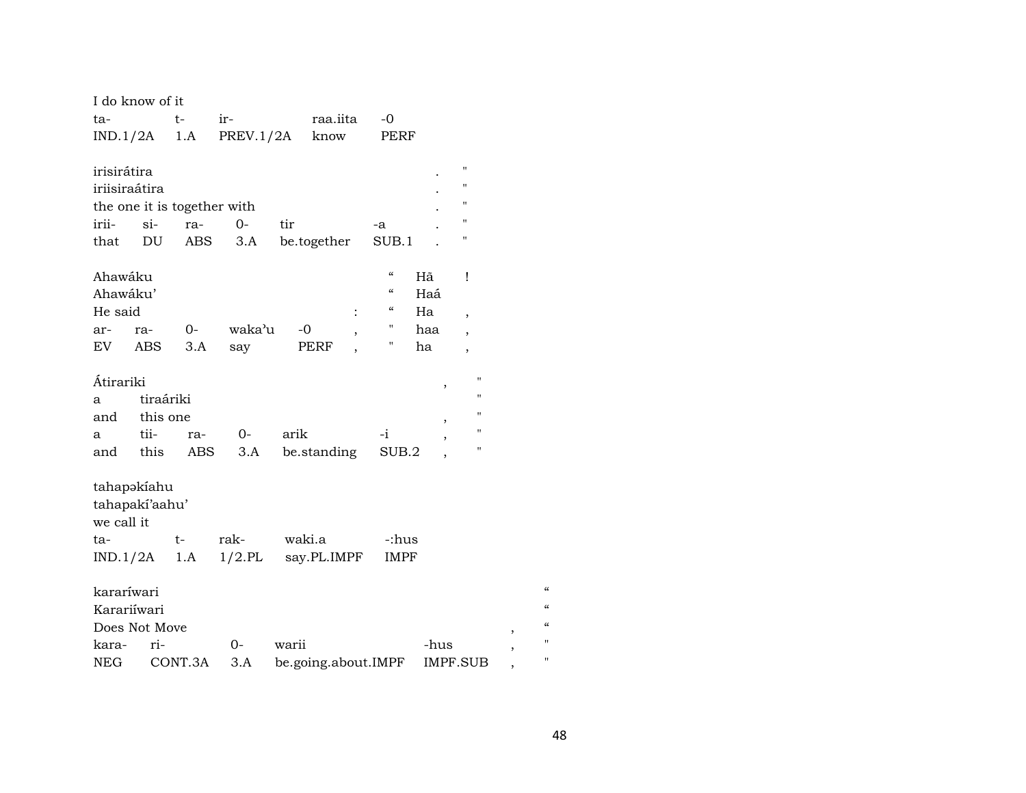| I do know of it             |               |           |                       |                                  |                           |
|-----------------------------|---------------|-----------|-----------------------|----------------------------------|---------------------------|
| ta-                         | t-            | $ir-$     | raa.iita              | -0                               |                           |
| $IND.1/2A$ 1.A              |               | PREV.1/2A | know                  | PERF                             |                           |
|                             |               |           |                       |                                  |                           |
| irisirátira                 |               |           |                       |                                  | П                         |
| iriisiraátira               |               |           |                       |                                  | н                         |
| the one it is together with |               |           |                       |                                  | п                         |
| irii-                       | $\sin$<br>ra- | $O -$     | tir                   | -a                               | н                         |
| that                        | DU<br>ABS     | 3.A       | be.together           | SUB.1                            | Н                         |
|                             |               |           |                       |                                  |                           |
| Ahawáku                     |               |           |                       | $\boldsymbol{\mathcal{C}}$<br>Hã | Ţ                         |
| Ahawáku'                    |               |           |                       | $\epsilon$<br>Haá                |                           |
| He said                     |               |           |                       | "<br>Ha                          |                           |
|                             |               | waka'u    | :<br>$-0$             | Π.                               | $\overline{\phantom{a}}$  |
| ra-<br>ar-                  | $0-$          |           | $^\mathrm{^{^\circ}}$ | haa<br>н.                        | $\overline{\phantom{a}}$  |
| EV<br>ABS                   | 3.A           | say       | PERF                  | ha                               | ,                         |
| Átirariki                   |               |           |                       |                                  | П                         |
|                             |               |           |                       |                                  | ,<br>н                    |
| a                           | tiraáriki     |           |                       |                                  | $\blacksquare$            |
| and this one                |               |           |                       |                                  |                           |
| tii-<br>a                   | ra-           | 0-        | arik                  | $-i$                             | 11                        |
| and this                    | ABS           | 3.A       | be.standing           | SUB.2                            | н                         |
|                             |               |           |                       |                                  |                           |
| tahapakiahu                 |               |           |                       |                                  |                           |
| tahapaki'aahu'              |               |           |                       |                                  |                           |
| we call it                  |               |           |                       |                                  |                           |
| ta-                         | $t-$          | rak-      | waki.a                | -:hus                            |                           |
| $IND.1/2A$ 1.A              |               | $1/2$ .PL | say.PL.IMPF           | <b>IMPF</b>                      |                           |
|                             |               |           |                       |                                  |                           |
| kararíwari                  |               |           |                       |                                  | $\epsilon$                |
| Karariíwari                 |               |           |                       |                                  | $\epsilon$                |
| Does Not Move               |               |           |                       |                                  | $\mathcal{C}$             |
| ri-<br>kara-                |               | $0-$      | warii                 | -hus                             | Ħ                         |
| <b>NEG</b>                  | CONT.3A       | 3.A       | be.going.about.IMPF   |                                  | ,<br>П<br><b>IMPF.SUB</b> |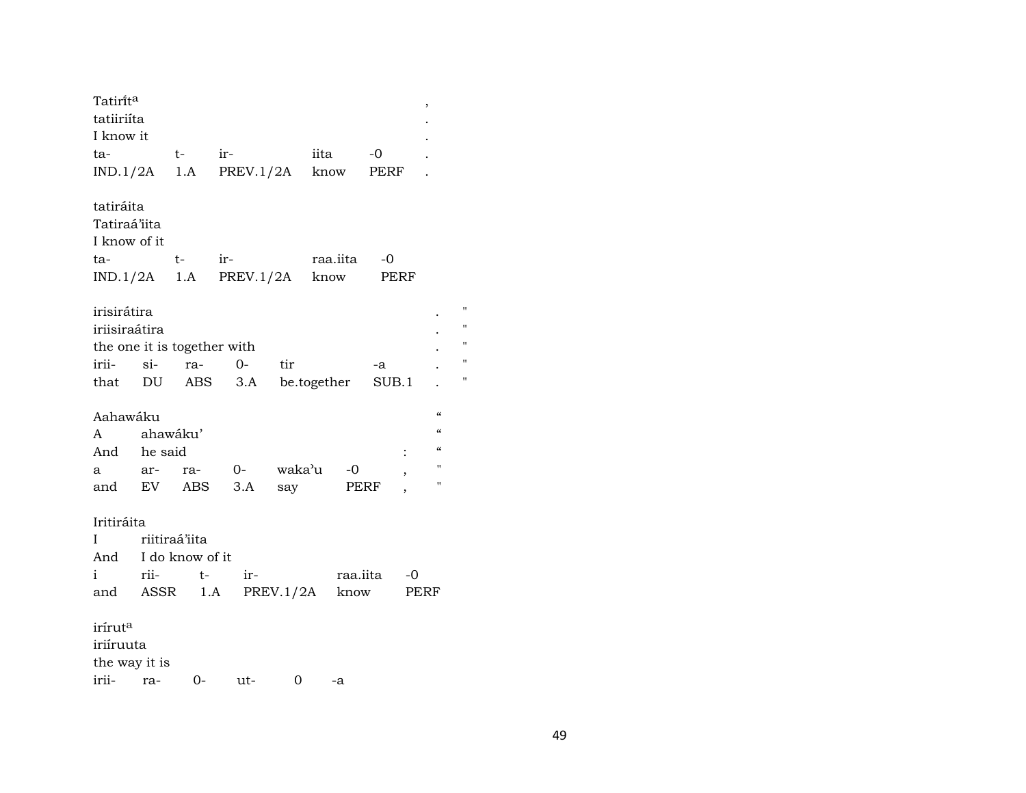| Tatirit <sup>a</sup>        |          |      |                             |     |           |             | $\,$ |                                        |
|-----------------------------|----------|------|-----------------------------|-----|-----------|-------------|------|----------------------------------------|
| tatiiriíta                  |          |      |                             |     |           |             |      |                                        |
| I know it                   |          |      |                             |     |           |             |      |                                        |
| ta-                         |          |      | $t ir-$                     |     | iita      | $-0$        |      |                                        |
|                             |          |      | $IND.1/2A$ 1.A PREV.1/2A    |     | know PERF |             |      |                                        |
| tatiráita                   |          |      |                             |     |           |             |      |                                        |
| Tatiraá'iita                |          |      |                             |     |           |             |      |                                        |
| I know of it                |          |      |                             |     |           |             |      |                                        |
| ta-                         |          | t-   | $ir$ - $\qquad$             |     | raa.iita  | -0          |      |                                        |
|                             |          |      | $IND.1/2A$ 1.A PREV.1/2A    |     | know      | PERF        |      |                                        |
| irisirátira                 |          |      |                             |     |           |             |      | П                                      |
| iriisiraátira               |          |      |                             |     |           |             |      |                                        |
| the one it is together with |          |      |                             |     |           |             |      | Ħ                                      |
| irii- si-                   |          |      | ra- 0-                      | tir |           | -a          |      | Ħ                                      |
|                             |          |      | that DU ABS 3.A be.together |     |           | SUB.1       |      | Ħ                                      |
| Aahawáku                    |          |      |                             |     |           |             |      | $\pmb{\zeta}\pmb{\zeta}$               |
| A                           | ahawáku' |      |                             |     |           |             |      | $\mathcal{C}$                          |
| And he said                 |          |      |                             |     |           |             |      | $\boldsymbol{\zeta}\boldsymbol{\zeta}$ |
| a                           | ar-      |      | ra- 0- waka'u -0            |     |           |             | $\,$ | $\pmb{\mathsf{H}}$                     |
| and EV ABS                  |          |      | 3.A                         | say |           | PERF        |      | $\pmb{\mathsf{H}}$                     |
| Iritiráita                  |          |      |                             |     |           |             |      |                                        |
| riitiraá'iita<br>Ι          |          |      |                             |     |           |             |      |                                        |
| And I do know of it         |          |      |                             |     |           |             |      |                                        |
| i                           | rii-     | $t-$ | ir-                         |     |           | raa.iita -0 |      |                                        |
|                             |          |      | and ASSR 1.A PREV.1/2A know |     |           |             | PERF |                                        |
| irírut <sup>a</sup>         |          |      |                             |     |           |             |      |                                        |
| iriíruuta                   |          |      |                             |     |           |             |      |                                        |
| the way it is               |          |      |                             |     |           |             |      |                                        |
| irii-                       | ra-      | $0-$ | ut-                         | 0   | -a        |             |      |                                        |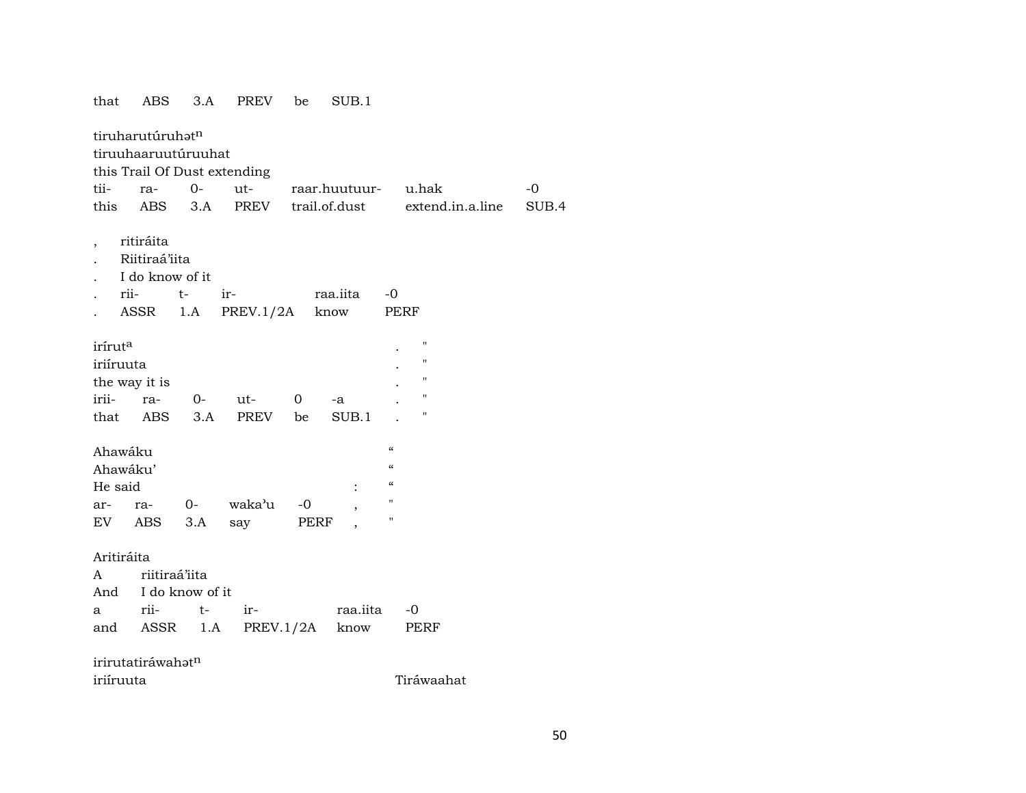| that                | ABS                  | 3.A  | <b>PREV</b>                  | be   | SUB.1                |                                        |                    |       |
|---------------------|----------------------|------|------------------------------|------|----------------------|----------------------------------------|--------------------|-------|
|                     | tiruharutúruhatn     |      |                              |      |                      |                                        |                    |       |
|                     | tiruuhaaruutúruuhat  |      |                              |      |                      |                                        |                    |       |
|                     |                      |      | this Trail Of Dust extending |      |                      |                                        |                    |       |
| tii-                | ra-                  | $0-$ | $ut$ - $\qquad$              |      | raar.huutuur- u.hak  |                                        |                    | $-0$  |
| this                | <b>ABS</b>           | 3.A  | PREV                         |      | trail.of.dust        |                                        | extend.in.a.line   | SUB.4 |
|                     |                      |      |                              |      |                      |                                        |                    |       |
| ,                   | ritiráita            |      |                              |      |                      |                                        |                    |       |
|                     | Riitiraá'iita        |      |                              |      |                      |                                        |                    |       |
|                     | I do know of it      |      |                              |      |                      |                                        |                    |       |
|                     | rii-                 | $t-$ | ir                           |      | raa.iita             | $-0$                                   |                    |       |
|                     | ASSR                 | 1.A  | PREV.1/2A                    |      | know                 |                                        | PERF               |       |
| irírut <sup>a</sup> |                      |      |                              |      |                      |                                        | $\pmb{\mathsf{H}}$ |       |
| iriíruuta           |                      |      |                              |      |                      |                                        | $\pmb{\mathsf{H}}$ |       |
|                     |                      |      |                              |      |                      |                                        | $\pmb{\mathsf{H}}$ |       |
| irii-               | the way it is<br>ra- | $O-$ | ut-                          | 0    |                      |                                        | $\pmb{\mathsf{H}}$ |       |
|                     | that ABS             | 3.A  | PREV be                      |      | -a<br>SUB.1          |                                        | $\pmb{\mathsf{H}}$ |       |
|                     |                      |      |                              |      |                      |                                        |                    |       |
| Ahawáku             |                      |      |                              |      |                      | $\boldsymbol{\zeta}\boldsymbol{\zeta}$ |                    |       |
| Ahawáku'            |                      |      |                              |      |                      | $\epsilon\epsilon$                     |                    |       |
| He said             |                      |      |                              |      | $\ddot{\phantom{0}}$ | $\epsilon$                             |                    |       |
| ar-                 | ra-                  | $0-$ | waka'u                       | $-0$ |                      | $\mathbf H$                            |                    |       |
| EV                  | ABS                  | 3.A  | say                          | PERF |                      | 11                                     |                    |       |
|                     |                      |      |                              |      |                      |                                        |                    |       |
| Aritiráita          |                      |      |                              |      |                      |                                        |                    |       |
| $\mathsf{A}$        | riitiraá'iita        |      |                              |      |                      |                                        |                    |       |
|                     | And I do know of it  |      |                              |      |                      |                                        |                    |       |
| a                   | rii-                 | $t-$ | ir-                          |      | raa.iita             |                                        | -0                 |       |
|                     | and ASSR 1.A         |      |                              |      | PREV.1/2A know       |                                        | PERF               |       |
|                     |                      |      |                              |      |                      |                                        |                    |       |
|                     | irirutatiráwahatn    |      |                              |      |                      |                                        |                    |       |
| iriíruuta           |                      |      |                              |      |                      |                                        | Tiráwaahat         |       |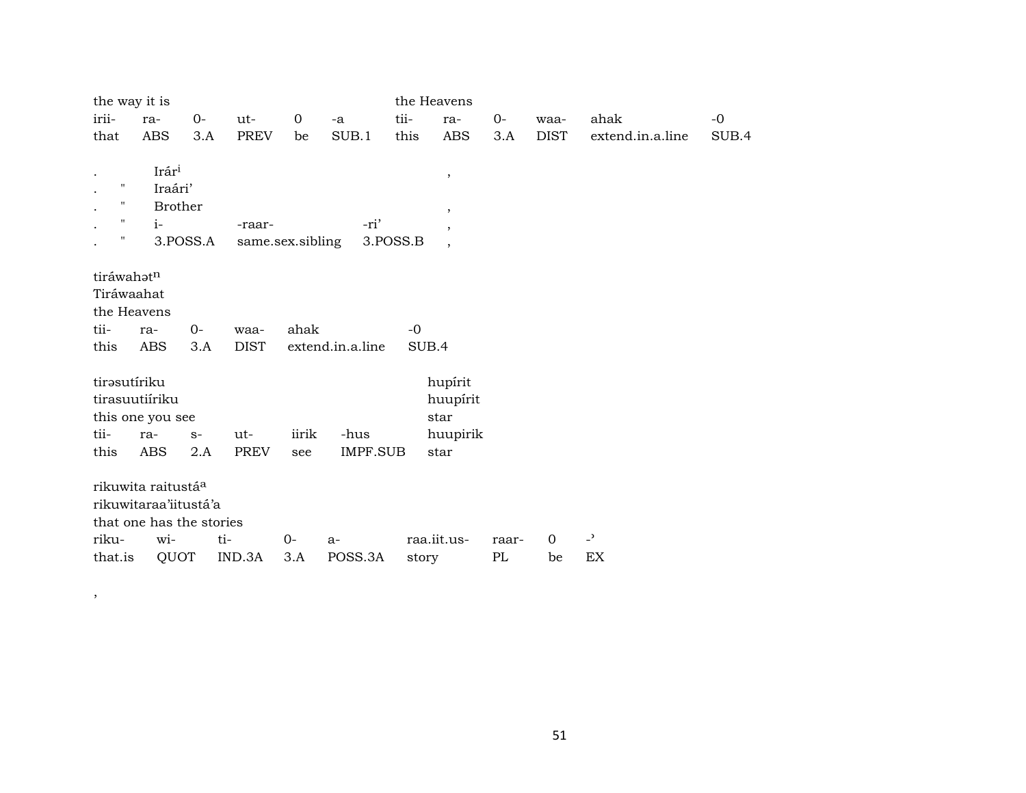| the way it is      |                                |          |                  |             |                  |          | the Heavens              |       |                |                          |       |
|--------------------|--------------------------------|----------|------------------|-------------|------------------|----------|--------------------------|-------|----------------|--------------------------|-------|
| irii-              | ra-                            | $O -$    | ut-              | $\mathbf 0$ | -a               | tii-     | ra-                      | $0-$  | waa-           | ahak                     | $-o$  |
| that               | <b>ABS</b>                     | 3.A      | <b>PREV</b>      | be          | SUB.1            | this     | <b>ABS</b>               | 3.A   | <b>DIST</b>    | extend.in.a.line         | SUB.4 |
|                    |                                |          |                  |             |                  |          |                          |       |                |                          |       |
|                    | Irári                          |          |                  |             |                  |          | $\, ,$                   |       |                |                          |       |
| $\pmb{\mathsf{H}}$ | Iraári'                        |          |                  |             |                  |          |                          |       |                |                          |       |
| $\pmb{\mathsf{H}}$ | <b>Brother</b>                 |          |                  |             |                  |          | $\,$                     |       |                |                          |       |
| $\mathbf{H}$       | $i-$                           |          | -raar-           |             | -ri'             |          | $\overline{\phantom{a}}$ |       |                |                          |       |
| 11                 |                                | 3.POSS.A | same.sex.sibling |             |                  | 3.POSS.B | $\overline{\phantom{a}}$ |       |                |                          |       |
|                    |                                |          |                  |             |                  |          |                          |       |                |                          |       |
| tiráwahatn         |                                |          |                  |             |                  |          |                          |       |                |                          |       |
| Tiráwaahat         |                                |          |                  |             |                  |          |                          |       |                |                          |       |
| the Heavens        |                                |          |                  |             |                  |          |                          |       |                |                          |       |
| tii-               | ra-                            | $0-$     | waa-             | ahak        |                  | $-0$     |                          |       |                |                          |       |
| this               | <b>ABS</b>                     | 3.A      | <b>DIST</b>      |             | extend.in.a.line |          | SUB.4                    |       |                |                          |       |
|                    |                                |          |                  |             |                  |          |                          |       |                |                          |       |
| tirəsutíriku       |                                |          |                  |             |                  |          | hupírit                  |       |                |                          |       |
|                    | tirasuutiíriku                 |          |                  |             |                  |          | huupírit                 |       |                |                          |       |
|                    | this one you see               |          |                  |             |                  |          | star                     |       |                |                          |       |
| tii-               | ra-                            | $S-$     | ut-              | iirik       | -hus             |          | huupirik                 |       |                |                          |       |
| this               | ABS                            | 2.A      | <b>PREV</b>      | see         | <b>IMPF.SUB</b>  |          | star                     |       |                |                          |       |
|                    |                                |          |                  |             |                  |          |                          |       |                |                          |       |
|                    | rikuwita raitustá <sup>a</sup> |          |                  |             |                  |          |                          |       |                |                          |       |
|                    | rikuwitaraa'iitustá'a          |          |                  |             |                  |          |                          |       |                |                          |       |
|                    | that one has the stories       |          |                  |             |                  |          |                          |       |                |                          |       |
| riku-              | wi-                            | ti-      |                  | 0-          | $a-$             |          | raa.iit.us-              | raar- | $\overline{0}$ | $\overline{\phantom{a}}$ |       |
| that.is            | QUOT                           |          | IND.3A           | 3.A         | POSS.3A          | story    |                          | PL    | be             | EX                       |       |

 $\overline{\phantom{a}}$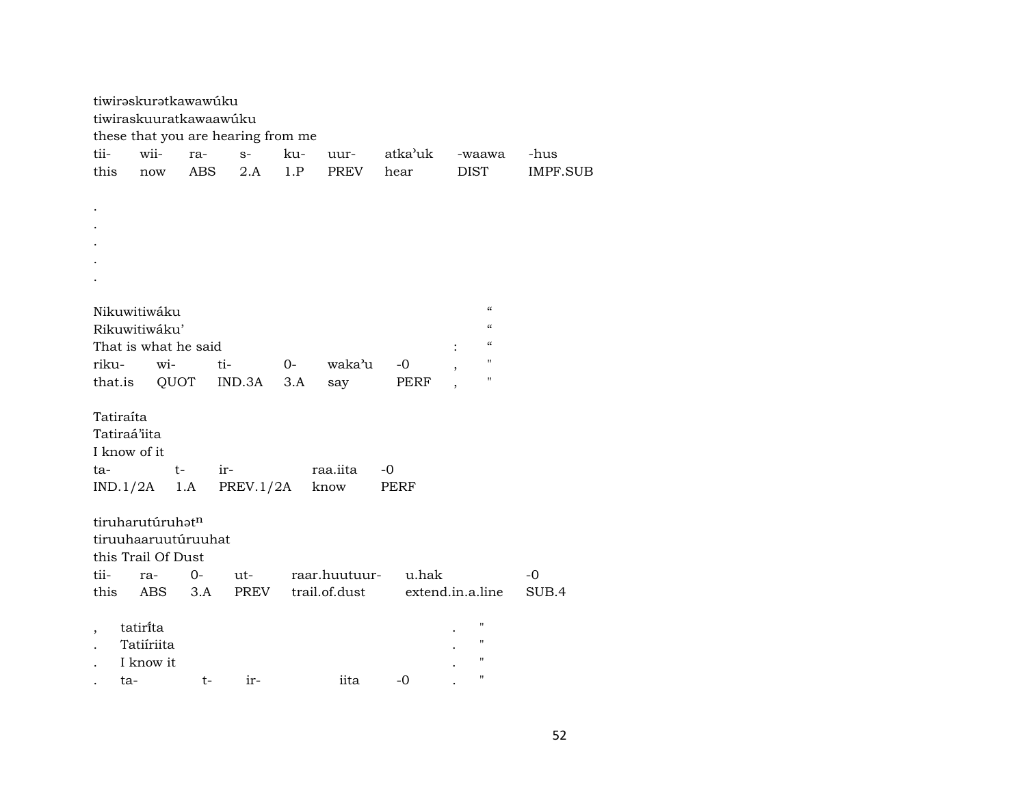|       | tiwirəskurətkawawúku<br>tiwiraskuuratkawaawúku |      |            |                                    |       |               |                     |                                                                    |                 |
|-------|------------------------------------------------|------|------------|------------------------------------|-------|---------------|---------------------|--------------------------------------------------------------------|-----------------|
|       |                                                |      |            | these that you are hearing from me |       |               |                     |                                                                    |                 |
| tii-  | wii-                                           |      | ra-        | $S-$                               | ku-   | uur-          | atka'uk             | -waawa                                                             | -hus            |
| this  | now                                            |      | <b>ABS</b> | 2.A                                | 1.P   | PREV          | hear                | <b>DIST</b>                                                        | <b>IMPF.SUB</b> |
|       |                                                |      |            |                                    |       |               |                     |                                                                    |                 |
|       |                                                |      |            |                                    |       |               |                     |                                                                    |                 |
|       |                                                |      |            |                                    |       |               |                     |                                                                    |                 |
|       |                                                |      |            |                                    |       |               |                     |                                                                    |                 |
|       |                                                |      |            |                                    |       |               |                     |                                                                    |                 |
|       |                                                |      |            |                                    |       |               |                     |                                                                    |                 |
|       |                                                |      |            |                                    |       |               |                     |                                                                    |                 |
|       | Nikuwitiwáku                                   |      |            |                                    |       |               |                     | $\boldsymbol{\zeta}\boldsymbol{\zeta}$<br>$\pmb{\zeta}\pmb{\zeta}$ |                 |
|       | Rikuwitiwáku'                                  |      |            |                                    |       |               |                     | $\pmb{\zeta}\pmb{\zeta}$                                           |                 |
|       | That is what he said                           |      |            |                                    |       |               |                     | $\pmb{\mathsf{H}}$                                                 |                 |
| riku- |                                                | wi-  | ti-        |                                    | $O -$ | waka'u        | -0                  | П                                                                  |                 |
|       | that.is                                        |      |            | QUOT IND.3A                        | 3.A   | say           | PERF                |                                                                    |                 |
|       | Tatiraíta                                      |      |            |                                    |       |               |                     |                                                                    |                 |
|       | Tatiraá'iita                                   |      |            |                                    |       |               |                     |                                                                    |                 |
|       | I know of it                                   |      |            |                                    |       |               |                     |                                                                    |                 |
| ta-   |                                                | $t-$ |            | ir-                                |       | raa.iita      | -0                  |                                                                    |                 |
|       | IND.1/2A                                       |      |            | $1.A$ PREV.1/2A                    |       | know          | PERF                |                                                                    |                 |
|       |                                                |      |            |                                    |       |               |                     |                                                                    |                 |
|       | tiruharutúruhatn                               |      |            |                                    |       |               |                     |                                                                    |                 |
|       | tiruuhaaruutúruuhat                            |      |            |                                    |       |               |                     |                                                                    |                 |
|       | this Trail Of Dust                             |      |            |                                    |       |               |                     |                                                                    |                 |
| tii-  |                                                | ra-  | 0-         | ut-                                |       |               | raar.huutuur- u.hak |                                                                    | $-0$            |
| this  |                                                | ABS  | 3.A        | PREV                               |       | trail.of.dust |                     | extend.in.a.line                                                   | SUB.4           |
|       |                                                |      |            |                                    |       |               |                     |                                                                    |                 |
|       | tatirita                                       |      |            |                                    |       |               |                     | 11                                                                 |                 |
|       | Tatiíriita                                     |      |            |                                    |       |               |                     | 11                                                                 |                 |
|       | I know it                                      |      |            |                                    |       |               |                     | $\pmb{\mathsf{H}}$                                                 |                 |
|       | ta-                                            |      | t-         | $ir-$                              |       | iita          | $-0$                | $\pmb{\mathsf{H}}$                                                 |                 |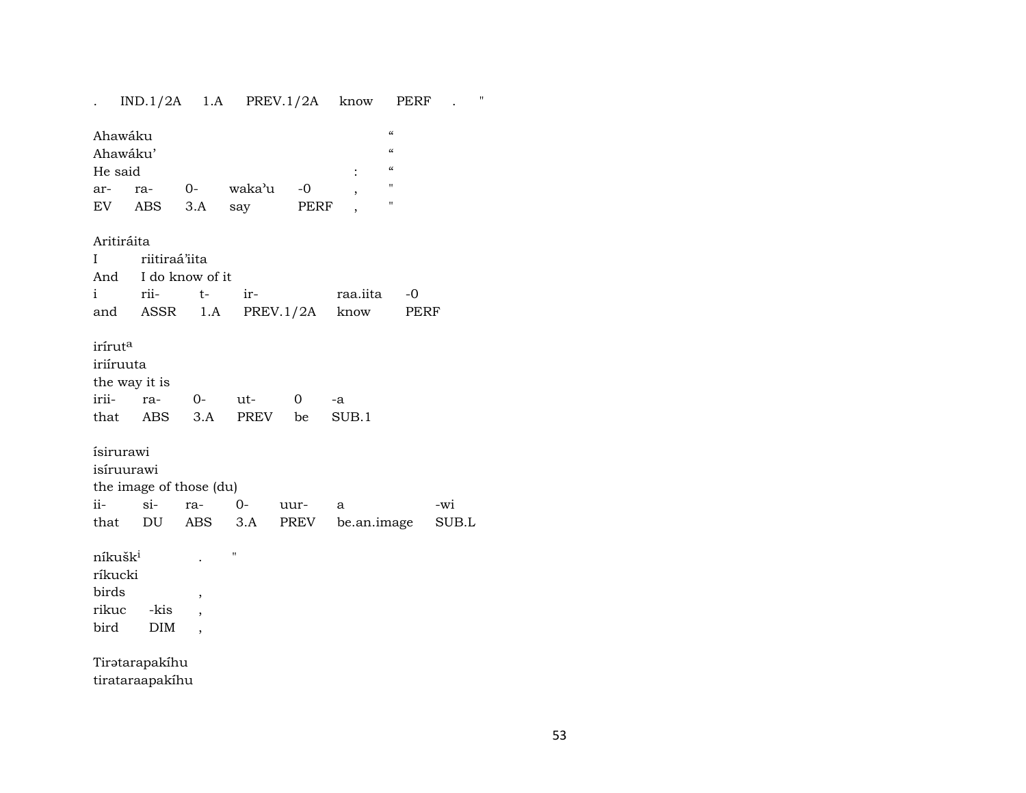$IND.1/2A$  1.A PREV.1/2A know PERF .  $\mathbf{r}$  $\pmb{\alpha}$ Ahawáku  $\pmb{\mathcal{U}}$ Ahawáku'  $\pmb{\mathcal{C}}$ He said  $\cdot$ waka'u  $-0$  $\mathbf{u}$ arra- $O -$ **PERF**  $EV$ ABS  $3.A$ say Ţ.  $\ddot{\phantom{1}}$ Aritiráita riitiraá'iita  $\mathbf{I}$ And I do know of it  $i$ rii $t$ irraa.iita  $-0$ ASSR  $1.A$ PREV.1/2A know PERF and iríruta iriíruuta the way it is iriira- $0$ ut- $\mathbf 0$  $-a$ that ABS  $3.A$ PREV be  $SUB.1$ ísirurawi isíruurawi the image of those (du)  $ii$  $si O$ rauur- $\mathbf{a}$ -wi that DU **ABS PREV** be.an.image  $3.A$  $\rm SUB.L$ níkušk<sup>i</sup>  $\bar{\mathbf{u}}$  $\ddot{\phantom{a}}$ ríkucki birds  $\, ,$ rikuc -kis  $\overline{\phantom{a}}$ bird  $\rm{DIM}$  $\overline{\phantom{a}}$ 

Tiratarapakíhu tirataraapakíhu  $\mathbf{u}$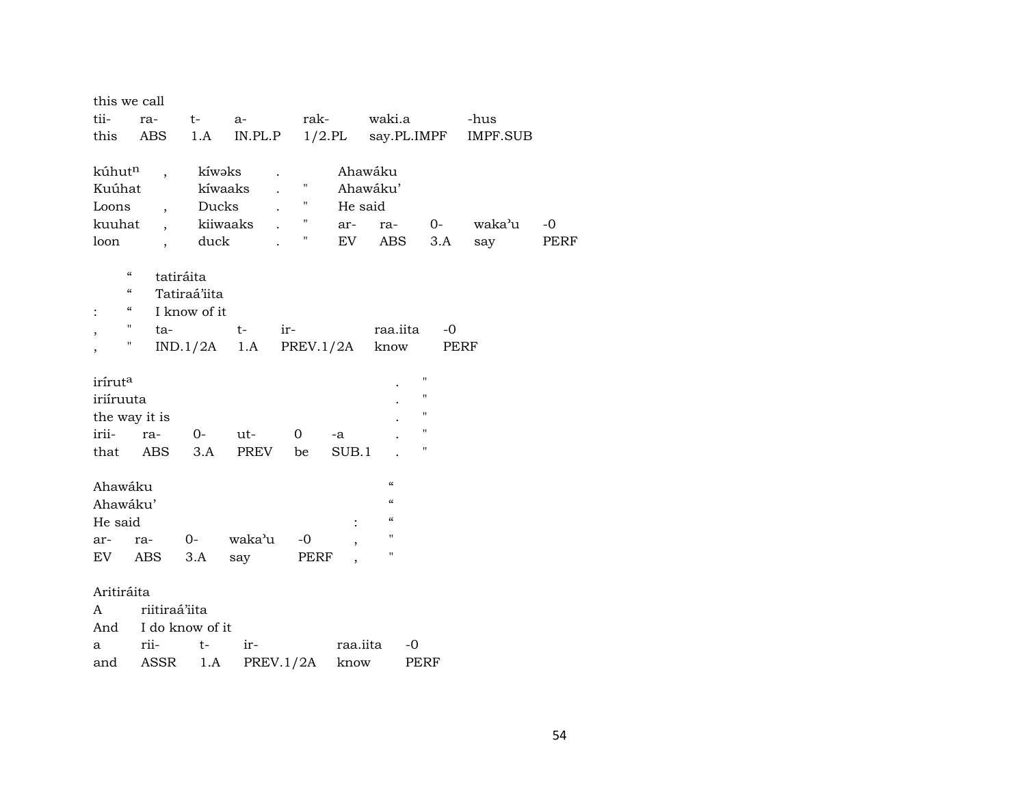| this we call                           |                          |              |                          |                |                          |                                        |                    |                 |             |
|----------------------------------------|--------------------------|--------------|--------------------------|----------------|--------------------------|----------------------------------------|--------------------|-----------------|-------------|
| tii-                                   | ra-                      | $t \qquad$   | $a-$                     |                |                          | rak- waki.a                            |                    | -hus            |             |
| this                                   | ABS                      | 1.A          |                          |                |                          | $IN.PL.P$ $1/2.PL$ say. PL. IMPF       |                    | <b>IMPF.SUB</b> |             |
|                                        |                          |              |                          |                |                          |                                        |                    |                 |             |
| kúhut <sup>n</sup>                     | $\overline{\phantom{a}}$ | kíwəks       | $\ddot{\phantom{0}}$     | $\mathbf{H}$   |                          | Ahawáku                                |                    |                 |             |
| Kuúhat                                 |                          | kíwaaks      |                          | н.             |                          | Ahawáku'                               |                    |                 |             |
| Loons<br>kuuhat                        | $\overline{ }$ ,         | Ducks        |                          | $\mathbf{H}$   | He said                  |                                        |                    | waka'u          | $-0$        |
| loon                                   |                          | duck         | kiiwaaks                 | Η.             | ar-<br>EV                | ra-<br>ABS                             | $0-$<br>3.A        |                 | <b>PERF</b> |
|                                        | $\overline{\phantom{a}}$ |              |                          |                |                          |                                        |                    | say             |             |
| $\boldsymbol{\zeta}\boldsymbol{\zeta}$ | tatiráita                |              |                          |                |                          |                                        |                    |                 |             |
| $\epsilon\epsilon$                     |                          | Tatiraá'iita |                          |                |                          |                                        |                    |                 |             |
| $\epsilon\epsilon$<br>$\ddot{\cdot}$   |                          | I know of it |                          |                |                          |                                        |                    |                 |             |
| Π.<br>$\overline{\phantom{a}}$         |                          | ta-          | t-                       | $ir-$          |                          | raa.iita                               | $-0$               |                 |             |
| Ħ                                      |                          |              | $IND.1/2A$ 1.A PREV.1/2A |                |                          | know                                   | PERF               |                 |             |
|                                        |                          |              |                          |                |                          |                                        |                    |                 |             |
| iríruta                                |                          |              |                          |                |                          |                                        | $\pmb{\mathsf{H}}$ |                 |             |
| iriíruuta                              |                          |              |                          |                |                          |                                        | $\pmb{\mathsf{H}}$ |                 |             |
| the way it is                          |                          |              |                          |                |                          |                                        | $\pmb{\mathsf{H}}$ |                 |             |
| irii-                                  | ra-                      |              | 0- ut-                   | $\overline{O}$ | -a                       |                                        | $\pmb{\mathsf{H}}$ |                 |             |
|                                        | that ABS                 | 3.A          | PREV                     | be             | SUB.1                    |                                        | $\pmb{\mathsf{H}}$ |                 |             |
|                                        |                          |              |                          |                |                          | $\alpha$                               |                    |                 |             |
| Ahawáku                                |                          |              |                          |                |                          | $\epsilon\epsilon$                     |                    |                 |             |
| Ahawáku'                               |                          |              |                          |                |                          | $\boldsymbol{\zeta}\boldsymbol{\zeta}$ |                    |                 |             |
| He said                                |                          |              |                          |                | $\ddot{\cdot}$           | $\mathbf{H}$                           |                    |                 |             |
| ar-                                    | ra-                      | $0-$         | waka'u                   | -0             | $\overline{\phantom{a}}$ | $\pmb{\mathsf{H}}$                     |                    |                 |             |
| EV                                     | <b>ABS</b>               | 3.A          | say                      | PERF           |                          |                                        |                    |                 |             |
| Aritiráita                             |                          |              |                          |                |                          |                                        |                    |                 |             |
| A                                      | riitiraá'iita            |              |                          |                |                          |                                        |                    |                 |             |
|                                        | And I do know of it      |              |                          |                |                          |                                        |                    |                 |             |
| a                                      | rii-                     | $t-$         | $ir-$                    |                |                          | raa.iita<br>$-0$                       |                    |                 |             |
|                                        | and ASSR                 | 1.A          |                          | PREV.1/2A      | know                     |                                        | PERF               |                 |             |
|                                        |                          |              |                          |                |                          |                                        |                    |                 |             |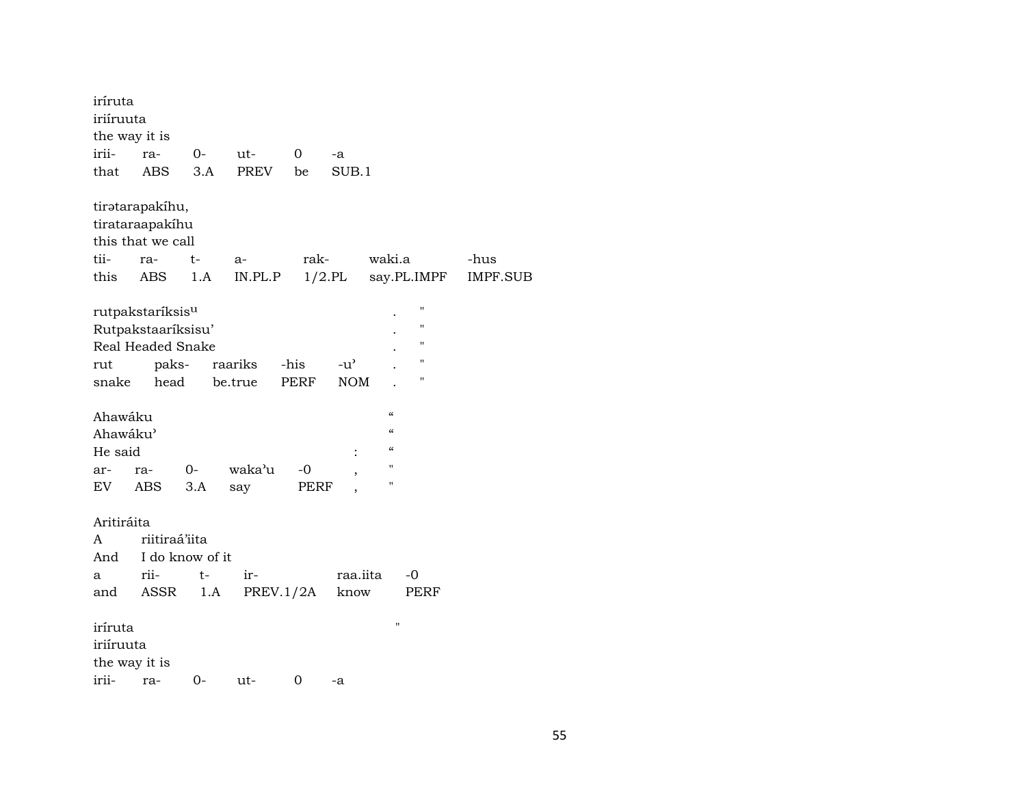| iríruta       |                              |                 |             |             |               |               |                    |                 |  |  |  |  |
|---------------|------------------------------|-----------------|-------------|-------------|---------------|---------------|--------------------|-----------------|--|--|--|--|
| iriíruuta     |                              |                 |             |             |               |               |                    |                 |  |  |  |  |
| the way it is |                              |                 |             |             |               |               |                    |                 |  |  |  |  |
| irii-         | ra-                          | 0-              | ut-         | $\mathbf 0$ | -a            |               |                    |                 |  |  |  |  |
| that          | <b>ABS</b>                   | 3.A             | <b>PREV</b> | be          | SUB.1         |               |                    |                 |  |  |  |  |
|               |                              |                 |             |             |               |               |                    |                 |  |  |  |  |
|               | tiratarapakíhu,              |                 |             |             |               |               |                    |                 |  |  |  |  |
|               | tirataraapakíhu              |                 |             |             |               |               |                    |                 |  |  |  |  |
|               | this that we call            |                 |             |             |               |               |                    |                 |  |  |  |  |
| tii-          | ra-                          | t-              | a-          | rak-        |               | waki.a        |                    | -hus            |  |  |  |  |
| this          | <b>ABS</b>                   | 1.A             | IN.PL.P     |             | $1/2$ .PL     |               | say.PL.IMPF        | <b>IMPF.SUB</b> |  |  |  |  |
|               |                              |                 |             |             |               |               |                    |                 |  |  |  |  |
|               | rutpakstaríksis <sup>u</sup> |                 |             |             |               |               | п                  |                 |  |  |  |  |
|               | Rutpakstaaríksisu'           |                 |             |             |               |               | $\blacksquare$     |                 |  |  |  |  |
|               | Real Headed Snake            |                 |             |             |               |               | н                  |                 |  |  |  |  |
| rut           | paks-                        |                 | raariks     | -his        | $-u^{\prime}$ |               | п                  |                 |  |  |  |  |
| snake         | head                         |                 | be.true     | PERF        | <b>NOM</b>    |               | п                  |                 |  |  |  |  |
|               |                              |                 |             |             |               |               |                    |                 |  |  |  |  |
| Ahawáku       |                              |                 |             |             |               | $\alpha$      |                    |                 |  |  |  |  |
| Ahawáku'      |                              |                 |             |             |               | $\mathcal{C}$ |                    |                 |  |  |  |  |
| He said       |                              |                 |             |             |               | $\epsilon$    |                    |                 |  |  |  |  |
| ar-           | ra-                          | $0-$            | waka'u      | -0          |               | П             |                    |                 |  |  |  |  |
| EV            | ABS                          | 3.A             | say         | PERF        |               | н             |                    |                 |  |  |  |  |
|               |                              |                 |             |             |               |               |                    |                 |  |  |  |  |
| Aritiráita    |                              |                 |             |             |               |               |                    |                 |  |  |  |  |
| A             | riitiraá'iita                |                 |             |             |               |               |                    |                 |  |  |  |  |
| And           |                              | I do know of it |             |             |               |               |                    |                 |  |  |  |  |
| a             | rii-                         | $t-$            | ir-         |             | raa.iita      |               | -0                 |                 |  |  |  |  |
| and           | ASSR                         | 1.A             | PREV.1/2A   |             | know          |               | PERF               |                 |  |  |  |  |
|               |                              |                 |             |             |               |               |                    |                 |  |  |  |  |
| iríruta       |                              |                 |             |             |               |               | $\pmb{\mathsf{H}}$ |                 |  |  |  |  |
|               | iriíruuta                    |                 |             |             |               |               |                    |                 |  |  |  |  |
|               | the way it is                |                 |             |             |               |               |                    |                 |  |  |  |  |
| irii-         | ra-                          | $0 -$           | ut-         | 0           | -a            |               |                    |                 |  |  |  |  |
|               |                              |                 |             |             |               |               |                    |                 |  |  |  |  |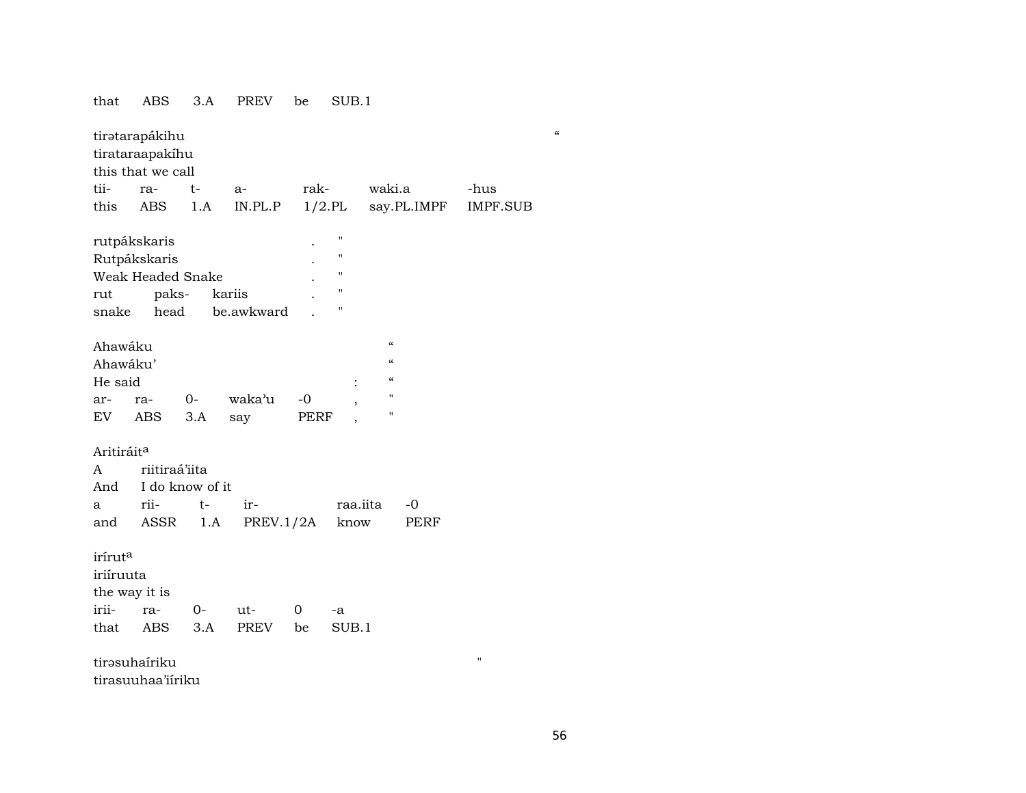#### $SUB.1$ that ABS  $3.A$ PREV be tiratarapákihu tirataraapakíhu this that we call tiiwaki.a ra $t$  $a$ rak--hus **ABS**  $1.A$  $IN.PL.P$  $1/2$ .PL say.PL.IMPF **IMPF.SUB** this rutpákskaris  $\bar{u}$  $\ddot{\phantom{a}}$ Rutpákskaris  $\overline{1}$ Weak Headed Snake  $\overline{u}$ pakskariis  $\boldsymbol{\mathsf{u}}$ rut snake head be.awkward  $\bar{a}$  $\ddot{\phantom{a}}$  $\boldsymbol{\mathcal{U}}$ Ahawáku  $\pmb{\mathcal{U}}$ Ahawáku'  $\pmb{\mathcal{C}}$ He said  $\cdot$  $-0$  $\mathbf{u}$ arra- $O$ waka'u  ${\rm EV}$ **ABS**  $3.A$ say PERF  $\bar{a}$ Aritiráit<sup>a</sup> riitiraá'iita  $\mathbf{A}$ And I do know of it riiir- $-0$  $\mathbf{a}$  $t$ raa.iita PREV. $1/2A$ ASSR  $1.A$ know **PERF** and iríruta iriíruuta the way it is irii- $0$ raut- $\mathbf{0}$  $\mbox{-a}$  $3.A$ **PREV**  $SUB.1$ that ABS be tirəsuhairiku  $\boldsymbol{\mathsf{H}}$ tirasuuhaa'iiriku

 $\alpha$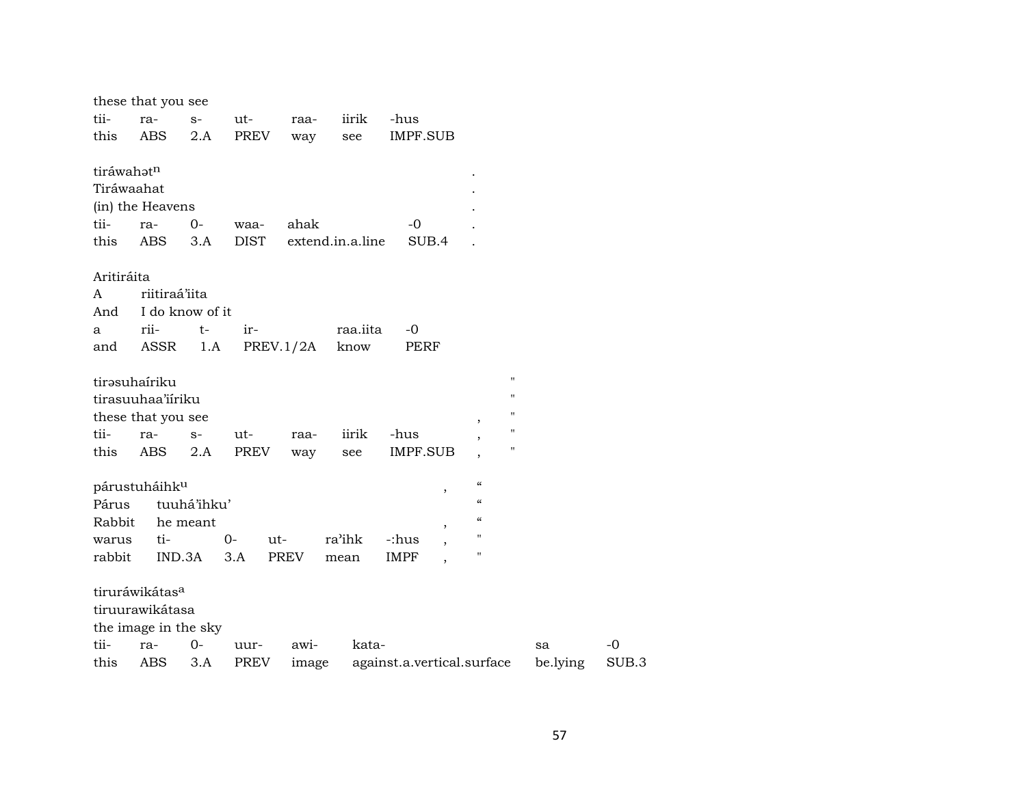|            | these that you see         |                 |             |             |                  |                                   |                            |                    |          |       |
|------------|----------------------------|-----------------|-------------|-------------|------------------|-----------------------------------|----------------------------|--------------------|----------|-------|
| tii-       | ra-                        | $S-$            | ut-         | raa-        | iirik            | -hus                              |                            |                    |          |       |
| this       | <b>ABS</b>                 | 2.A             | PREV        | way         | see              | IMPF.SUB                          |                            |                    |          |       |
| tiráwahatn |                            |                 |             |             |                  |                                   |                            |                    |          |       |
|            | Tiráwaahat                 |                 |             |             |                  |                                   |                            |                    |          |       |
|            | (in) the Heavens           |                 |             |             |                  |                                   |                            |                    |          |       |
| tii-       | ra-                        | $0-$            | waa-        | ahak        |                  | $-0$                              |                            |                    |          |       |
| this       | <b>ABS</b>                 | 3.A             | <b>DIST</b> |             | extend.in.a.line | SUB.4                             |                            |                    |          |       |
| Aritiráita |                            |                 |             |             |                  |                                   |                            |                    |          |       |
| A          | riitiraá'iita              |                 |             |             |                  |                                   |                            |                    |          |       |
| And        |                            | I do know of it |             |             |                  |                                   |                            |                    |          |       |
| a          | rii-                       | $t-$            | ir-         |             | raa.iita         | $-0$                              |                            |                    |          |       |
| and        | ASSR                       | 1.A             |             | PREV.1/2A   | know             | <b>PERF</b>                       |                            |                    |          |       |
|            | tirəsuhairiku              |                 |             |             |                  |                                   |                            | $\pmb{\mathsf{H}}$ |          |       |
|            | tirasuuhaa'iiriku          |                 |             |             |                  |                                   |                            | $\blacksquare$     |          |       |
|            | these that you see         |                 |             |             |                  |                                   | $^\mathrm{,}$              | "                  |          |       |
| tii-       | ra-                        | $S-$            | ut-         | raa-        | iirik            | -hus                              |                            | $\pmb{\mathsf{H}}$ |          |       |
| this       | ABS                        | 2.A             | PREV        | way         | see              | <b>IMPF.SUB</b>                   |                            | $\pmb{\mathsf{H}}$ |          |       |
|            | párustuháihk <sup>u</sup>  |                 |             |             |                  |                                   | $\boldsymbol{\mathcal{C}}$ |                    |          |       |
| Párus      |                            | tuuhá'ihku'     |             |             |                  | $\, ,$                            | $\boldsymbol{\mathcal{C}}$ |                    |          |       |
| Rabbit     |                            | he meant        |             |             |                  |                                   | $\epsilon\epsilon$         |                    |          |       |
| warus      | ti-                        |                 | $0-$<br>ut- |             | ra'ihk           | $\overline{\phantom{a}}$<br>-:hus | "                          |                    |          |       |
| rabbit     |                            | IND.3A          | 3.A         | <b>PREV</b> | mean             | <b>IMPF</b>                       | 11                         |                    |          |       |
|            | tiruráwikátas <sup>a</sup> |                 |             |             |                  |                                   |                            |                    |          |       |
|            | tiruurawikátasa            |                 |             |             |                  |                                   |                            |                    |          |       |
|            | the image in the sky       |                 |             |             |                  |                                   |                            |                    |          |       |
| tii-       | ra-                        | $0-$            | uur-        | awi-        | kata-            |                                   |                            | sa                 |          | -0    |
| this       | ABS                        | 3.A             | PREV        | image       |                  | against.a.vertical.surface        |                            |                    | be.lying | SUB.3 |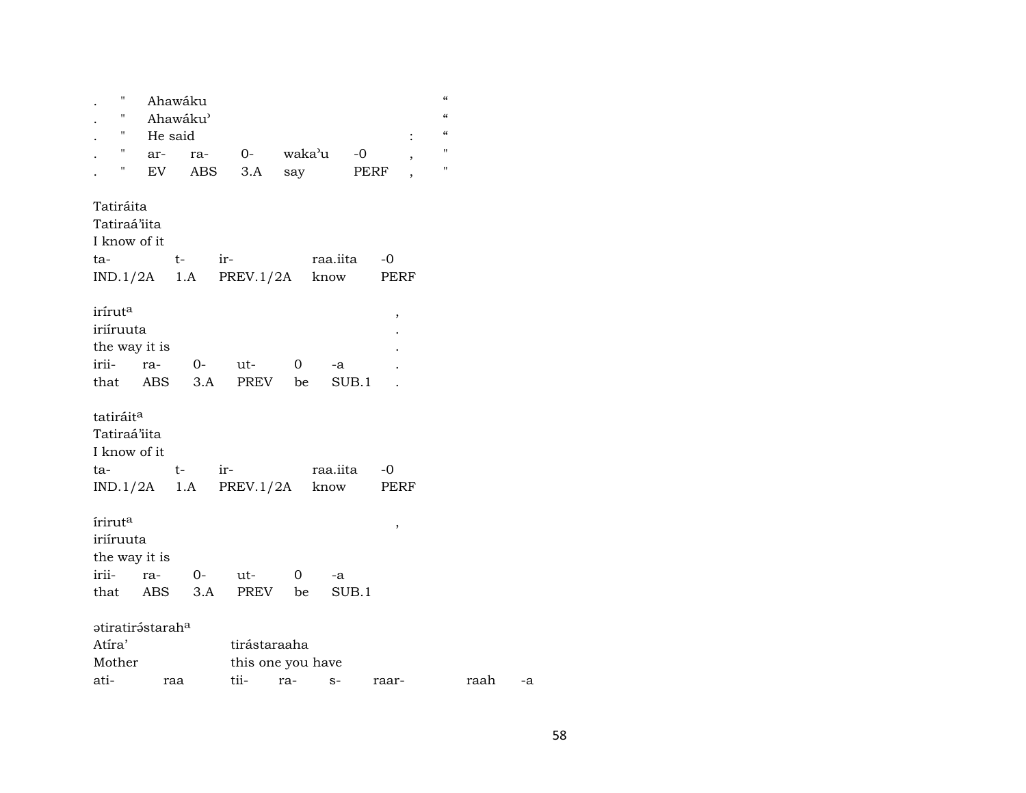| П                     | Ahawáku                      |           |                          |              |             |                | $\epsilon$   |
|-----------------------|------------------------------|-----------|--------------------------|--------------|-------------|----------------|--------------|
| 11                    | Ahawáku'                     |           |                          |              |             |                | $\epsilon$   |
| н                     | He said                      |           |                          |              |             |                | $\epsilon$   |
| н                     | ar-                          |           | ra- 0- waka'u            |              | $-0$        |                | $\mathbf{H}$ |
| Н                     | EV                           |           | ABS 3.A                  | say          | PERF        | ,              | п            |
|                       |                              |           |                          |              |             | $\overline{ }$ |              |
| Tatiráita             |                              |           |                          |              |             |                |              |
|                       |                              |           |                          |              |             |                |              |
| Tatiraá'iita          |                              |           |                          |              |             |                |              |
| I know of it          |                              |           |                          |              |             |                |              |
| ta-                   |                              | ir-<br>t- |                          |              | raa.iita    | $-0$           |              |
|                       |                              |           | $IND.1/2A$ 1.A PREV.1/2A |              | know        | PERF           |              |
|                       |                              |           |                          |              |             |                |              |
| irírut <sup>a</sup>   |                              |           |                          |              |             | ,              |              |
| iriíruuta             |                              |           |                          |              |             |                |              |
| the way it is         |                              |           |                          |              |             |                |              |
| irii-                 | ra-                          | $O-$      | ut-                      | $\mathbf{0}$ | -a          |                |              |
|                       | that ABS                     | 3.A       | PREV                     | be           | SUB.1       |                |              |
|                       |                              |           |                          |              |             |                |              |
|                       |                              |           |                          |              |             |                |              |
| tatiráit <sup>a</sup> |                              |           |                          |              |             |                |              |
| Tatiraá'iita          |                              |           |                          |              |             |                |              |
| I know of it          |                              |           |                          |              |             |                |              |
| ta-                   |                              | ir-<br>t- |                          |              | raa.iita -0 |                |              |
|                       |                              |           | $IND.1/2A$ 1.A PREV.1/2A |              | know        | PERF           |              |
|                       |                              |           |                          |              |             |                |              |
| írirut <sup>a</sup>   |                              |           |                          |              |             | ,              |              |
| iriíruuta             |                              |           |                          |              |             |                |              |
| the way it is         |                              |           |                          |              |             |                |              |
| irii-                 | ra-                          | $O-$      | ut-                      | 0            |             |                |              |
|                       |                              |           |                          |              | -a          |                |              |
|                       | that ABS 3.A                 |           | PREV be                  |              | SUB.1       |                |              |
|                       |                              |           |                          |              |             |                |              |
|                       | atiratirástarah <sup>a</sup> |           |                          |              |             |                |              |
| Atíra'                |                              |           | tirástaraaha             |              |             |                |              |
| Mother                |                              |           | this one you have        |              |             |                |              |
| ati-                  | raa                          |           | tii-                     | ra-          | $S-$        | raar-          |              |

raah

 $-a$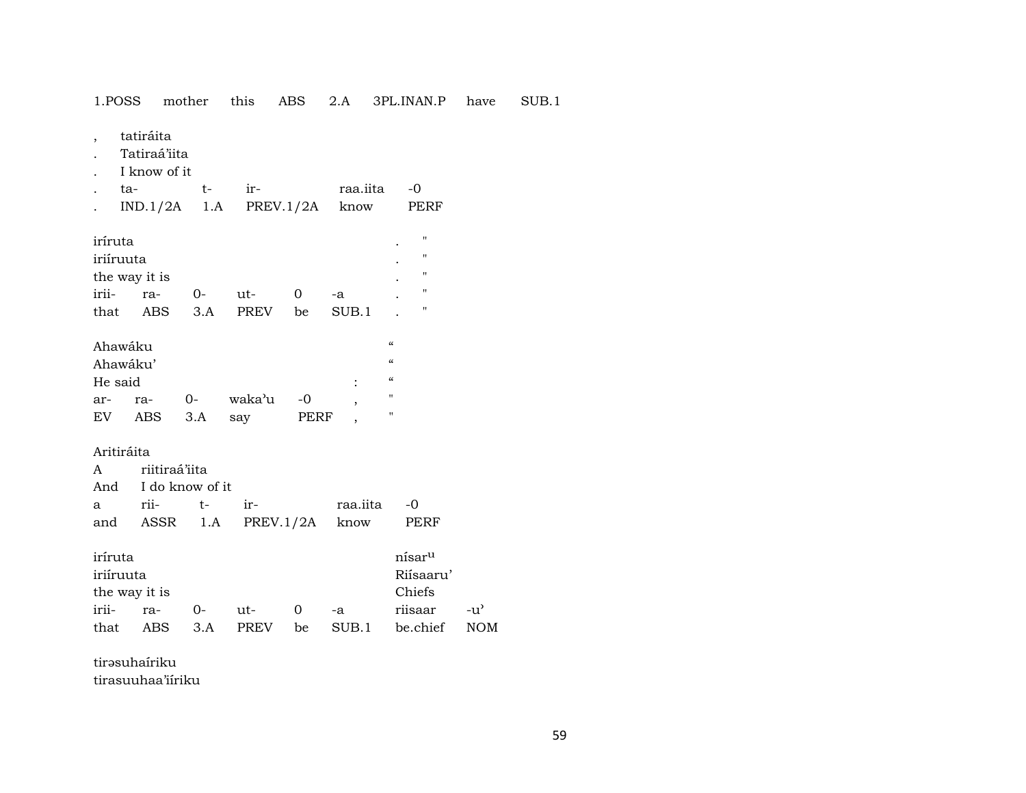1.POSS mother this ABS 2.A 3PL.INAN.P have SUB.1

tatiráita  $\overline{\phantom{a}}$ 

- Tatiraá'iita  $\cdot$
- I know of it  $\ddot{\phantom{a}}$

| . ta- | $t-$ in $-$ |                               | raa.jita -0 |      |
|-------|-------------|-------------------------------|-------------|------|
|       |             | $IND.1/2A$ 1.A PREV.1/2A know |             | PERF |

| iríruta       |      |     |             |    |       | $\bullet$ | п                 |
|---------------|------|-----|-------------|----|-------|-----------|-------------------|
| iriíruuta     |      |     |             |    |       | $\bullet$ | $^{\prime\prime}$ |
| the way it is |      |     |             |    |       | $\bullet$ | п                 |
| irii-         | ra-  | O-  | ut-         |    | -a    | $\bullet$ | $^{\prime\prime}$ |
| that          | ABS. | 3.A | <b>PREV</b> | be | SUB.1 |           | п                 |

| Ahawáku |          |      |        |      |   | $\epsilon$        |
|---------|----------|------|--------|------|---|-------------------|
|         | Ahawáku' |      |        |      |   | $\epsilon$        |
| He said |          |      |        |      | ٠ | $\epsilon$        |
| ar-     | ra-      | $O-$ | waka'u | $-0$ |   | $^{\prime\prime}$ |
| EV      | ABS      | 3.A  | say    | PERF |   | "                 |

# Aritiráita

| A riitiraá'iita |                     |                                  |             |  |  |  |  |  |
|-----------------|---------------------|----------------------------------|-------------|--|--|--|--|--|
|                 | And I do know of it |                                  |             |  |  |  |  |  |
| a rii- t- ir-   |                     |                                  | raa.iita -0 |  |  |  |  |  |
|                 |                     | and ASSR 1.A PREV.1/2A know PERF |             |  |  |  |  |  |

| iríruta       |         |       |        |    |       | nísar <sup>u</sup> |            |
|---------------|---------|-------|--------|----|-------|--------------------|------------|
| iriíruuta     |         |       |        |    |       | Riisaaru'          |            |
| the way it is |         |       |        |    |       | Chiefs             |            |
| irii-         | $ra-$   | $O -$ | $u$ t- |    | -а    | riisaar            | $-11'$     |
| that          | ABS 3.A |       | PREV   | be | SUB.1 | be.chief           | <b>NOM</b> |

tirəsuhairiku tirasuuhaa'iíriku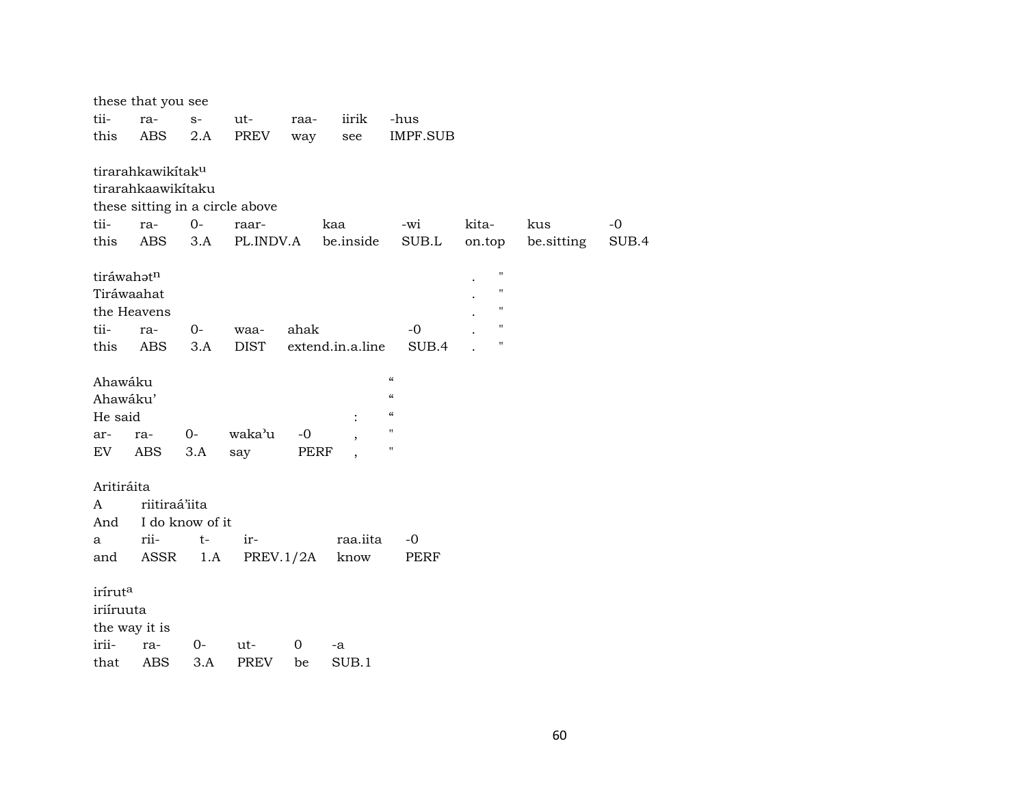|            | these that you see            |                 |                                 |                |                  |                            |                    |            |       |
|------------|-------------------------------|-----------------|---------------------------------|----------------|------------------|----------------------------|--------------------|------------|-------|
| tii-       | ra-                           | $S-$            | ut-                             | raa-           | iirik            | -hus                       |                    |            |       |
| this       | ABS                           | 2.A             | PREV                            | way            | see              | IMPF.SUB                   |                    |            |       |
|            | tirarahkawikitak <sup>u</sup> |                 |                                 |                |                  |                            |                    |            |       |
|            | tirarahkaawikitaku            |                 |                                 |                |                  |                            |                    |            |       |
|            |                               |                 | these sitting in a circle above |                |                  |                            |                    |            |       |
| tii-       | ra-                           | $0-$            | raar-                           |                | kaa              | -wi                        | kita-              | kus        | $-0$  |
| this       | ABS                           | 3.A             | PL.INDV.A                       |                | be.inside        | SUB.L                      | on.top             | be.sitting | SUB.4 |
|            | tiráwahatn                    |                 |                                 |                |                  |                            | Ħ                  |            |       |
|            | Tiráwaahat                    |                 |                                 |                |                  |                            | "                  |            |       |
|            | the Heavens                   |                 |                                 |                |                  |                            | "                  |            |       |
| tii-       | ra-                           | $0-$            | waa-                            | ahak           |                  | -0                         | $\pmb{\mathsf{H}}$ |            |       |
| this       | <b>ABS</b>                    | 3.A             | <b>DIST</b>                     |                | extend.in.a.line | SUB.4                      | $^{\prime}$        |            |       |
| Ahawáku    |                               |                 |                                 |                |                  | $\pmb{\mathcal{C}}$        |                    |            |       |
|            | Ahawáku'                      |                 |                                 |                |                  | $\boldsymbol{\mathcal{C}}$ |                    |            |       |
| He said    |                               |                 |                                 |                |                  | $\pmb{\mathcal{C}}$        |                    |            |       |
| ar-        | ra-                           | 0-              | waka'u                          | $-0$           |                  | $\mathbf{H}$               |                    |            |       |
| EV         | ABS                           | 3.A             | say                             | PERF           |                  | $\pmb{\mathsf{H}}$         |                    |            |       |
| Aritiráita |                               |                 |                                 |                |                  |                            |                    |            |       |
| A          | riitiraá'iita                 |                 |                                 |                |                  |                            |                    |            |       |
| And        |                               | I do know of it |                                 |                |                  |                            |                    |            |       |
| a          | rii-                          | $t-$            | ir-                             |                | raa.iita         | $-0$                       |                    |            |       |
| and        | ASSR                          | 1.A             |                                 | PREV.1/2A      | know             | PERF                       |                    |            |       |
| iríruta    |                               |                 |                                 |                |                  |                            |                    |            |       |
| iriíruuta  |                               |                 |                                 |                |                  |                            |                    |            |       |
|            | the way it is                 |                 |                                 |                |                  |                            |                    |            |       |
| irii-      | ra-                           | 0-              | ut-                             | $\overline{0}$ | -a               |                            |                    |            |       |
| that       | <b>ABS</b>                    | 3.A             | <b>PREV</b>                     | be             | SUB.1            |                            |                    |            |       |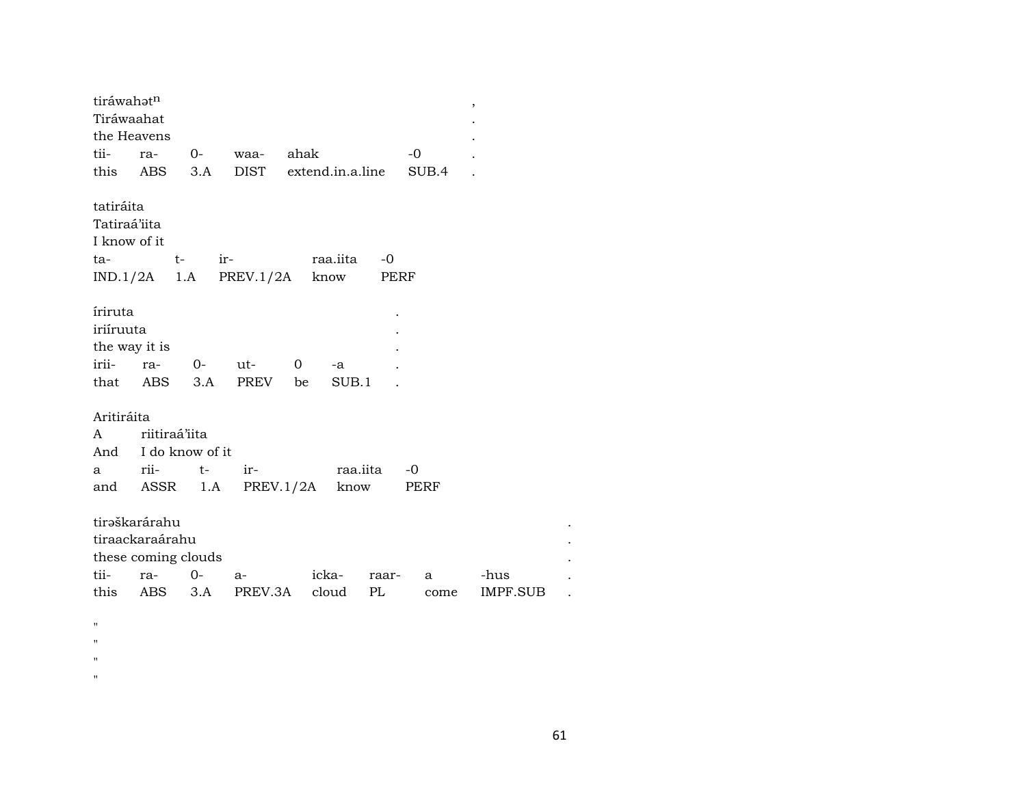| tiráwahət <sup>n</sup> |                     |        |                          |                    |          |       | $\,$     |
|------------------------|---------------------|--------|--------------------------|--------------------|----------|-------|----------|
| Tiráwaahat             |                     |        |                          |                    |          |       |          |
| the Heavens            |                     |        |                          |                    |          |       |          |
| tii-                   | ra-                 | 0-     | waa-                     | ahak               |          | -0    |          |
|                        | this ABS            | 3.A    | DIST                     | extend.in.a.line   |          | SUB.4 |          |
|                        |                     |        |                          |                    |          |       |          |
| tatiráita              |                     |        |                          |                    |          |       |          |
| Tatiraá'iita           |                     |        |                          |                    |          |       |          |
| I know of it           |                     |        |                          |                    |          |       |          |
| ta-                    |                     |        | $t ir-$                  | raa.iita           | -0       |       |          |
|                        |                     |        | $IND.1/2A$ 1.A PREV.1/2A | know               | PERF     |       |          |
|                        |                     |        |                          |                    |          |       |          |
| iriruta                |                     |        |                          |                    |          |       |          |
| iriíruuta              |                     |        |                          |                    |          |       |          |
| the way it is          |                     |        |                          |                    |          |       |          |
| irii-                  |                     | ra- 0- | ut-                      | $\mathbf{O}$<br>-a |          |       |          |
|                        | that ABS            | 3.A    | PREV be                  | SUB.1              |          |       |          |
|                        |                     |        |                          |                    |          |       |          |
| Aritiráita             |                     |        |                          |                    |          |       |          |
| A                      | riitiraá'iita       |        |                          |                    |          |       |          |
|                        | And I do know of it |        |                          |                    |          |       |          |
| a                      | rii-                | $t-$   | $ir-$                    |                    | raa.iita | -0    |          |
|                        | and ASSR 1.A        |        |                          | PREV.1/2A          | know     | PERF  |          |
|                        |                     |        |                          |                    |          |       |          |
|                        | tirəškarárahu       |        |                          |                    |          |       |          |
|                        | tiraackaraárahu     |        |                          |                    |          |       |          |
|                        | these coming clouds |        |                          |                    |          |       |          |
| tii-                   | ra- 0-              |        | a-                       | icka-              | raar-    | a     | -hus     |
| this                   | ABS 3.A             |        | PREV.3A                  | cloud              | PL       | come  | IMPF.SUB |
|                        |                     |        |                          |                    |          |       |          |
|                        |                     |        |                          |                    |          |       |          |

- $\mathbf{u}$  $\mathbf{u}$
- $\bar{\mathbf{u}}$
- 
- $\mathbf{u}$

 $\ddot{\phantom{a}}$  $\ddot{\phantom{a}}$ 

 $\ddot{\phantom{a}}$ 

 $\ddot{\phantom{a}}$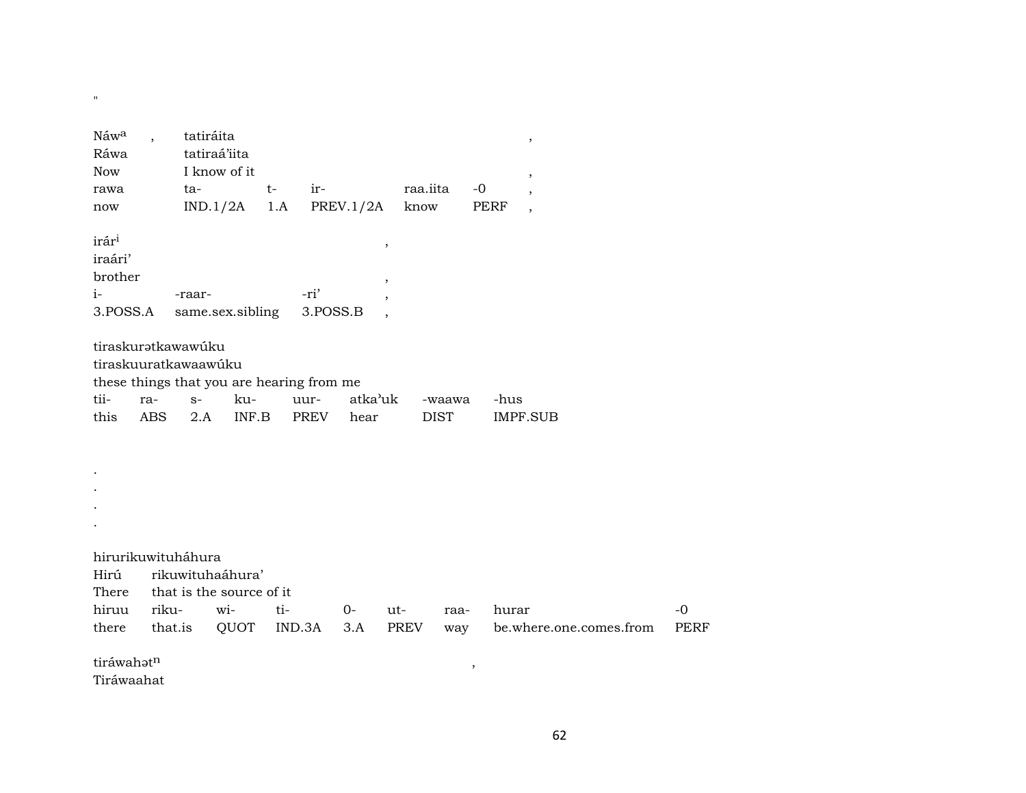| Náw <sup>a</sup> | $\overline{\phantom{a}}$ | tatiráita                                 |        |                  |          |               | $\, ,$                  |             |
|------------------|--------------------------|-------------------------------------------|--------|------------------|----------|---------------|-------------------------|-------------|
| Ráwa             |                          | tatiraá'iita                              |        |                  |          |               |                         |             |
| <b>Now</b>       |                          | I know of it                              |        |                  |          |               | $\, ,$                  |             |
| rawa             | ta-                      |                                           | $t-$   | ir-              | raa.iita | $-0$          |                         |             |
| now              |                          | IND.1/2A                                  | 1.A    | <b>PREV.1/2A</b> | know     |               | PERF<br>$\cdot$         |             |
| irári            |                          |                                           |        |                  | $\, ,$   |               |                         |             |
| iraári'          |                          |                                           |        |                  |          |               |                         |             |
| brother          |                          |                                           |        |                  |          |               |                         |             |
| $i-$             | -raar-                   |                                           |        | -ri'             |          |               |                         |             |
| 3.POSS.A         |                          | same.sex.sibling                          |        | 3.POSS.B         |          |               |                         |             |
|                  |                          |                                           |        |                  |          |               |                         |             |
|                  | tiraskuratkawawúku       |                                           |        |                  |          |               |                         |             |
|                  | tiraskuuratkawaawúku     |                                           |        |                  |          |               |                         |             |
|                  |                          | these things that you are hearing from me |        |                  |          |               |                         |             |
| tii-             | ra-                      | $S-$<br>ku-                               |        | uur-             | atka'uk  | -waawa        | -hus                    |             |
| this             | ABS                      | INF.B<br>2.A                              |        | PREV<br>hear     |          | <b>DIST</b>   | <b>IMPF.SUB</b>         |             |
|                  |                          |                                           |        |                  |          |               |                         |             |
|                  |                          |                                           |        |                  |          |               |                         |             |
|                  |                          |                                           |        |                  |          |               |                         |             |
|                  |                          |                                           |        |                  |          |               |                         |             |
|                  |                          |                                           |        |                  |          |               |                         |             |
|                  |                          |                                           |        |                  |          |               |                         |             |
|                  |                          |                                           |        |                  |          |               |                         |             |
|                  | hirurikuwituháhura       |                                           |        |                  |          |               |                         |             |
| Hirú             |                          | rikuwituhaáhura'                          |        |                  |          |               |                         |             |
| There            |                          | that is the source of it                  |        |                  |          |               |                         |             |
| hiruu            | riku-                    | wi-                                       | ti-    | $0-$             | ut-      | raa-          | hurar                   | $-0$        |
| there            | that.is                  | QUOT                                      | IND.3A | 3.A              | PREV     | way           | be.where.one.comes.from | <b>PERF</b> |
| tiráwahatn       |                          |                                           |        |                  |          | $^\mathrm{,}$ |                         |             |
| Tiráwaahat       |                          |                                           |        |                  |          |               |                         |             |

 $\mathbf{u}$  .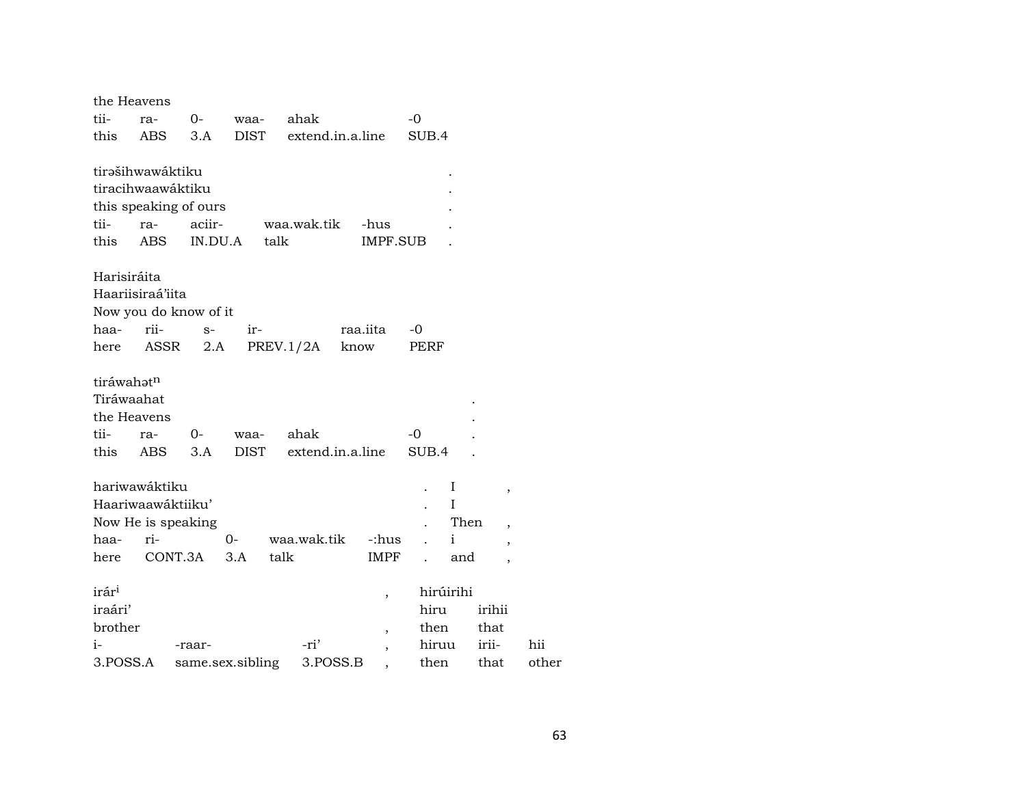|                        | the Heavens           |         |                  |                  |                          |              |                          |       |
|------------------------|-----------------------|---------|------------------|------------------|--------------------------|--------------|--------------------------|-------|
| tii-                   | ra-                   | $0-$    | waa-             | ahak             |                          | -0           |                          |       |
| this                   | <b>ABS</b>            | 3.A     | DIST             | extend.in.a.line |                          | SUB.4        |                          |       |
|                        |                       |         |                  |                  |                          |              |                          |       |
|                        | tirašihwawáktiku      |         |                  |                  |                          |              |                          |       |
|                        | tiracihwaawáktiku     |         |                  |                  |                          |              |                          |       |
|                        | this speaking of ours |         |                  |                  |                          |              |                          |       |
| tii-                   | ra-                   | aciir-  |                  | waa.wak.tik      | -hus                     |              |                          |       |
| this                   | <b>ABS</b>            | IN.DU.A | talk             |                  | IMPF.SUB                 |              |                          |       |
| Harisiráita            |                       |         |                  |                  |                          |              |                          |       |
|                        | Haariisiraá'iita      |         |                  |                  |                          |              |                          |       |
|                        | Now you do know of it |         |                  |                  |                          |              |                          |       |
| haa-                   | rii-                  | $S-$    | ir-              |                  | raa.iita                 | $-0$         |                          |       |
| here                   | ASSR                  | 2.A     |                  | PREV.1/2A        | know                     | PERF         |                          |       |
|                        |                       |         |                  |                  |                          |              |                          |       |
| tiráwahat <sup>n</sup> |                       |         |                  |                  |                          |              |                          |       |
| Tiráwaahat             |                       |         |                  |                  |                          |              |                          |       |
|                        | the Heavens           |         |                  |                  |                          |              |                          |       |
| tii-                   | ra-                   | 0-      | waa-             | ahak             |                          | $-0$         |                          |       |
| this                   | ABS                   | 3.A     | <b>DIST</b>      | extend.in.a.line |                          | SUB.4        |                          |       |
|                        | hariwawáktiku         |         |                  |                  |                          |              |                          |       |
|                        | Haariwaawáktiiku'     |         |                  |                  |                          | I<br>Ι       | $\, ,$                   |       |
|                        | Now He is speaking    |         |                  |                  |                          | Then         |                          |       |
| haa-                   | ri-                   |         | 0-               | waa.wak.tik      | -:hus                    | $\mathbf{i}$ | $\overline{\phantom{a}}$ |       |
| here                   | CONT.3A               |         | 3.A              | talk             | IMPF                     | and          | $\overline{\phantom{a}}$ |       |
|                        |                       |         |                  |                  |                          |              | $\overline{\phantom{a}}$ |       |
| irár <sup>i</sup>      |                       |         |                  |                  | $\overline{\phantom{a}}$ | hirúirihi    |                          |       |
| iraári'                |                       |         |                  |                  |                          | hiru         | irihii                   |       |
| brother                |                       |         |                  |                  | ,                        | then         | that                     |       |
| i-                     |                       | -raar-  |                  | -ri'             | ,                        | hiruu        | irii-                    | hii   |
| 3.POSS.A               |                       |         | same.sex.sibling | 3.POSS.B         |                          | then         | that                     | other |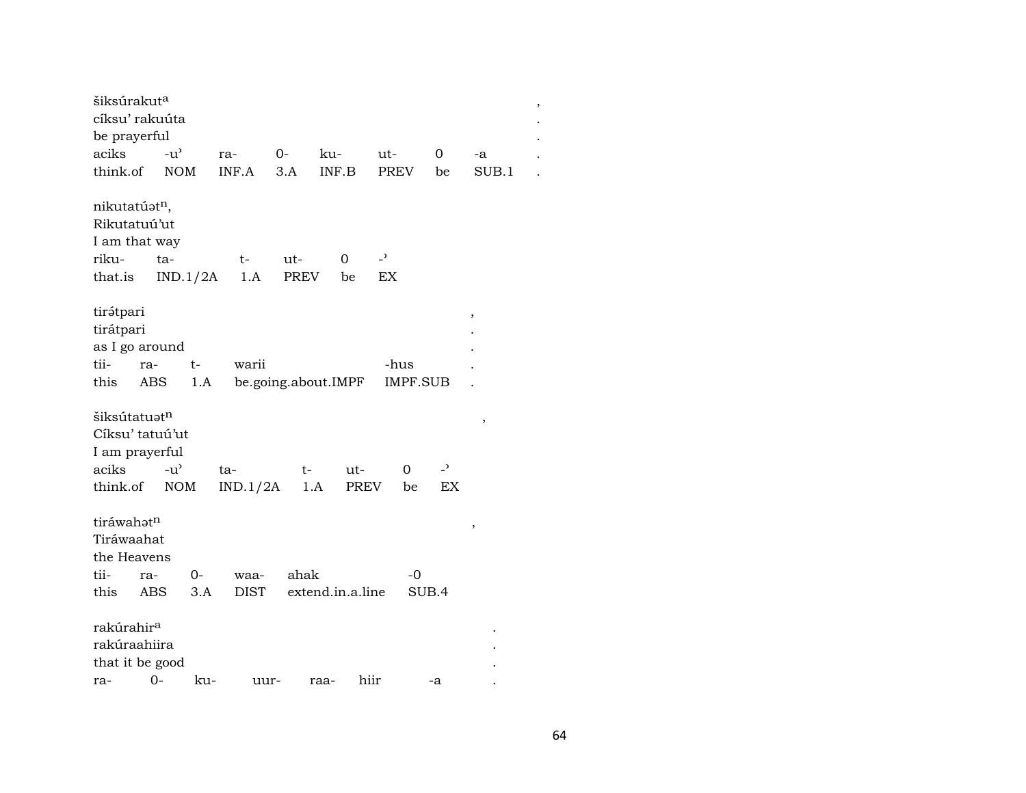| šiksúrakut <sup>a</sup>   |                   |             |             |                     |                          |                |       | $\, ,$ |
|---------------------------|-------------------|-------------|-------------|---------------------|--------------------------|----------------|-------|--------|
| cíksu' rakuúta            |                   |             |             |                     |                          |                |       |        |
| be prayerful              |                   |             |             |                     |                          |                |       |        |
| aciks                     | $-u^{\prime}$     | ra-         | $0-$        | ku-                 | ut-                      | 0              | -a    |        |
| think.of                  | <b>NOM</b>        | INF.A       | 3.A         | INF.B               | <b>PREV</b>              | be             | SUB.1 |        |
| nikutatúat <sup>n</sup> , |                   |             |             |                     |                          |                |       |        |
| Rikutatuú'ut              |                   |             |             |                     |                          |                |       |        |
| I am that way             |                   |             |             |                     |                          |                |       |        |
| riku-                     | ta-               | $t-$        | ut-         | 0                   | $\overline{\phantom{a}}$ |                |       |        |
| that.is                   | IND.1/2A          | 1.A         | <b>PREV</b> | be                  | EX                       |                |       |        |
| tirátpari                 |                   |             |             |                     |                          |                | ,     |        |
| tirátpari                 |                   |             |             |                     |                          |                |       |        |
| as I go around            |                   |             |             |                     |                          |                |       |        |
| tii-<br>ra-               | t-                | warii       |             |                     | -hus                     |                |       |        |
| this                      | ABS<br>1.A        |             |             | be.going.about.IMPF | <b>IMPF.SUB</b>          |                |       |        |
| šiksútatuatn              |                   |             |             |                     |                          |                |       |        |
| Cíksu' tatuú'ut           |                   |             |             |                     |                          |                | ,     |        |
| I am prayerful            |                   |             |             |                     |                          |                |       |        |
| aciks                     | $-u^{\prime}$     | ta-         | t-          | ut-                 | 0                        | $\overline{a}$ |       |        |
| think.of                  | <b>NOM</b>        | IND.1/2A    | 1.A         | PREV                | be                       | EX             |       |        |
|                           |                   |             |             |                     |                          |                |       |        |
| tiráwahatn                |                   |             |             |                     |                          |                | $\,$  |        |
| Tiráwaahat                |                   |             |             |                     |                          |                |       |        |
| the Heavens               |                   |             |             |                     |                          |                |       |        |
| tii-<br>ra-               | 0-                | waa-        | ahak        |                     | $-0$                     |                |       |        |
| this                      | <b>ABS</b><br>3.A | <b>DIST</b> |             | extend.in.a.line    | SUB.4                    |                |       |        |
| rakúrahir <sup>a</sup>    |                   |             |             |                     |                          |                |       |        |
| rakúraahiira              |                   |             |             |                     |                          |                |       |        |
| that it be good           |                   |             |             |                     |                          |                |       |        |
| ra-                       | $O -$<br>ku-      | uur-        |             | hiir<br>raa-        |                          | -a             |       |        |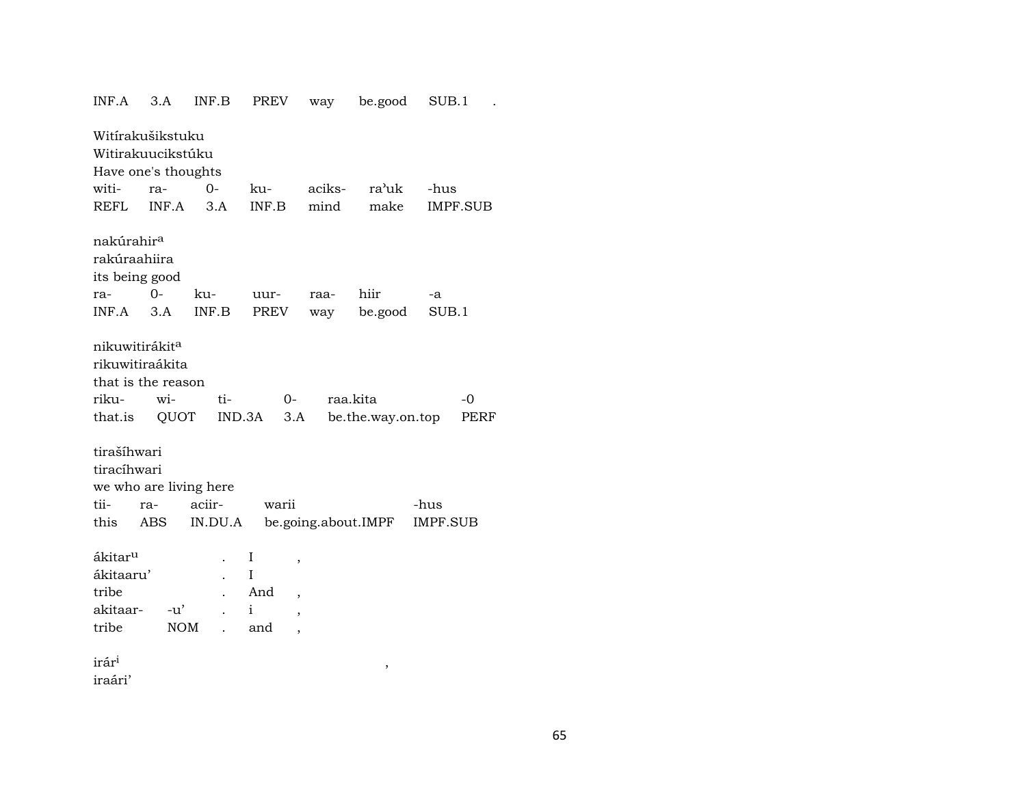| INF.A                                                          | 3.A                                                                                                                                                                    | INF.B                  | <b>PREV</b>                                                          | way    | be.good             | SUB.1           |  |  |  |
|----------------------------------------------------------------|------------------------------------------------------------------------------------------------------------------------------------------------------------------------|------------------------|----------------------------------------------------------------------|--------|---------------------|-----------------|--|--|--|
| Witírakušikstuku<br>Witirakuucikstúku                          |                                                                                                                                                                        |                        |                                                                      |        |                     |                 |  |  |  |
| Have one's thoughts                                            |                                                                                                                                                                        |                        |                                                                      |        |                     |                 |  |  |  |
| witi-                                                          | ra-                                                                                                                                                                    | $0 -$                  | ku-                                                                  | aciks- | ra'uk               | -hus            |  |  |  |
| <b>REFL</b>                                                    | INF.A                                                                                                                                                                  | 3.A                    | INF.B                                                                | mind   | make                | <b>IMPF.SUB</b> |  |  |  |
| nakúrahir <sup>a</sup><br>rakúraahiira<br>its being good       |                                                                                                                                                                        |                        |                                                                      |        |                     |                 |  |  |  |
| ra-                                                            | $0-$                                                                                                                                                                   | ku-                    | uur-                                                                 | raa-   | hiir                | -a              |  |  |  |
| INF.A                                                          | 3.A                                                                                                                                                                    | INF.B                  | PREV                                                                 | way    | be.good             | SUB.1           |  |  |  |
| riku-<br>that.is<br>tiracíhwari                                | nikuwitirákita<br>rikuwitiraákita<br>that is the reason<br>ti-<br>raa.kita<br>$-0$<br>wi-<br>$O-$<br>QUOT<br>IND.3A<br>be.the.way.on.top<br>3.A<br>PERF<br>tirašíhwari |                        |                                                                      |        |                     |                 |  |  |  |
|                                                                |                                                                                                                                                                        | we who are living here |                                                                      |        |                     |                 |  |  |  |
| tii-                                                           | ra-                                                                                                                                                                    | aciir-                 | warii                                                                |        |                     | -hus            |  |  |  |
| this                                                           | <b>ABS</b>                                                                                                                                                             | IN.DU.A                |                                                                      |        | be.going.about.IMPF | <b>IMPF.SUB</b> |  |  |  |
| ákitar <sup>u</sup><br>ákitaaru'<br>tribe<br>akitaar-<br>tribe | -u'                                                                                                                                                                    | <b>NOM</b>             | I<br>,<br>I<br>And<br>,<br>i<br>$\overline{\phantom{a}}$<br>and<br>, |        |                     |                 |  |  |  |
| irár <sup>i</sup><br>iraári'                                   |                                                                                                                                                                        |                        |                                                                      |        | ,                   |                 |  |  |  |
|                                                                |                                                                                                                                                                        |                        |                                                                      |        |                     |                 |  |  |  |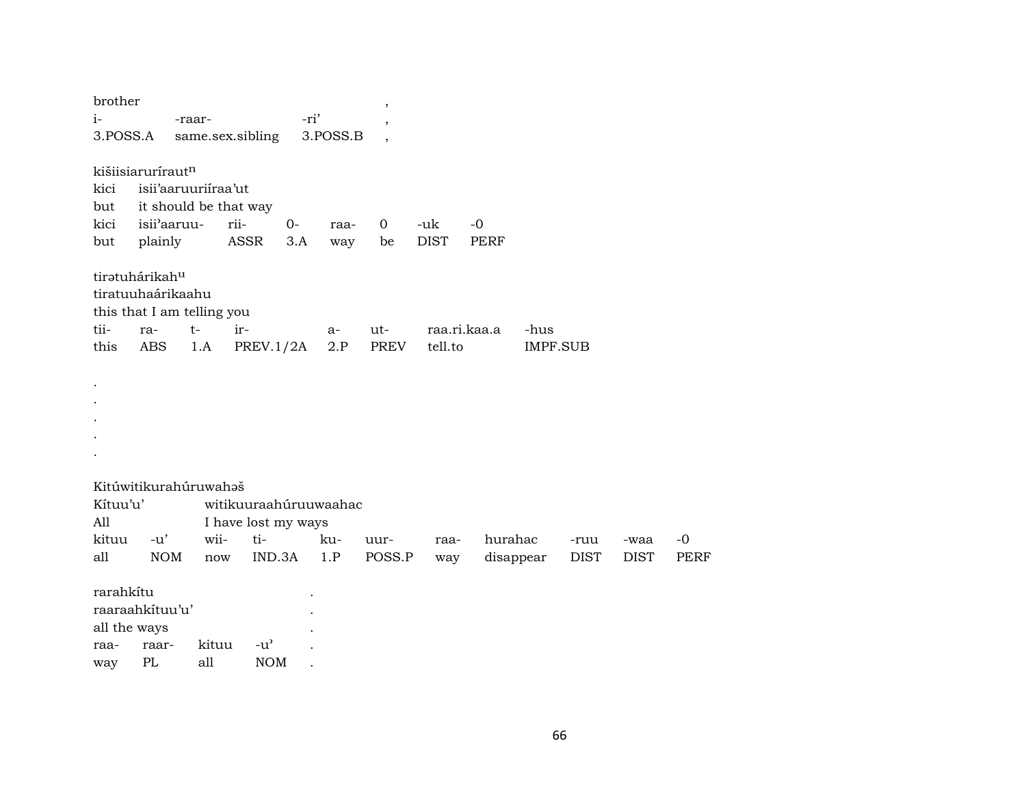| brother<br>$i-$<br>3.POSS.A                                                       |                        | -raar-              | same.sex.sibling                                                                    | -ri'        | 3.POSS.B    | ,                    |                    |                      |                         |                     |                     |              |
|-----------------------------------------------------------------------------------|------------------------|---------------------|-------------------------------------------------------------------------------------|-------------|-------------|----------------------|--------------------|----------------------|-------------------------|---------------------|---------------------|--------------|
| kišiisiarurírautn<br>kici<br>but<br>kici<br>but                                   | isii'aaruu-<br>plainly | isii'aaruuriiraa'ut | it should be that way<br>rii-<br>ASSR                                               | $0-$<br>3.A | raa-<br>way | $\overline{0}$<br>be | -uk<br><b>DIST</b> | $-0$<br>PERF         |                         |                     |                     |              |
| tiratuhárikahu<br>tiratuuhaárikaahu<br>this that I am telling you<br>tii-<br>this | ra-<br>ABS             | $t-$<br>1.A         | ir-<br>PREV.1/2A                                                                    |             | a-<br>2.P   | ut-<br><b>PREV</b>   | tell.to            | raa.ri.kaa.a         | -hus<br><b>IMPF.SUB</b> |                     |                     |              |
|                                                                                   |                        |                     |                                                                                     |             |             |                      |                    |                      |                         |                     |                     |              |
| Kitúwitikurahúruwahaš<br>Kítuu'u'<br>All<br>kituu<br>all                          | $-u'$<br><b>NOM</b>    |                     | witikuuraahúruuwaahac<br>I have lost my ways<br>ti-<br>wii-<br>$\operatorname{now}$ | IND.3A      | ku-<br>1.P  | uur-<br>POSS.P       | raa-<br>way        | hurahac<br>disappear |                         | -ruu<br><b>DIST</b> | -waa<br><b>DIST</b> | $-0$<br>PERF |
| rarahkítu<br>raaraahkituu'u'<br>all the ways<br>raa-<br>way                       | raar-<br>PL            | all                 | kituu<br>$-u^{\prime}$<br><b>NOM</b>                                                |             |             |                      |                    |                      |                         |                     |                     |              |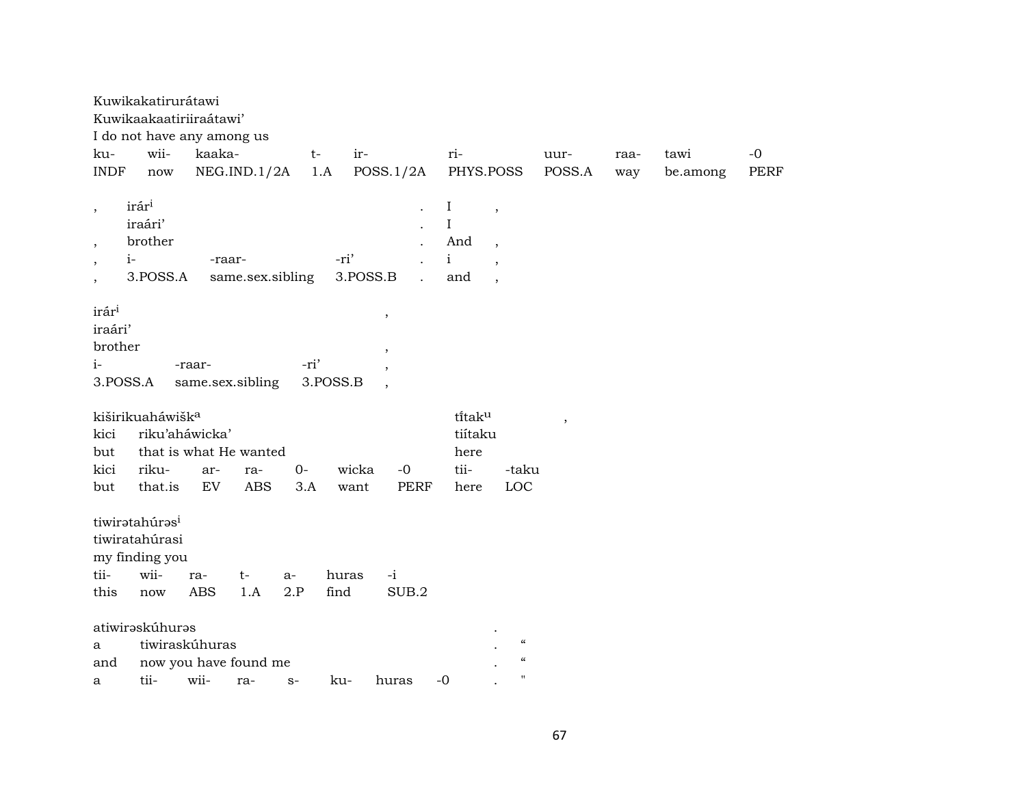| ku-<br><b>INDF</b>                                                                | Kuwikakatirurátawi<br>Kuwikaakaatiriiraátawi'<br>I do not have any among us<br>wii-<br>$\operatorname{now}$ | kaaka-            | NEG.IND.1/2A      | $t-$         | ir-<br>1.A    | POSS.1/2A                          | ri-<br>PHYS.POSS                            |                                                                                  | uur-<br>POSS.A | raa-<br>way | tawi<br>be.among | $-0$<br>PERF |
|-----------------------------------------------------------------------------------|-------------------------------------------------------------------------------------------------------------|-------------------|-------------------|--------------|---------------|------------------------------------|---------------------------------------------|----------------------------------------------------------------------------------|----------------|-------------|------------------|--------------|
| $\cdot$<br>$\overline{\phantom{a}}$<br>$\overline{ }$<br>$\overline{\phantom{a}}$ | irár <sup>i</sup><br>iraári'<br>brother<br>$i-$<br>3.POSS.A                                                 | -raar-            | same.sex.sibling  |              | -ri'          | 3.POSS.B                           | $\bf{I}$<br>I<br>And<br>$\mathbf{i}$<br>and | $\overline{\phantom{a}}$<br>$\overline{\phantom{a}}$<br>$\overline{\phantom{a}}$ |                |             |                  |              |
| irár <sup>i</sup><br>iraári'<br>brother<br>$i-$<br>3.POSS.A                       |                                                                                                             | -raar-            | same.sex.sibling  | -ri'         | 3.POSS.B      | $\, ,$<br>$\overline{\phantom{a}}$ |                                             |                                                                                  |                |             |                  |              |
| kici<br>but<br>kici<br>but                                                        | kiširikuaháwišk <sup>a</sup><br>riku'aháwicka'<br>that is what He wanted<br>riku-<br>that.is                | ar-<br>EV         | ra-<br><b>ABS</b> | $O -$<br>3.A | wicka<br>want | $-0$<br><b>PERF</b>                | titaku<br>tiítaku<br>here<br>tii-<br>here   | -taku<br>LOC                                                                     | $\,$           |             |                  |              |
| tii-<br>this                                                                      | tiwiratahúras <sup>i</sup><br>tiwiratahúrasi<br>my finding you<br>wii-<br>now                               | ra-<br><b>ABS</b> | t-<br>1.A         | $a-$<br>2.P  | huras<br>find | $-i$<br>SUB.2                      |                                             |                                                                                  |                |             |                  |              |
| a<br>and<br>a                                                                     | atiwirəskúhurəs<br>tiwiraskúhuras<br>now you have found me<br>tii-                                          | wii-              | ra-               | $S-$         | ku-           | huras                              | $-0$                                        | $\pmb{\zeta}\pmb{\zeta}$<br>$\mathcal{C}$<br>п                                   |                |             |                  |              |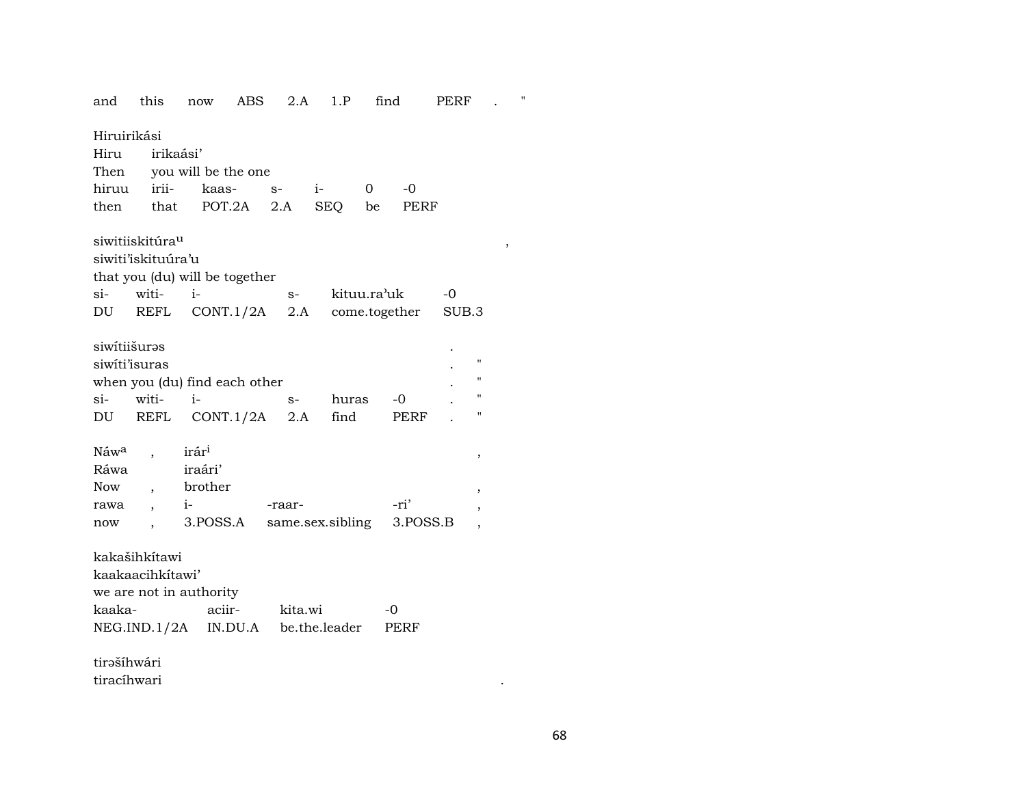and this now ABS  $2.A$  1.P find PERF Hiruirikási irikaási' Hiru Then you will be the one iriihiruu kaas- $S$  $i \overline{0}$  $-0$ POT.2A **PERF** then  $2.A$ **SEQ** be that siwitiiskitúra<sup>u</sup> siwiti'iskituúra'u that you (du) will be together witi $i -0$  $si$ kituu.ra'uk  $S-$ REFL CONT.1/2A  $2.A$ come.together DU SUB.3 siwitiišurəs siwiti'isuras when you (du) find each other witi $i$  $si$  $-0$  $S$ huras **REFL**  $CONT.1/2A$  2.A **PERF** DU find irár<sup>i</sup> Náw<sup>a</sup>  $\ddot{\phantom{a}}$  $\cdot$ iraári' Ráwa brother **Now**  $\overline{ }$ ,  $i-$ -raar--ri' rawa  $\ddot{\phantom{0}}$ 3.POSS.A same.sex.sibling 3.POSS.B now  $\cdot$  $\overline{\phantom{a}}$ kakašihkítawi kaakaacihkítawi' we are not in authority kaakaaciirkita.wi  $-0$ NEG.IND.1/2A IN.DU.A be.the.leader **PERF** 

tirəšíhwári tiracíhwari  $\pmb{\mathfrak{m}}$ 

 $\ddot{\phantom{a}}$ 

 $\, ,$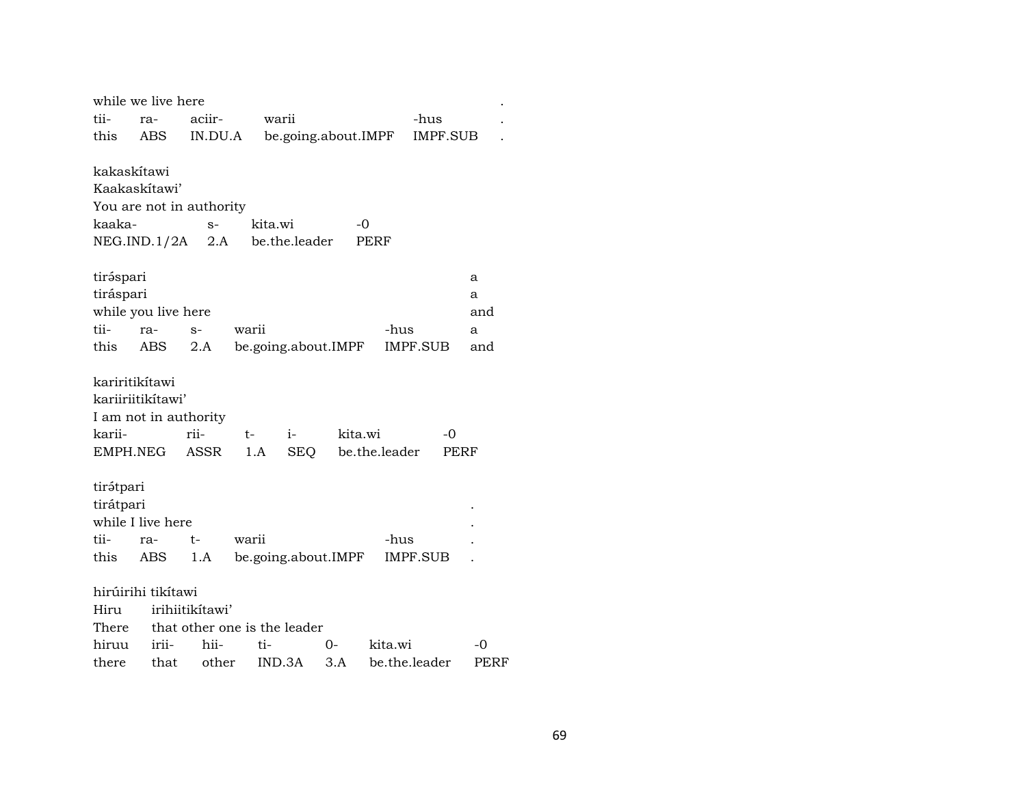|                            | while we live here       |                              |                     |               |         |                     |                 |      |  |  |
|----------------------------|--------------------------|------------------------------|---------------------|---------------|---------|---------------------|-----------------|------|--|--|
| tii-                       | ra-                      | aciir-                       | warii               |               |         | -hus                |                 |      |  |  |
| this                       | ABS                      | IN.DU.A                      |                     |               |         | be.going.about.IMPF | <b>IMPF.SUB</b> |      |  |  |
|                            |                          |                              |                     |               |         |                     |                 |      |  |  |
| kakaskítawi                |                          |                              |                     |               |         |                     |                 |      |  |  |
| Kaakaskitawi'              |                          |                              |                     |               |         |                     |                 |      |  |  |
|                            | You are not in authority |                              |                     |               |         |                     |                 |      |  |  |
| kaaka-                     |                          | $S-$                         | kita.wi             |               | -0      |                     |                 |      |  |  |
|                            | NEG.IND.1/2A             | 2.A                          |                     | be.the.leader |         | PERF                |                 |      |  |  |
| tiráspari                  |                          |                              |                     |               |         |                     |                 | a    |  |  |
| tiráspari                  |                          |                              |                     |               |         |                     |                 | a    |  |  |
| while you live here<br>and |                          |                              |                     |               |         |                     |                 |      |  |  |
| tii-                       | ra-                      | $S-$                         | warii               |               |         | -hus                |                 | a    |  |  |
| this                       | ABS                      | 2.A                          | be.going.about.IMPF |               |         |                     | IMPF.SUB        | and  |  |  |
|                            |                          |                              |                     |               |         |                     |                 |      |  |  |
| kariritikítawi             |                          |                              |                     |               |         |                     |                 |      |  |  |
|                            | kariiriitikítawi'        |                              |                     |               |         |                     |                 |      |  |  |
|                            | I am not in authority    |                              |                     |               |         |                     |                 |      |  |  |
| karii-                     |                          | rii-                         | t-                  | $i-$          | kita.wi |                     | -0              |      |  |  |
| EMPH.NEG                   |                          | ASSR                         | 1.A                 | SEQ           |         | be.the.leader       | PERF            |      |  |  |
|                            |                          |                              |                     |               |         |                     |                 |      |  |  |
| tirátpari                  |                          |                              |                     |               |         |                     |                 |      |  |  |
| tirátpari                  |                          |                              |                     |               |         |                     |                 |      |  |  |
|                            | while I live here        |                              |                     |               |         |                     |                 |      |  |  |
| tii-                       | ra-                      | $t-$                         | warii               |               |         | -hus                |                 |      |  |  |
| this                       | ABS                      | 1.A                          | be.going.about.IMPF |               |         |                     | IMPF.SUB        |      |  |  |
|                            | hirúirihi tikítawi       |                              |                     |               |         |                     |                 |      |  |  |
| Hiru                       |                          | irihiitikitawi'              |                     |               |         |                     |                 |      |  |  |
| There                      |                          | that other one is the leader |                     |               |         |                     |                 |      |  |  |
| hiruu                      | irii-                    | hii-                         | ti-                 |               | 0-      | kita.wi             |                 | -0   |  |  |
| there                      | that                     | other                        |                     | IND.3A        | 3.A     | be.the.leader       |                 | PERF |  |  |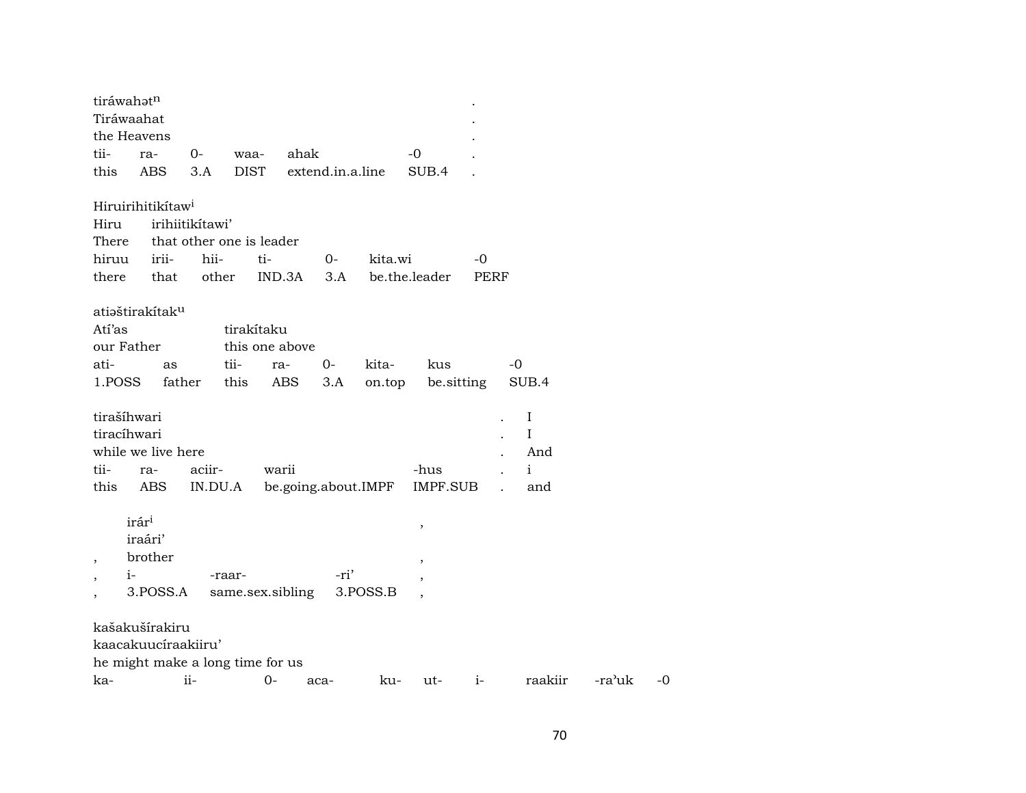| tiráwahatn               |                                  |                 |             |                  |      |                  |                     |                          |                              |            |               |  |  |
|--------------------------|----------------------------------|-----------------|-------------|------------------|------|------------------|---------------------|--------------------------|------------------------------|------------|---------------|--|--|
| Tiráwaahat               |                                  |                 |             |                  |      |                  |                     |                          |                              |            |               |  |  |
| the Heavens              |                                  |                 |             |                  |      |                  |                     |                          |                              |            |               |  |  |
| tii-                     | ra-                              | $0-$            | waa-        |                  | ahak |                  |                     | -0                       |                              |            |               |  |  |
| this                     | <b>ABS</b>                       | 3.A             | <b>DIST</b> |                  |      | extend.in.a.line |                     | SUB.4                    |                              |            |               |  |  |
|                          | Hiruirihitikítaw <sup>i</sup>    |                 |             |                  |      |                  |                     |                          |                              |            |               |  |  |
| Hiru                     |                                  | irihiitikítawi' |             |                  |      |                  |                     |                          |                              |            |               |  |  |
|                          | There that other one is leader   |                 |             |                  |      |                  |                     |                          |                              |            |               |  |  |
| hiruu                    | irii-                            | hii-            |             | ti-              |      | $O-$             | kita.wi             |                          |                              | -0         |               |  |  |
| there                    | that                             | other           |             | IND.3A           |      | 3.A              |                     |                          | be.the.leader<br><b>PERF</b> |            |               |  |  |
|                          | atiəštirakítak <sup>u</sup>      |                 |             |                  |      |                  |                     |                          |                              |            |               |  |  |
| Atí'as                   |                                  |                 |             | tirakítaku       |      |                  |                     |                          |                              |            |               |  |  |
| our Father               |                                  |                 |             | this one above   |      |                  |                     |                          |                              |            |               |  |  |
| ati-                     | as                               |                 | tii-        | ra-              |      | 0-               | kita-               |                          | kus                          |            | -0            |  |  |
| 1.POSS                   |                                  | father          | this        |                  | ABS  | 3.A              | on.top              |                          |                              | be sitting | SUB.4         |  |  |
| tirašíhwari              |                                  |                 |             |                  |      |                  |                     |                          |                              |            |               |  |  |
| tiracíhwari              |                                  |                 |             |                  |      |                  |                     |                          |                              |            | $\bf{I}$<br>I |  |  |
|                          | while we live here               |                 |             |                  |      |                  |                     |                          |                              |            | And           |  |  |
| tii-                     |                                  |                 |             |                  |      |                  |                     |                          |                              |            |               |  |  |
|                          | ra-                              | aciir-          |             | warii            |      |                  |                     | -hus                     |                              |            | $\mathbf{i}$  |  |  |
| this                     | ABS                              |                 | IN.DU.A     |                  |      |                  | be.going.about.IMPF |                          | IMPF.SUB                     |            | and           |  |  |
|                          | irár <sup>i</sup>                |                 |             |                  |      |                  |                     | $\, ,$                   |                              |            |               |  |  |
|                          | iraári'                          |                 |             |                  |      |                  |                     |                          |                              |            |               |  |  |
| $\overline{\phantom{a}}$ | brother                          |                 |             |                  |      |                  |                     | $\overline{\phantom{a}}$ |                              |            |               |  |  |
| $i-$                     |                                  |                 | -raar-      |                  |      | -ri'             |                     | $\overline{\phantom{a}}$ |                              |            |               |  |  |
|                          | 3.POSS.A                         |                 |             | same.sex.sibling |      |                  | 3.POSS.B            |                          |                              |            |               |  |  |
|                          | kašakušírakiru                   |                 |             |                  |      |                  |                     |                          |                              |            |               |  |  |
|                          | kaacakuuciraakiiru'              |                 |             |                  |      |                  |                     |                          |                              |            |               |  |  |
|                          | he might make a long time for us |                 |             |                  |      |                  |                     |                          |                              |            |               |  |  |
| ka-                      |                                  | ii-             |             | $0-$             | aca- |                  | ku-                 |                          | ut-                          | $i-$       | raakiir       |  |  |

 $-ra^{\lambda}$ uk -0